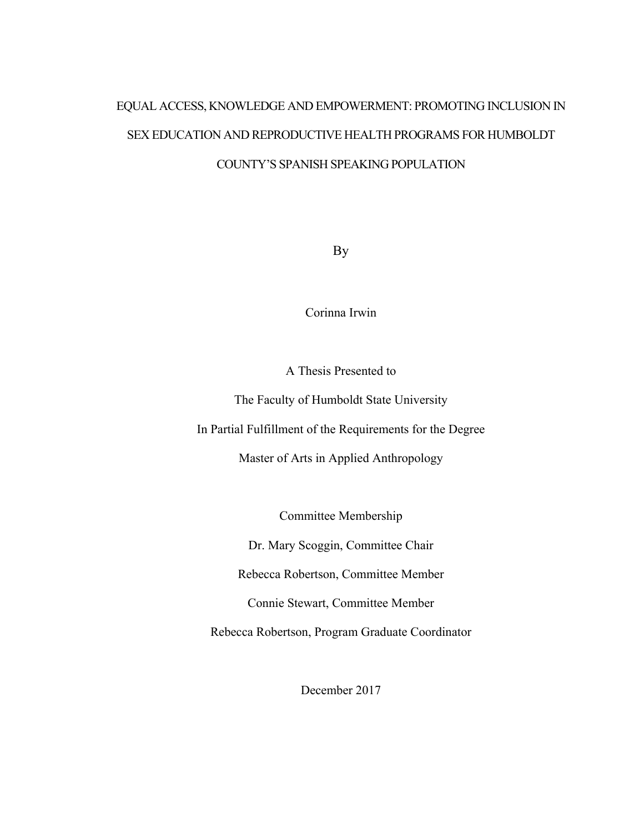# EQUAL ACCESS, KNOWLEDGE AND EMPOWERMENT: PROMOTING INCLUSION IN SEX EDUCATION AND REPRODUCTIVE HEALTH PROGRAMS FOR HUMBOLDT COUNTY'S SPANISH SPEAKING POPULATION

By

Corinna Irwin

A Thesis Presented to

The Faculty of Humboldt State University

In Partial Fulfillment of the Requirements for the Degree

Master of Arts in Applied Anthropology

Committee Membership

Dr. Mary Scoggin, Committee Chair

Rebecca Robertson, Committee Member

Connie Stewart, Committee Member

Rebecca Robertson, Program Graduate Coordinator

December 2017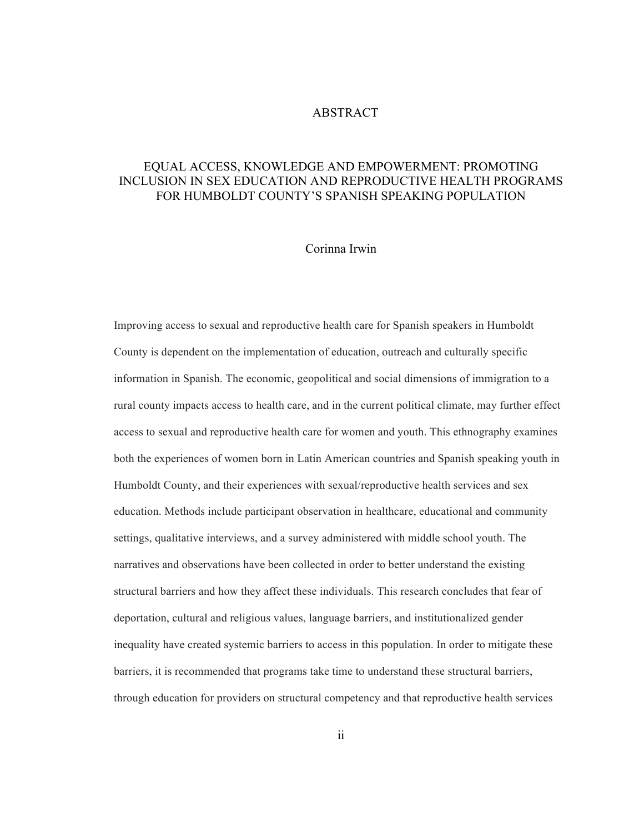#### ABSTRACT

## EQUAL ACCESS, KNOWLEDGE AND EMPOWERMENT: PROMOTING INCLUSION IN SEX EDUCATION AND REPRODUCTIVE HEALTH PROGRAMS FOR HUMBOLDT COUNTY'S SPANISH SPEAKING POPULATION

### Corinna Irwin

Improving access to sexual and reproductive health care for Spanish speakers in Humboldt County is dependent on the implementation of education, outreach and culturally specific information in Spanish. The economic, geopolitical and social dimensions of immigration to a rural county impacts access to health care, and in the current political climate, may further effect access to sexual and reproductive health care for women and youth. This ethnography examines both the experiences of women born in Latin American countries and Spanish speaking youth in Humboldt County, and their experiences with sexual/reproductive health services and sex education. Methods include participant observation in healthcare, educational and community settings, qualitative interviews, and a survey administered with middle school youth. The narratives and observations have been collected in order to better understand the existing structural barriers and how they affect these individuals. This research concludes that fear of deportation, cultural and religious values, language barriers, and institutionalized gender inequality have created systemic barriers to access in this population. In order to mitigate these barriers, it is recommended that programs take time to understand these structural barriers, through education for providers on structural competency and that reproductive health services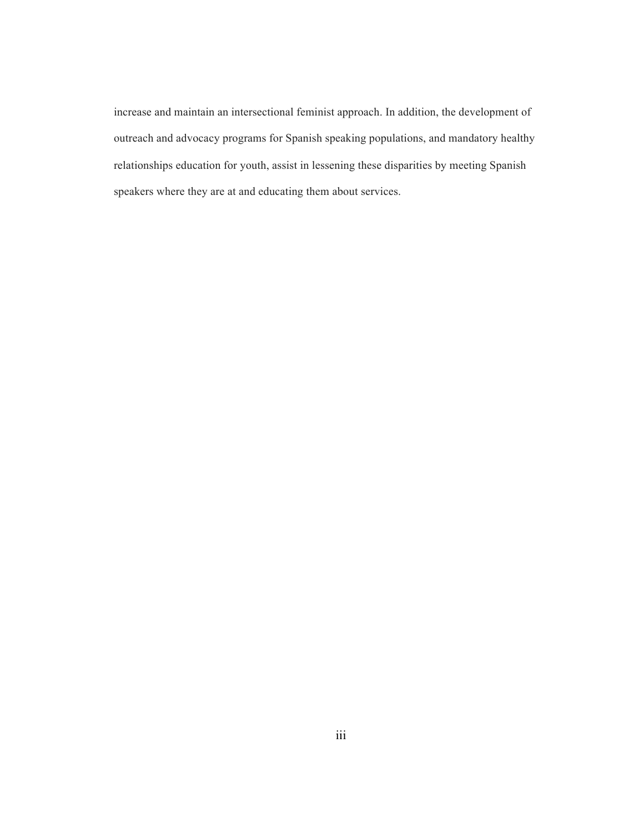increase and maintain an intersectional feminist approach. In addition, the development of outreach and advocacy programs for Spanish speaking populations, and mandatory healthy relationships education for youth, assist in lessening these disparities by meeting Spanish speakers where they are at and educating them about services.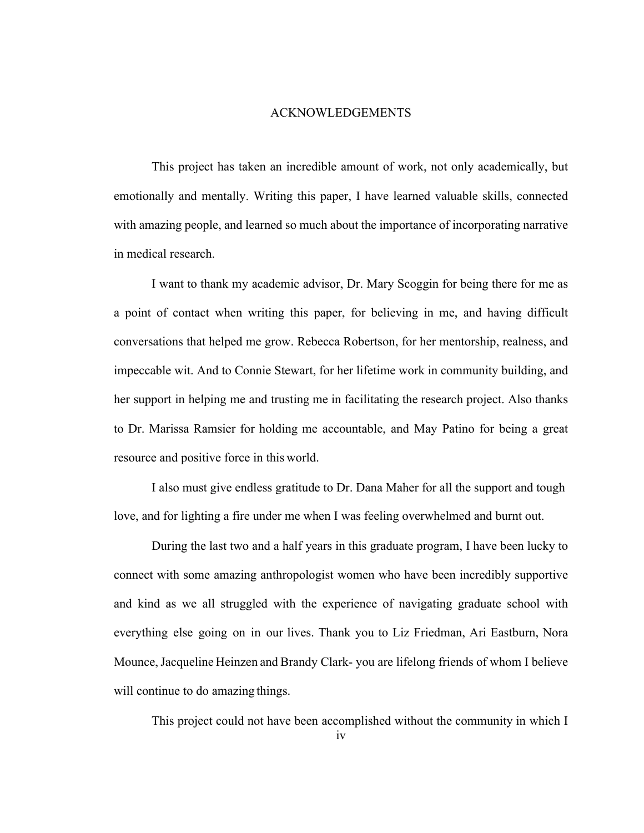#### ACKNOWLEDGEMENTS

This project has taken an incredible amount of work, not only academically, but emotionally and mentally. Writing this paper, I have learned valuable skills, connected with amazing people, and learned so much about the importance of incorporating narrative in medical research.

I want to thank my academic advisor, Dr. Mary Scoggin for being there for me as a point of contact when writing this paper, for believing in me, and having difficult conversations that helped me grow. Rebecca Robertson, for her mentorship, realness, and impeccable wit. And to Connie Stewart, for her lifetime work in community building, and her support in helping me and trusting me in facilitating the research project. Also thanks to Dr. Marissa Ramsier for holding me accountable, and May Patino for being a great resource and positive force in this world.

I also must give endless gratitude to Dr. Dana Maher for all the support and tough love, and for lighting a fire under me when I was feeling overwhelmed and burnt out.

During the last two and a half years in this graduate program, I have been lucky to connect with some amazing anthropologist women who have been incredibly supportive and kind as we all struggled with the experience of navigating graduate school with everything else going on in our lives. Thank you to Liz Friedman, Ari Eastburn, Nora Mounce,Jacqueline Heinzen and Brandy Clark- you are lifelong friends of whom I believe will continue to do amazing things.

This project could not have been accomplished without the community in which I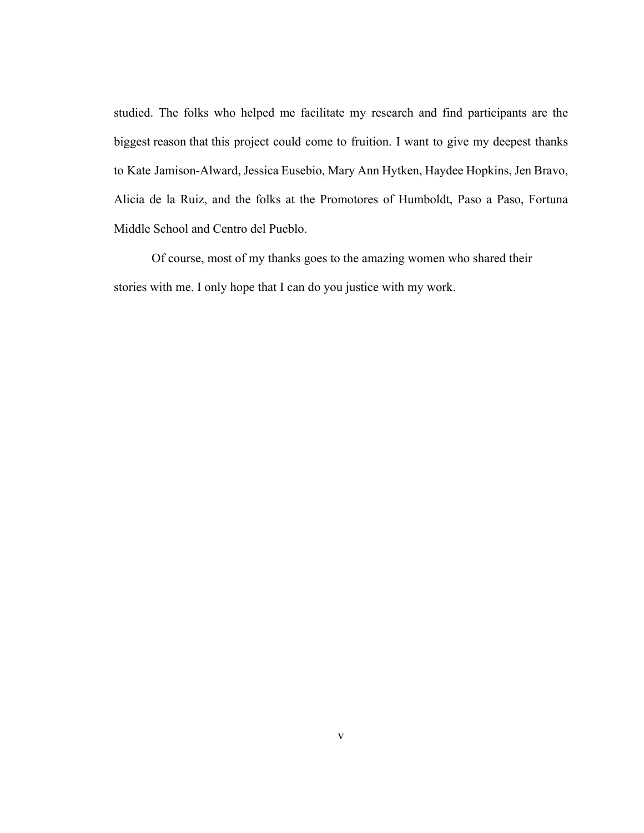studied. The folks who helped me facilitate my research and find participants are the biggest reason that this project could come to fruition. I want to give my deepest thanks to Kate Jamison-Alward, Jessica Eusebio, Mary Ann Hytken, Haydee Hopkins, Jen Bravo, Alicia de la Ruiz, and the folks at the Promotores of Humboldt, Paso a Paso, Fortuna Middle School and Centro del Pueblo.

Of course, most of my thanks goes to the amazing women who shared their stories with me. I only hope that I can do you justice with my work.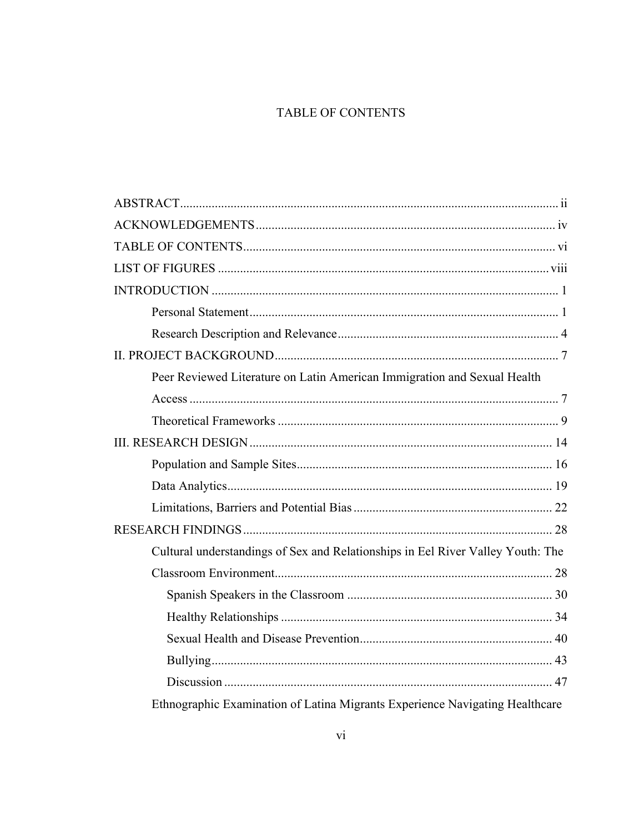# TABLE OF CONTENTS

| Peer Reviewed Literature on Latin American Immigration and Sexual Health        |
|---------------------------------------------------------------------------------|
|                                                                                 |
|                                                                                 |
|                                                                                 |
|                                                                                 |
|                                                                                 |
|                                                                                 |
|                                                                                 |
| Cultural understandings of Sex and Relationships in Eel River Valley Youth: The |
|                                                                                 |
|                                                                                 |
|                                                                                 |
|                                                                                 |
|                                                                                 |
|                                                                                 |
| Ethnographic Examination of Latina Migrants Experience Navigating Healthcare    |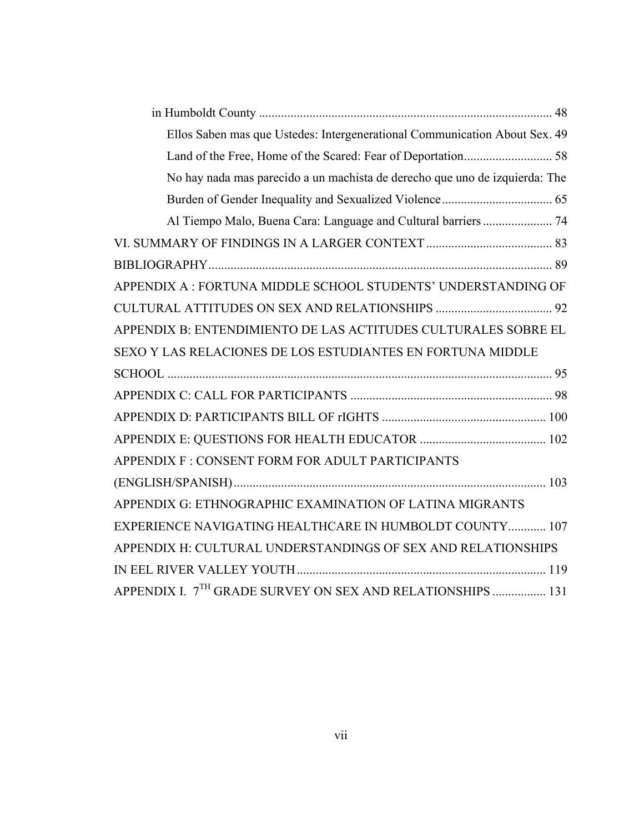| Ellos Saben mas que Ustedes: Intergenerational Communication About Sex. 49  |  |
|-----------------------------------------------------------------------------|--|
|                                                                             |  |
| No hay nada mas parecido a un machista de derecho que uno de izquierda: The |  |
|                                                                             |  |
|                                                                             |  |
|                                                                             |  |
|                                                                             |  |
| APPENDIX A : FORTUNA MIDDLE SCHOOL STUDENTS' UNDERSTANDING OF               |  |
|                                                                             |  |
| APPENDIX B: ENTENDIMIENTO DE LAS ACTITUDES CULTURALES SOBRE EL              |  |
| SEXO Y LAS RELACIONES DE LOS ESTUDIANTES EN FORTUNA MIDDLE                  |  |
|                                                                             |  |
|                                                                             |  |
|                                                                             |  |
|                                                                             |  |
| APPENDIX F : CONSENT FORM FOR ADULT PARTICIPANTS                            |  |
|                                                                             |  |
| APPENDIX G: ETHNOGRAPHIC EXAMINATION OF LATINA MIGRANTS                     |  |
| EXPERIENCE NAVIGATING HEALTHCARE IN HUMBOLDT COUNTY 107                     |  |
| APPENDIX H: CULTURAL UNDERSTANDINGS OF SEX AND RELATIONSHIPS                |  |
|                                                                             |  |
| APPENDIX I. 7 <sup>TH</sup> GRADE SURVEY ON SEX AND RELATIONSHIPS  131      |  |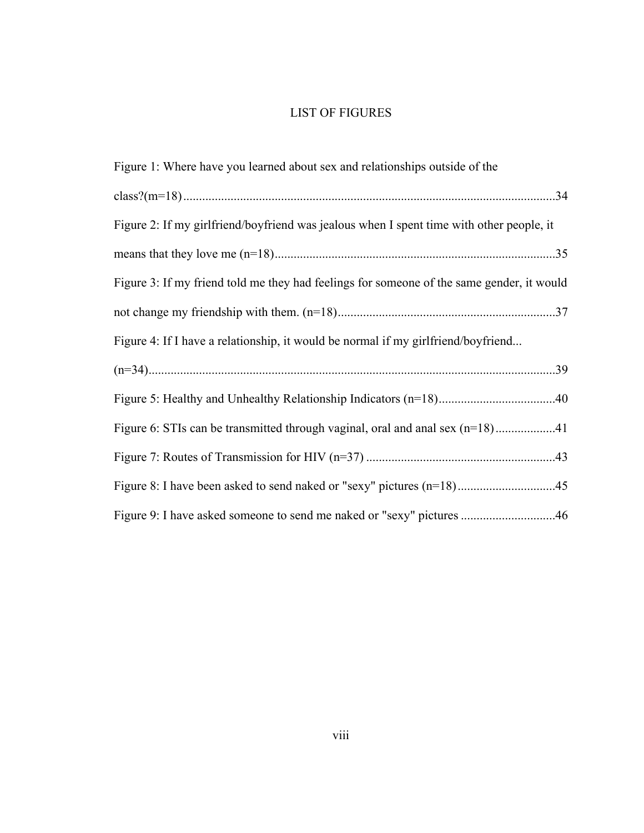# LIST OF FIGURES

| Figure 1: Where have you learned about sex and relationships outside of the               |
|-------------------------------------------------------------------------------------------|
|                                                                                           |
| Figure 2: If my girlfriend/boyfriend was jealous when I spent time with other people, it  |
|                                                                                           |
| Figure 3: If my friend told me they had feelings for someone of the same gender, it would |
|                                                                                           |
| Figure 4: If I have a relationship, it would be normal if my girlfriend/boyfriend         |
|                                                                                           |
|                                                                                           |
|                                                                                           |
|                                                                                           |
|                                                                                           |
| Figure 9: I have asked someone to send me naked or "sexy" pictures 46                     |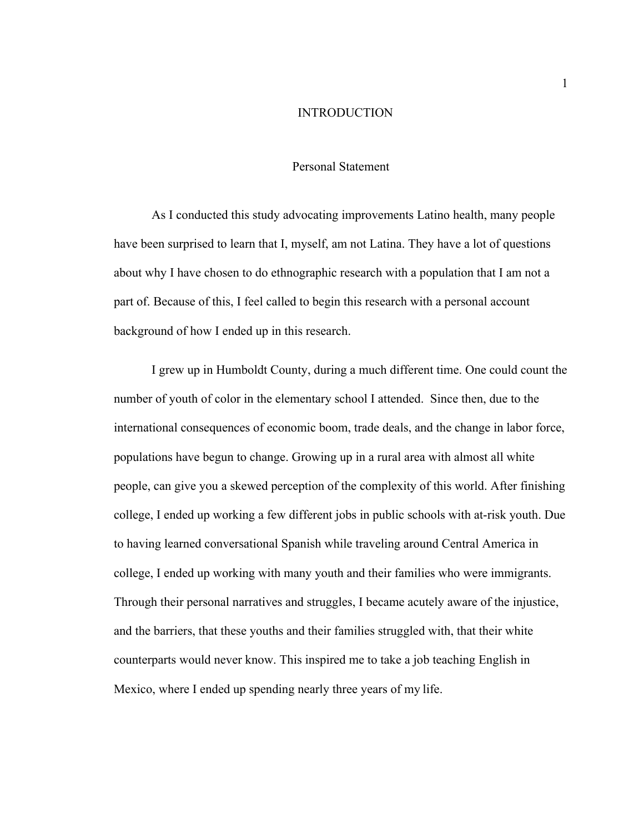#### INTRODUCTION

#### Personal Statement

As I conducted this study advocating improvements Latino health, many people have been surprised to learn that I, myself, am not Latina. They have a lot of questions about why I have chosen to do ethnographic research with a population that I am not a part of. Because of this, I feel called to begin this research with a personal account background of how I ended up in this research.

I grew up in Humboldt County, during a much different time. One could count the number of youth of color in the elementary school I attended. Since then, due to the international consequences of economic boom, trade deals, and the change in labor force, populations have begun to change. Growing up in a rural area with almost all white people, can give you a skewed perception of the complexity of this world. After finishing college, I ended up working a few different jobs in public schools with at-risk youth. Due to having learned conversational Spanish while traveling around Central America in college, I ended up working with many youth and their families who were immigrants. Through their personal narratives and struggles, I became acutely aware of the injustice, and the barriers, that these youths and their families struggled with, that their white counterparts would never know. This inspired me to take a job teaching English in Mexico, where I ended up spending nearly three years of my life.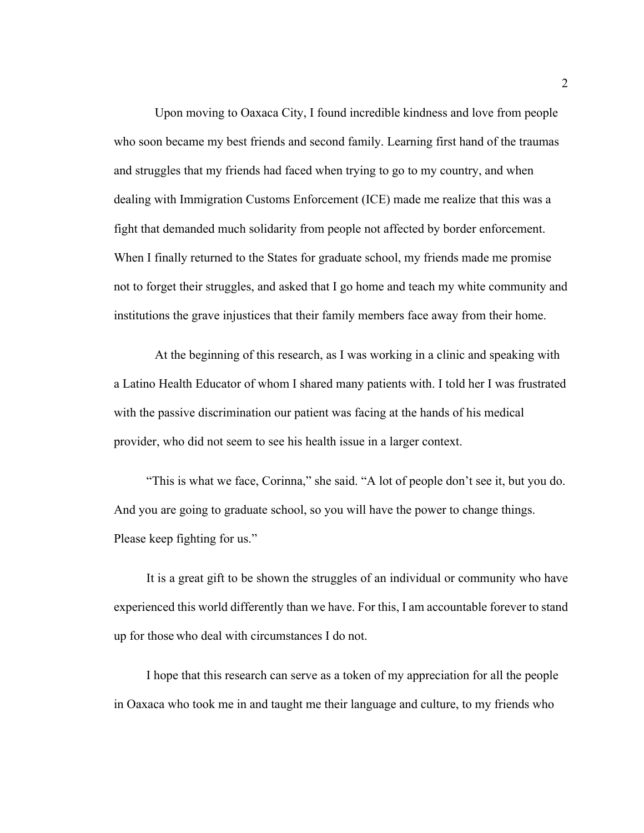Upon moving to Oaxaca City, I found incredible kindness and love from people who soon became my best friends and second family. Learning first hand of the traumas and struggles that my friends had faced when trying to go to my country, and when dealing with Immigration Customs Enforcement (ICE) made me realize that this was a fight that demanded much solidarity from people not affected by border enforcement. When I finally returned to the States for graduate school, my friends made me promise not to forget their struggles, and asked that I go home and teach my white community and institutions the grave injustices that their family members face away from their home.

At the beginning of this research, as I was working in a clinic and speaking with a Latino Health Educator of whom I shared many patients with. I told her I was frustrated with the passive discrimination our patient was facing at the hands of his medical provider, who did not seem to see his health issue in a larger context.

"This is what we face, Corinna," she said. "A lot of people don't see it, but you do. And you are going to graduate school, so you will have the power to change things. Please keep fighting for us."

It is a great gift to be shown the struggles of an individual or community who have experienced this world differently than we have. For this, I am accountable forever to stand up for those who deal with circumstances I do not.

I hope that this research can serve as a token of my appreciation for all the people in Oaxaca who took me in and taught me their language and culture, to my friends who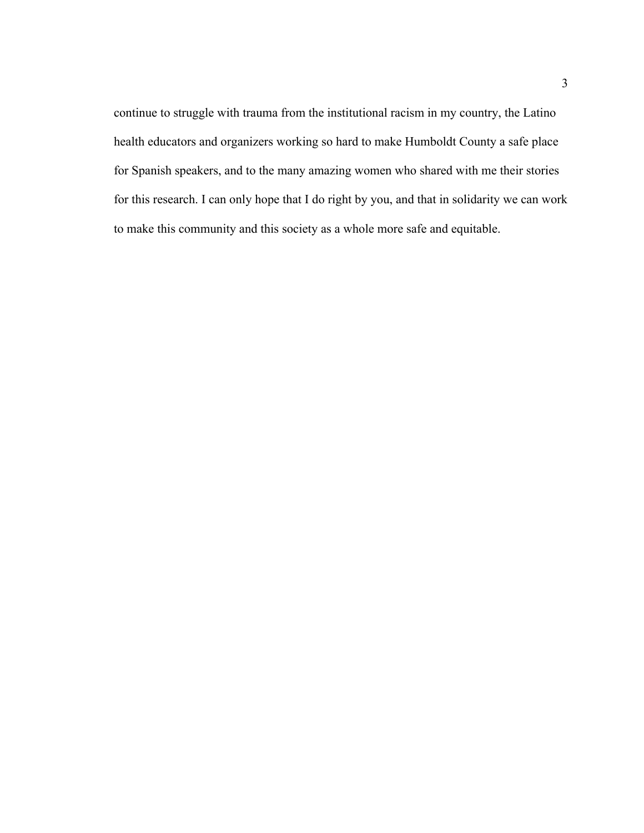continue to struggle with trauma from the institutional racism in my country, the Latino health educators and organizers working so hard to make Humboldt County a safe place for Spanish speakers, and to the many amazing women who shared with me their stories for this research. I can only hope that I do right by you, and that in solidarity we can work to make this community and this society as a whole more safe and equitable.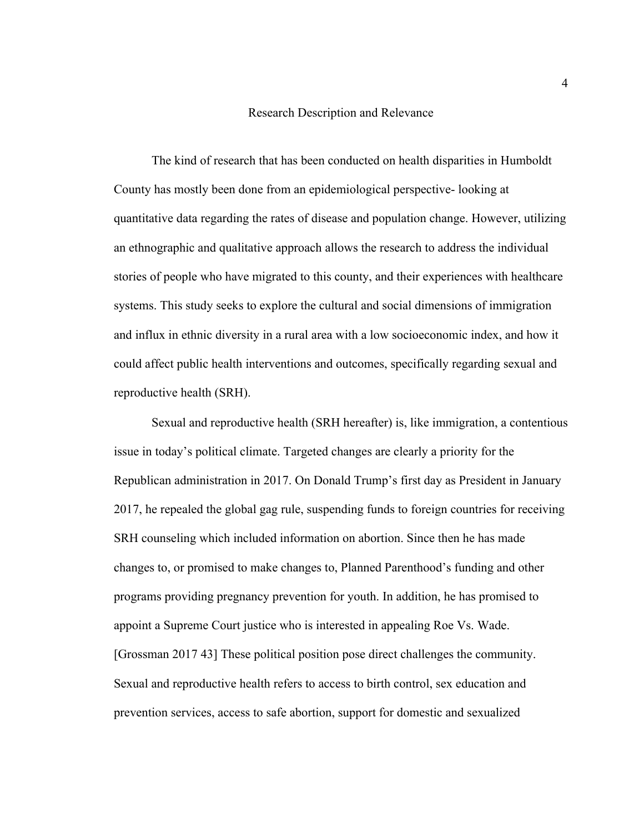#### Research Description and Relevance

The kind of research that has been conducted on health disparities in Humboldt County has mostly been done from an epidemiological perspective- looking at quantitative data regarding the rates of disease and population change. However, utilizing an ethnographic and qualitative approach allows the research to address the individual stories of people who have migrated to this county, and their experiences with healthcare systems. This study seeks to explore the cultural and social dimensions of immigration and influx in ethnic diversity in a rural area with a low socioeconomic index, and how it could affect public health interventions and outcomes, specifically regarding sexual and reproductive health (SRH).

Sexual and reproductive health (SRH hereafter) is, like immigration, a contentious issue in today's political climate. Targeted changes are clearly a priority for the Republican administration in 2017. On Donald Trump's first day as President in January 2017, he repealed the global gag rule, suspending funds to foreign countries for receiving SRH counseling which included information on abortion. Since then he has made changes to, or promised to make changes to, Planned Parenthood's funding and other programs providing pregnancy prevention for youth. In addition, he has promised to appoint a Supreme Court justice who is interested in appealing Roe Vs. Wade. [Grossman 2017 43] These political position pose direct challenges the community. Sexual and reproductive health refers to access to birth control, sex education and prevention services, access to safe abortion, support for domestic and sexualized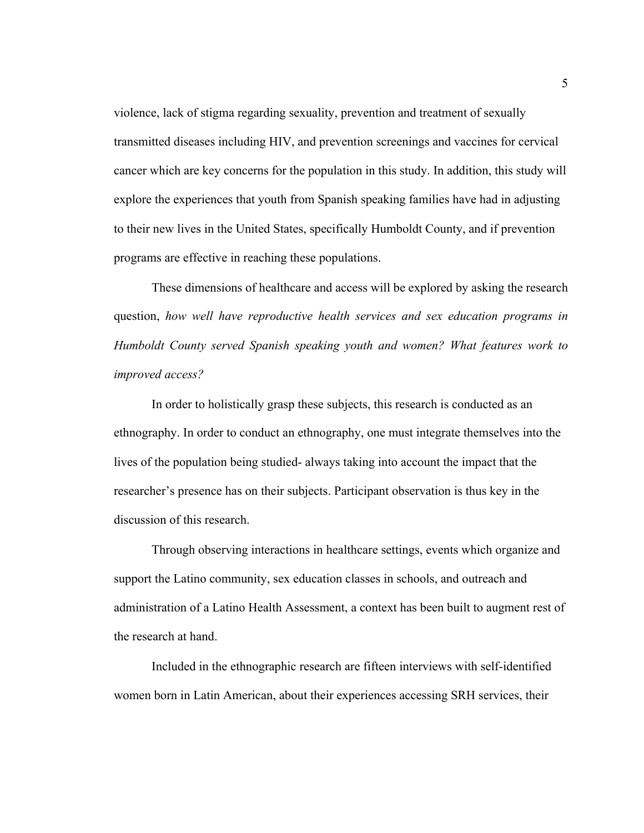violence, lack of stigma regarding sexuality, prevention and treatment of sexually transmitted diseases including HIV, and prevention screenings and vaccines for cervical cancer which are key concerns for the population in this study. In addition, this study will explore the experiences that youth from Spanish speaking families have had in adjusting to their new lives in the United States, specifically Humboldt County, and if prevention programs are effective in reaching these populations.

These dimensions of healthcare and access will be explored by asking the research question, *how well have reproductive health services and sex education programs in Humboldt County served Spanish speaking youth and women? What features work to improved access?*

In order to holistically grasp these subjects, this research is conducted as an ethnography. In order to conduct an ethnography, one must integrate themselves into the lives of the population being studied- always taking into account the impact that the researcher's presence has on their subjects. Participant observation is thus key in the discussion of this research.

Through observing interactions in healthcare settings, events which organize and support the Latino community, sex education classes in schools, and outreach and administration of a Latino Health Assessment, a context has been built to augment rest of the research at hand.

Included in the ethnographic research are fifteen interviews with self-identified women born in Latin American, about their experiences accessing SRH services, their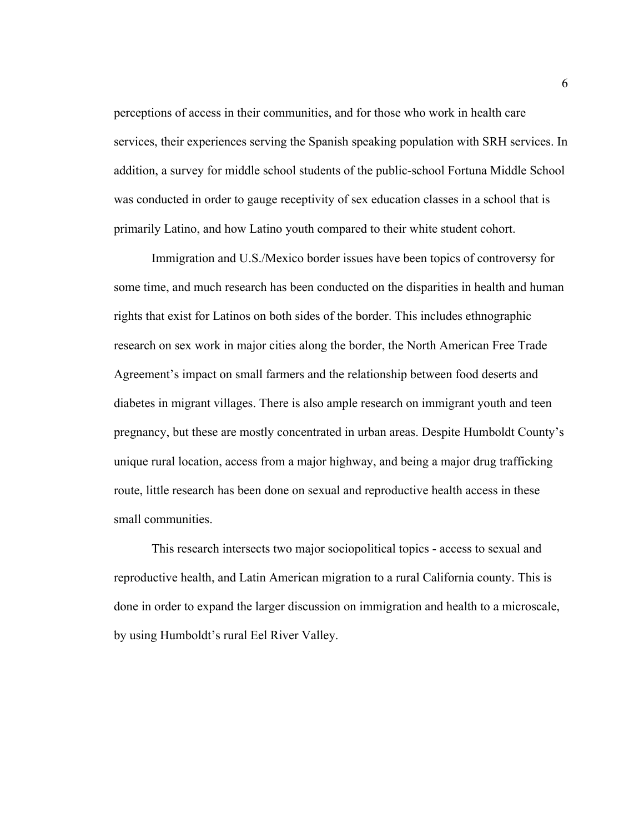perceptions of access in their communities, and for those who work in health care services, their experiences serving the Spanish speaking population with SRH services. In addition, a survey for middle school students of the public-school Fortuna Middle School was conducted in order to gauge receptivity of sex education classes in a school that is primarily Latino, and how Latino youth compared to their white student cohort.

Immigration and U.S./Mexico border issues have been topics of controversy for some time, and much research has been conducted on the disparities in health and human rights that exist for Latinos on both sides of the border. This includes ethnographic research on sex work in major cities along the border, the North American Free Trade Agreement's impact on small farmers and the relationship between food deserts and diabetes in migrant villages. There is also ample research on immigrant youth and teen pregnancy, but these are mostly concentrated in urban areas. Despite Humboldt County's unique rural location, access from a major highway, and being a major drug trafficking route, little research has been done on sexual and reproductive health access in these small communities.

This research intersects two major sociopolitical topics - access to sexual and reproductive health, and Latin American migration to a rural California county. This is done in order to expand the larger discussion on immigration and health to a microscale, by using Humboldt's rural Eel River Valley.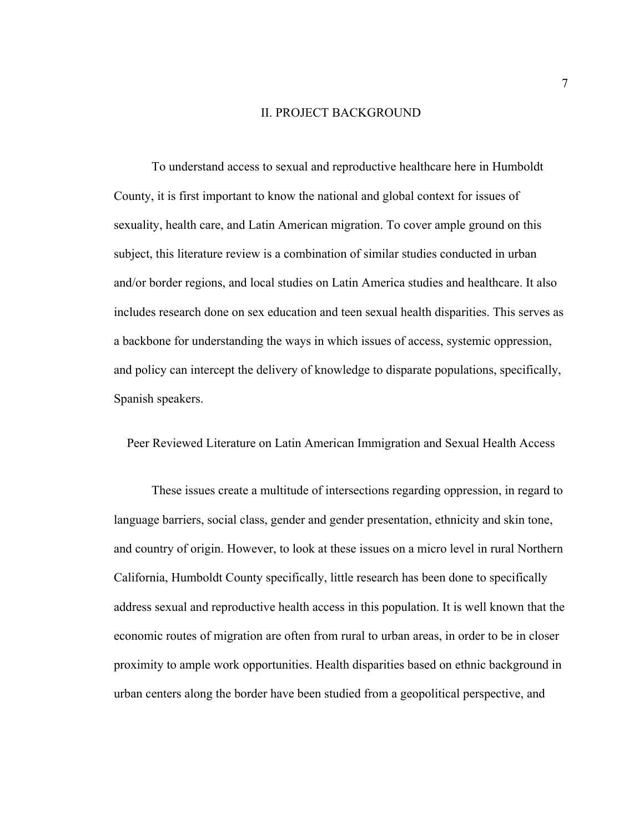#### II. PROJECT BACKGROUND

To understand access to sexual and reproductive healthcare here in Humboldt County, it is first important to know the national and global context for issues of sexuality, health care, and Latin American migration. To cover ample ground on this subject, this literature review is a combination of similar studies conducted in urban and/or border regions, and local studies on Latin America studies and healthcare. It also includes research done on sex education and teen sexual health disparities. This serves as a backbone for understanding the ways in which issues of access, systemic oppression, and policy can intercept the delivery of knowledge to disparate populations, specifically, Spanish speakers.

Peer Reviewed Literature on Latin American Immigration and Sexual Health Access

These issues create a multitude of intersections regarding oppression, in regard to language barriers, social class, gender and gender presentation, ethnicity and skin tone, and country of origin. However, to look at these issues on a micro level in rural Northern California, Humboldt County specifically, little research has been done to specifically address sexual and reproductive health access in this population. It is well known that the economic routes of migration are often from rural to urban areas, in order to be in closer proximity to ample work opportunities. Health disparities based on ethnic background in urban centers along the border have been studied from a geopolitical perspective, and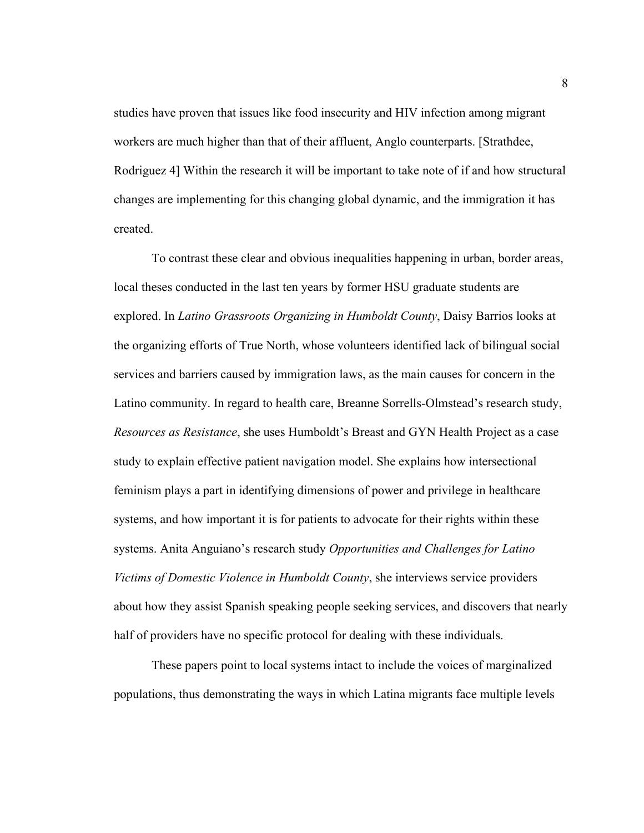studies have proven that issues like food insecurity and HIV infection among migrant workers are much higher than that of their affluent, Anglo counterparts. [Strathdee, Rodriguez 4] Within the research it will be important to take note of if and how structural changes are implementing for this changing global dynamic, and the immigration it has created.

To contrast these clear and obvious inequalities happening in urban, border areas, local theses conducted in the last ten years by former HSU graduate students are explored. In *Latino Grassroots Organizing in Humboldt County*, Daisy Barrios looks at the organizing efforts of True North, whose volunteers identified lack of bilingual social services and barriers caused by immigration laws, as the main causes for concern in the Latino community. In regard to health care, Breanne Sorrells-Olmstead's research study, *Resources as Resistance*, she uses Humboldt's Breast and GYN Health Project as a case study to explain effective patient navigation model. She explains how intersectional feminism plays a part in identifying dimensions of power and privilege in healthcare systems, and how important it is for patients to advocate for their rights within these systems. Anita Anguiano's research study *Opportunities and Challenges for Latino Victims of Domestic Violence in Humboldt County*, she interviews service providers about how they assist Spanish speaking people seeking services, and discovers that nearly half of providers have no specific protocol for dealing with these individuals.

These papers point to local systems intact to include the voices of marginalized populations, thus demonstrating the ways in which Latina migrants face multiple levels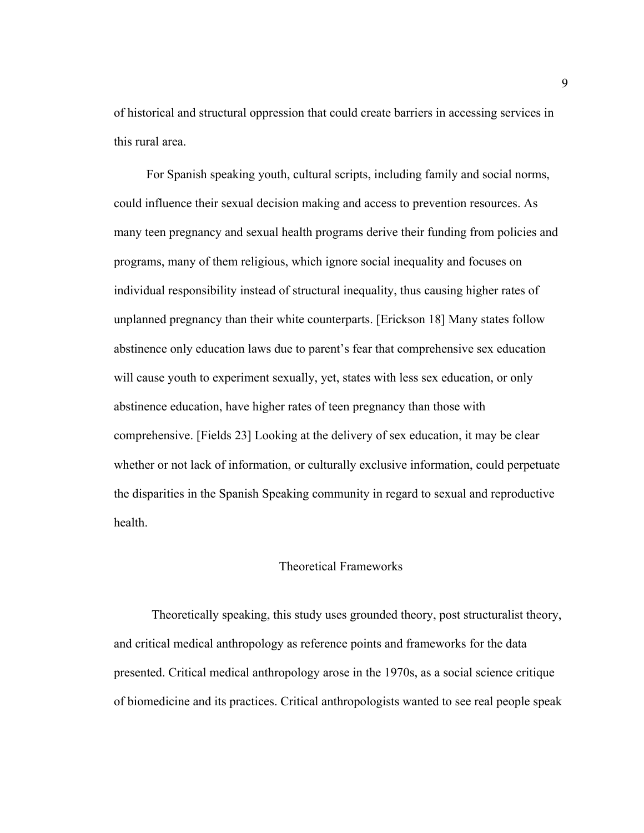of historical and structural oppression that could create barriers in accessing services in this rural area.

For Spanish speaking youth, cultural scripts, including family and social norms, could influence their sexual decision making and access to prevention resources. As many teen pregnancy and sexual health programs derive their funding from policies and programs, many of them religious, which ignore social inequality and focuses on individual responsibility instead of structural inequality, thus causing higher rates of unplanned pregnancy than their white counterparts. [Erickson 18] Many states follow abstinence only education laws due to parent's fear that comprehensive sex education will cause youth to experiment sexually, yet, states with less sex education, or only abstinence education, have higher rates of teen pregnancy than those with comprehensive. [Fields 23] Looking at the delivery of sex education, it may be clear whether or not lack of information, or culturally exclusive information, could perpetuate the disparities in the Spanish Speaking community in regard to sexual and reproductive health.

## Theoretical Frameworks

Theoretically speaking, this study uses grounded theory, post structuralist theory, and critical medical anthropology as reference points and frameworks for the data presented. Critical medical anthropology arose in the 1970s, as a social science critique of biomedicine and its practices. Critical anthropologists wanted to see real people speak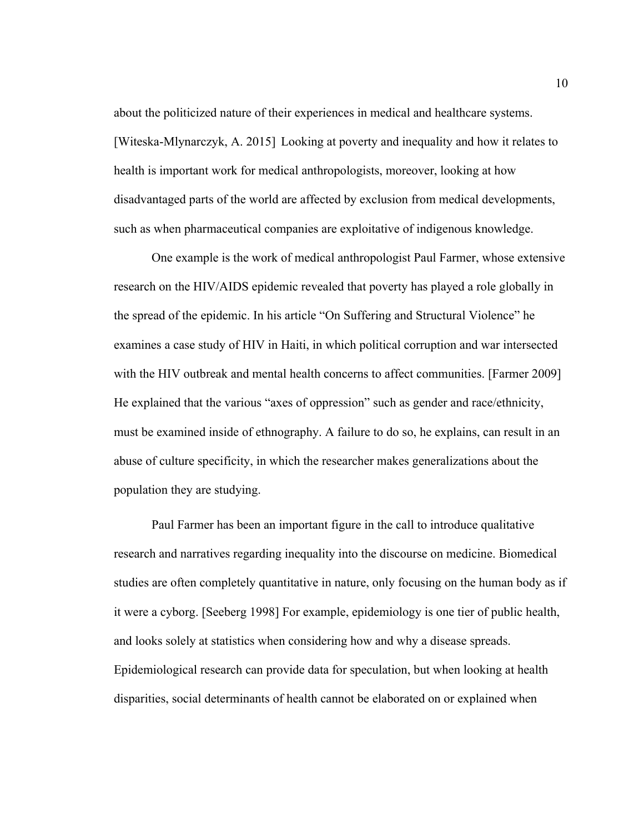about the politicized nature of their experiences in medical and healthcare systems. [Witeska-Mlynarczyk, A. 2015] Looking at poverty and inequality and how it relates to health is important work for medical anthropologists, moreover, looking at how disadvantaged parts of the world are affected by exclusion from medical developments, such as when pharmaceutical companies are exploitative of indigenous knowledge.

One example is the work of medical anthropologist Paul Farmer, whose extensive research on the HIV/AIDS epidemic revealed that poverty has played a role globally in the spread of the epidemic. In his article "On Suffering and Structural Violence" he examines a case study of HIV in Haiti, in which political corruption and war intersected with the HIV outbreak and mental health concerns to affect communities. [Farmer 2009] He explained that the various "axes of oppression" such as gender and race/ethnicity, must be examined inside of ethnography. A failure to do so, he explains, can result in an abuse of culture specificity, in which the researcher makes generalizations about the population they are studying.

Paul Farmer has been an important figure in the call to introduce qualitative research and narratives regarding inequality into the discourse on medicine. Biomedical studies are often completely quantitative in nature, only focusing on the human body as if it were a cyborg. [Seeberg 1998] For example, epidemiology is one tier of public health, and looks solely at statistics when considering how and why a disease spreads. Epidemiological research can provide data for speculation, but when looking at health disparities, social determinants of health cannot be elaborated on or explained when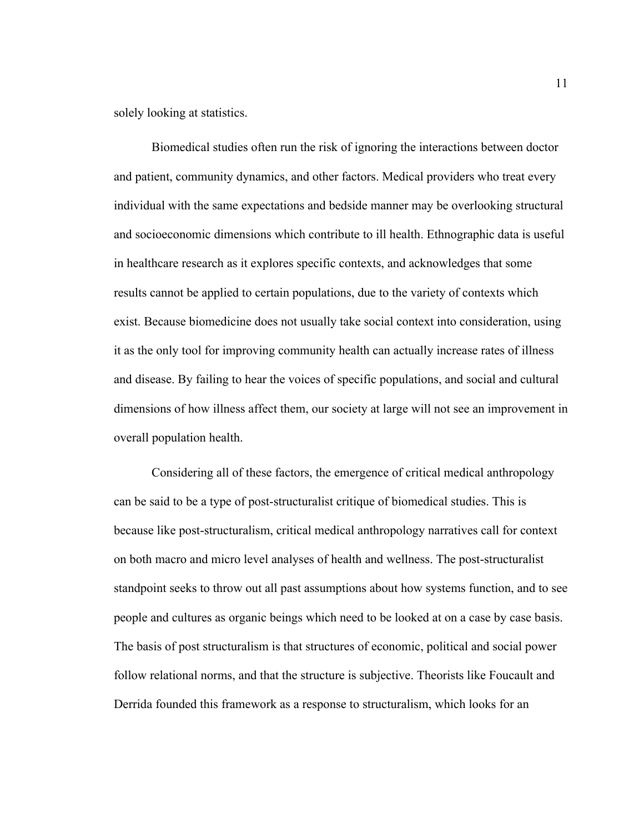solely looking at statistics.

Biomedical studies often run the risk of ignoring the interactions between doctor and patient, community dynamics, and other factors. Medical providers who treat every individual with the same expectations and bedside manner may be overlooking structural and socioeconomic dimensions which contribute to ill health. Ethnographic data is useful in healthcare research as it explores specific contexts, and acknowledges that some results cannot be applied to certain populations, due to the variety of contexts which exist. Because biomedicine does not usually take social context into consideration, using it as the only tool for improving community health can actually increase rates of illness and disease. By failing to hear the voices of specific populations, and social and cultural dimensions of how illness affect them, our society at large will not see an improvement in overall population health.

Considering all of these factors, the emergence of critical medical anthropology can be said to be a type of post-structuralist critique of biomedical studies. This is because like post-structuralism, critical medical anthropology narratives call for context on both macro and micro level analyses of health and wellness. The post-structuralist standpoint seeks to throw out all past assumptions about how systems function, and to see people and cultures as organic beings which need to be looked at on a case by case basis. The basis of post structuralism is that structures of economic, political and social power follow relational norms, and that the structure is subjective. Theorists like Foucault and Derrida founded this framework as a response to structuralism, which looks for an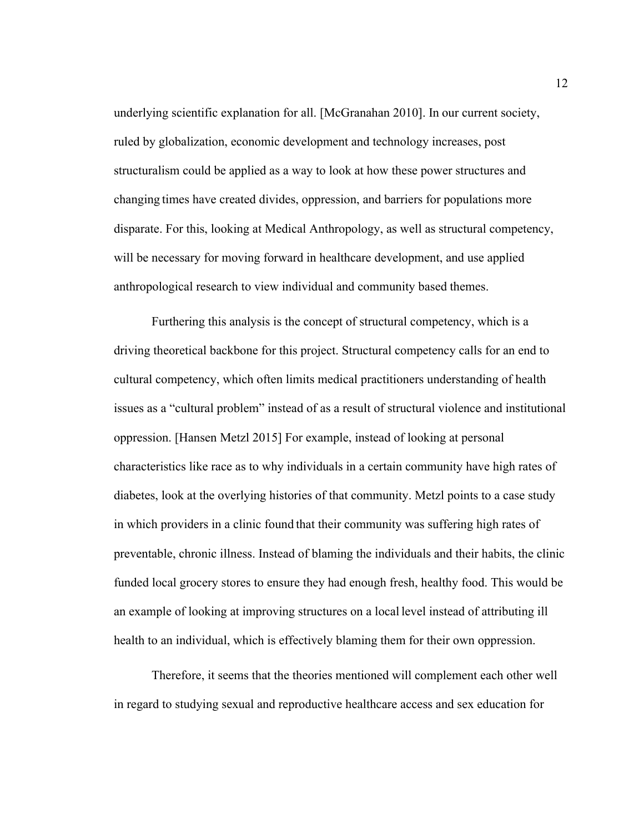underlying scientific explanation for all. [McGranahan 2010]. In our current society, ruled by globalization, economic development and technology increases, post structuralism could be applied as a way to look at how these power structures and changing times have created divides, oppression, and barriers for populations more disparate. For this, looking at Medical Anthropology, as well as structural competency, will be necessary for moving forward in healthcare development, and use applied anthropological research to view individual and community based themes.

Furthering this analysis is the concept of structural competency, which is a driving theoretical backbone for this project. Structural competency calls for an end to cultural competency, which often limits medical practitioners understanding of health issues as a "cultural problem" instead of as a result of structural violence and institutional oppression. [Hansen Metzl 2015] For example, instead of looking at personal characteristics like race as to why individuals in a certain community have high rates of diabetes, look at the overlying histories of that community. Metzl points to a case study in which providers in a clinic found that their community was suffering high rates of preventable, chronic illness. Instead of blaming the individuals and their habits, the clinic funded local grocery stores to ensure they had enough fresh, healthy food. This would be an example of looking at improving structures on a local level instead of attributing ill health to an individual, which is effectively blaming them for their own oppression.

Therefore, it seems that the theories mentioned will complement each other well in regard to studying sexual and reproductive healthcare access and sex education for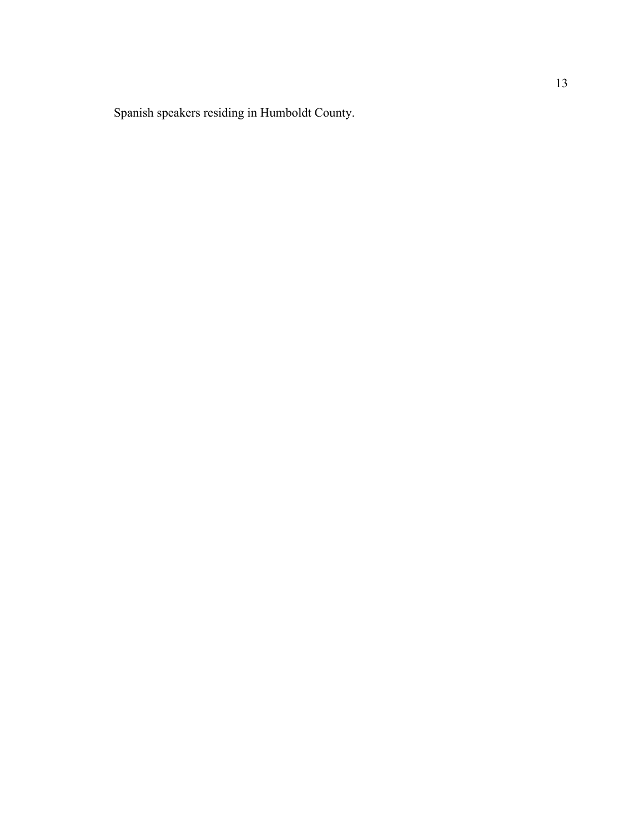Spanish speakers residing in Humboldt County.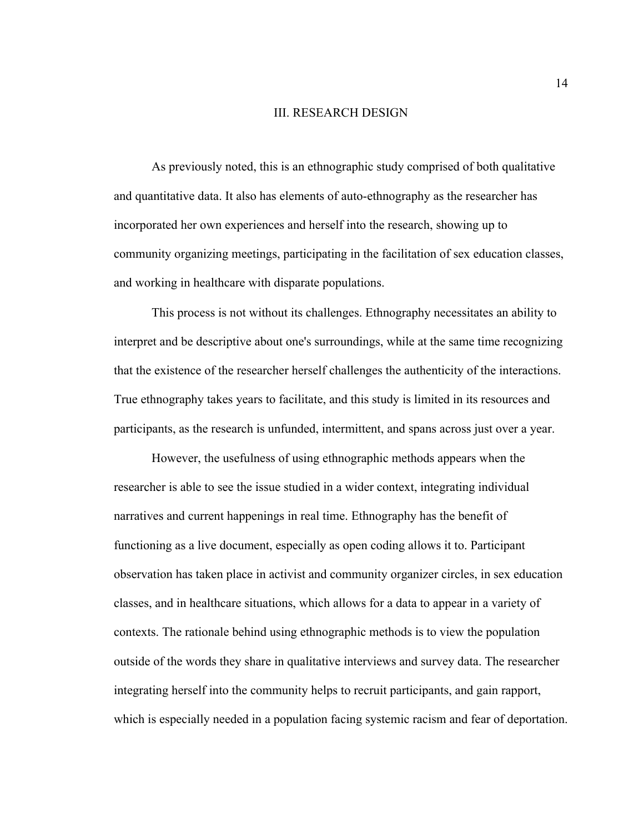#### III. RESEARCH DESIGN

As previously noted, this is an ethnographic study comprised of both qualitative and quantitative data. It also has elements of auto-ethnography as the researcher has incorporated her own experiences and herself into the research, showing up to community organizing meetings, participating in the facilitation of sex education classes, and working in healthcare with disparate populations.

This process is not without its challenges. Ethnography necessitates an ability to interpret and be descriptive about one's surroundings, while at the same time recognizing that the existence of the researcher herself challenges the authenticity of the interactions. True ethnography takes years to facilitate, and this study is limited in its resources and participants, as the research is unfunded, intermittent, and spans across just over a year.

However, the usefulness of using ethnographic methods appears when the researcher is able to see the issue studied in a wider context, integrating individual narratives and current happenings in real time. Ethnography has the benefit of functioning as a live document, especially as open coding allows it to. Participant observation has taken place in activist and community organizer circles, in sex education classes, and in healthcare situations, which allows for a data to appear in a variety of contexts. The rationale behind using ethnographic methods is to view the population outside of the words they share in qualitative interviews and survey data. The researcher integrating herself into the community helps to recruit participants, and gain rapport, which is especially needed in a population facing systemic racism and fear of deportation.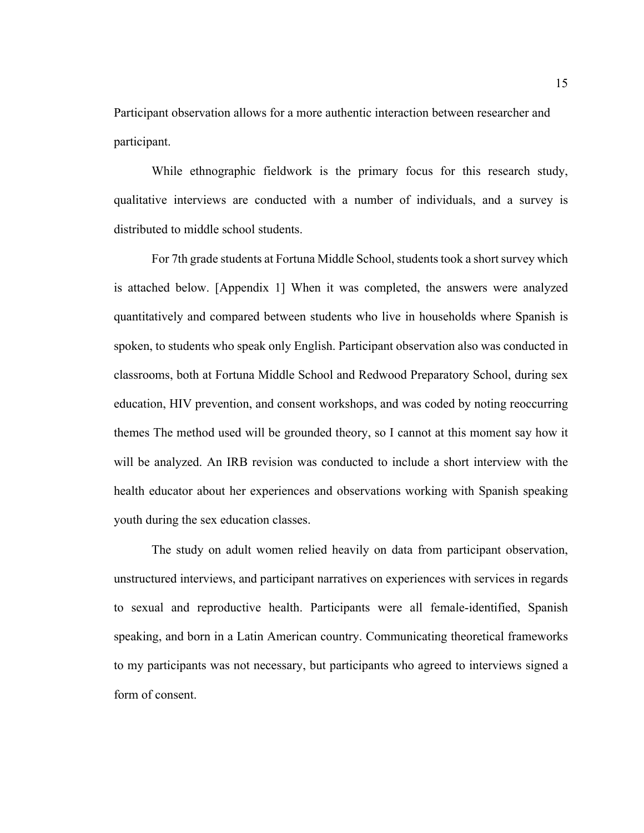Participant observation allows for a more authentic interaction between researcher and participant.

While ethnographic fieldwork is the primary focus for this research study, qualitative interviews are conducted with a number of individuals, and a survey is distributed to middle school students.

For 7th grade students at Fortuna Middle School, students took a short survey which is attached below. [Appendix 1] When it was completed, the answers were analyzed quantitatively and compared between students who live in households where Spanish is spoken, to students who speak only English. Participant observation also was conducted in classrooms, both at Fortuna Middle School and Redwood Preparatory School, during sex education, HIV prevention, and consent workshops, and was coded by noting reoccurring themes The method used will be grounded theory, so I cannot at this moment say how it will be analyzed. An IRB revision was conducted to include a short interview with the health educator about her experiences and observations working with Spanish speaking youth during the sex education classes.

The study on adult women relied heavily on data from participant observation, unstructured interviews, and participant narratives on experiences with services in regards to sexual and reproductive health. Participants were all female-identified, Spanish speaking, and born in a Latin American country. Communicating theoretical frameworks to my participants was not necessary, but participants who agreed to interviews signed a form of consent.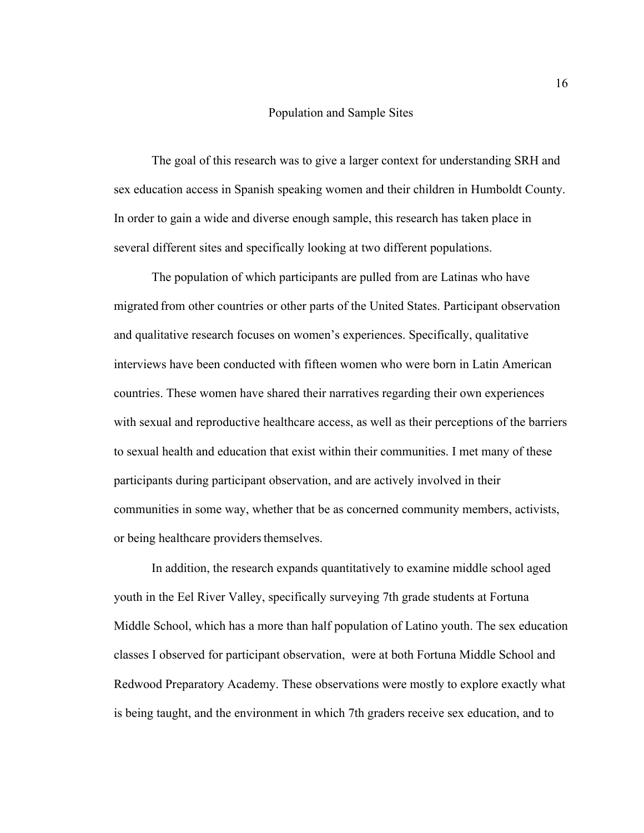#### Population and Sample Sites

The goal of this research was to give a larger context for understanding SRH and sex education access in Spanish speaking women and their children in Humboldt County. In order to gain a wide and diverse enough sample, this research has taken place in several different sites and specifically looking at two different populations.

The population of which participants are pulled from are Latinas who have migrated from other countries or other parts of the United States. Participant observation and qualitative research focuses on women's experiences. Specifically, qualitative interviews have been conducted with fifteen women who were born in Latin American countries. These women have shared their narratives regarding their own experiences with sexual and reproductive healthcare access, as well as their perceptions of the barriers to sexual health and education that exist within their communities. I met many of these participants during participant observation, and are actively involved in their communities in some way, whether that be as concerned community members, activists, or being healthcare providers themselves.

In addition, the research expands quantitatively to examine middle school aged youth in the Eel River Valley, specifically surveying 7th grade students at Fortuna Middle School, which has a more than half population of Latino youth. The sex education classes I observed for participant observation, were at both Fortuna Middle School and Redwood Preparatory Academy. These observations were mostly to explore exactly what is being taught, and the environment in which 7th graders receive sex education, and to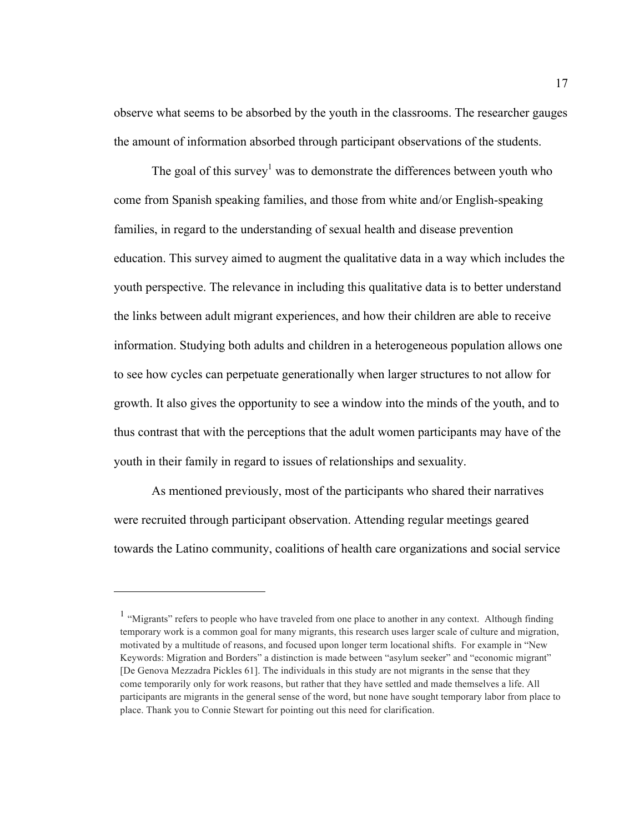observe what seems to be absorbed by the youth in the classrooms. The researcher gauges the amount of information absorbed through participant observations of the students.

The goal of this survey<sup>1</sup> was to demonstrate the differences between youth who come from Spanish speaking families, and those from white and/or English-speaking families, in regard to the understanding of sexual health and disease prevention education. This survey aimed to augment the qualitative data in a way which includes the youth perspective. The relevance in including this qualitative data is to better understand the links between adult migrant experiences, and how their children are able to receive information. Studying both adults and children in a heterogeneous population allows one to see how cycles can perpetuate generationally when larger structures to not allow for growth. It also gives the opportunity to see a window into the minds of the youth, and to thus contrast that with the perceptions that the adult women participants may have of the youth in their family in regard to issues of relationships and sexuality.

As mentioned previously, most of the participants who shared their narratives were recruited through participant observation. Attending regular meetings geared towards the Latino community, coalitions of health care organizations and social service

1

<sup>&</sup>lt;sup>1</sup> "Migrants" refers to people who have traveled from one place to another in any context. Although finding temporary work is a common goal for many migrants, this research uses larger scale of culture and migration, motivated by a multitude of reasons, and focused upon longer term locational shifts. For example in "New Keywords: Migration and Borders" a distinction is made between "asylum seeker" and "economic migrant" [De Genova Mezzadra Pickles 61]. The individuals in this study are not migrants in the sense that they come temporarily only for work reasons, but rather that they have settled and made themselves a life. All participants are migrants in the general sense of the word, but none have sought temporary labor from place to place. Thank you to Connie Stewart for pointing out this need for clarification.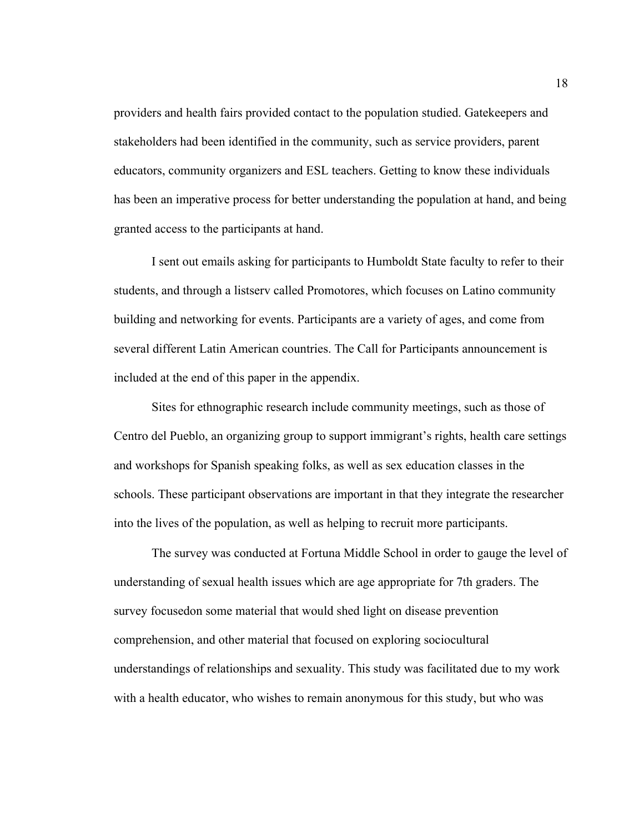providers and health fairs provided contact to the population studied. Gatekeepers and stakeholders had been identified in the community, such as service providers, parent educators, community organizers and ESL teachers. Getting to know these individuals has been an imperative process for better understanding the population at hand, and being granted access to the participants at hand.

I sent out emails asking for participants to Humboldt State faculty to refer to their students, and through a listserv called Promotores, which focuses on Latino community building and networking for events. Participants are a variety of ages, and come from several different Latin American countries. The Call for Participants announcement is included at the end of this paper in the appendix.

Sites for ethnographic research include community meetings, such as those of Centro del Pueblo, an organizing group to support immigrant's rights, health care settings and workshops for Spanish speaking folks, as well as sex education classes in the schools. These participant observations are important in that they integrate the researcher into the lives of the population, as well as helping to recruit more participants.

The survey was conducted at Fortuna Middle School in order to gauge the level of understanding of sexual health issues which are age appropriate for 7th graders. The survey focusedon some material that would shed light on disease prevention comprehension, and other material that focused on exploring sociocultural understandings of relationships and sexuality. This study was facilitated due to my work with a health educator, who wishes to remain anonymous for this study, but who was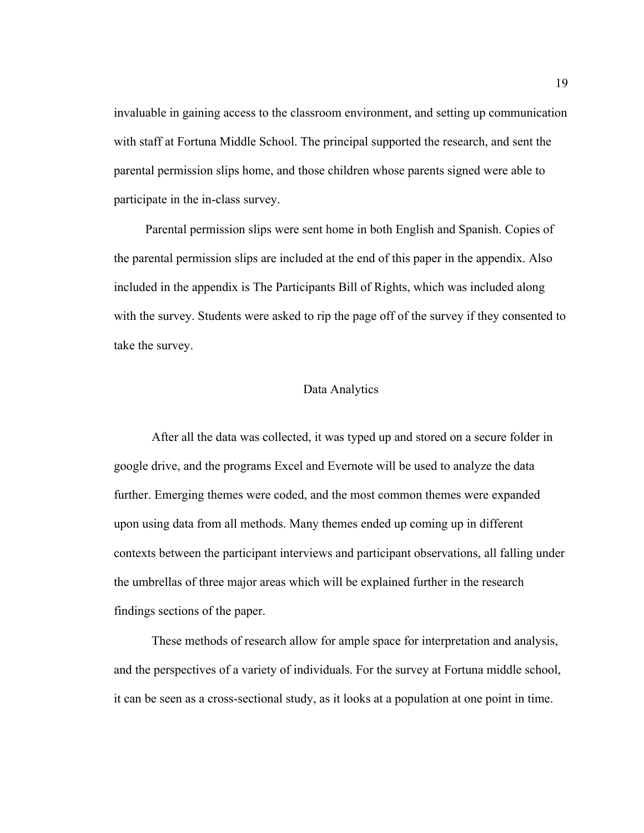invaluable in gaining access to the classroom environment, and setting up communication with staff at Fortuna Middle School. The principal supported the research, and sent the parental permission slips home, and those children whose parents signed were able to participate in the in-class survey.

Parental permission slips were sent home in both English and Spanish. Copies of the parental permission slips are included at the end of this paper in the appendix. Also included in the appendix is The Participants Bill of Rights, which was included along with the survey. Students were asked to rip the page off of the survey if they consented to take the survey.

#### Data Analytics

After all the data was collected, it was typed up and stored on a secure folder in google drive, and the programs Excel and Evernote will be used to analyze the data further. Emerging themes were coded, and the most common themes were expanded upon using data from all methods. Many themes ended up coming up in different contexts between the participant interviews and participant observations, all falling under the umbrellas of three major areas which will be explained further in the research findings sections of the paper.

These methods of research allow for ample space for interpretation and analysis, and the perspectives of a variety of individuals. For the survey at Fortuna middle school, it can be seen as a cross-sectional study, as it looks at a population at one point in time.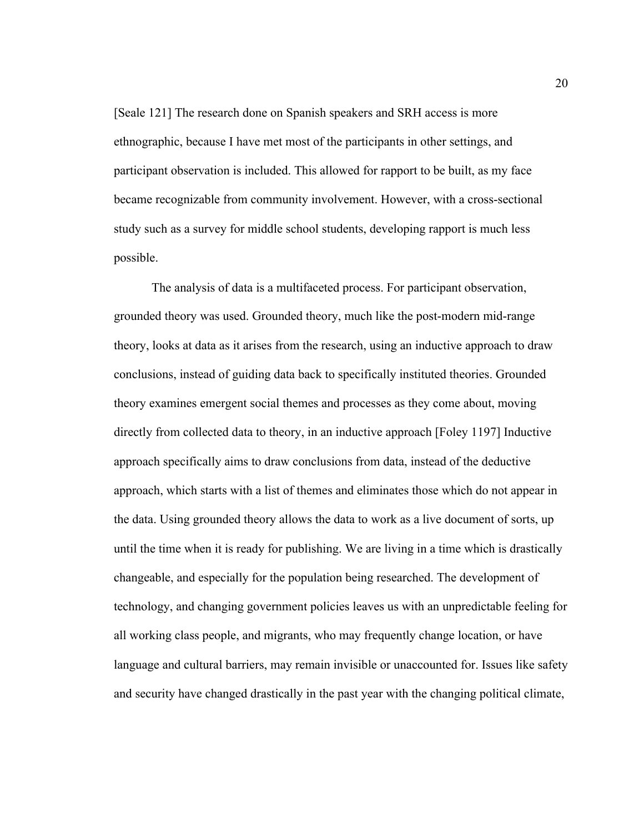[Seale 121] The research done on Spanish speakers and SRH access is more ethnographic, because I have met most of the participants in other settings, and participant observation is included. This allowed for rapport to be built, as my face became recognizable from community involvement. However, with a cross-sectional study such as a survey for middle school students, developing rapport is much less possible.

The analysis of data is a multifaceted process. For participant observation, grounded theory was used. Grounded theory, much like the post-modern mid-range theory, looks at data as it arises from the research, using an inductive approach to draw conclusions, instead of guiding data back to specifically instituted theories. Grounded theory examines emergent social themes and processes as they come about, moving directly from collected data to theory, in an inductive approach [Foley 1197] Inductive approach specifically aims to draw conclusions from data, instead of the deductive approach, which starts with a list of themes and eliminates those which do not appear in the data. Using grounded theory allows the data to work as a live document of sorts, up until the time when it is ready for publishing. We are living in a time which is drastically changeable, and especially for the population being researched. The development of technology, and changing government policies leaves us with an unpredictable feeling for all working class people, and migrants, who may frequently change location, or have language and cultural barriers, may remain invisible or unaccounted for. Issues like safety and security have changed drastically in the past year with the changing political climate,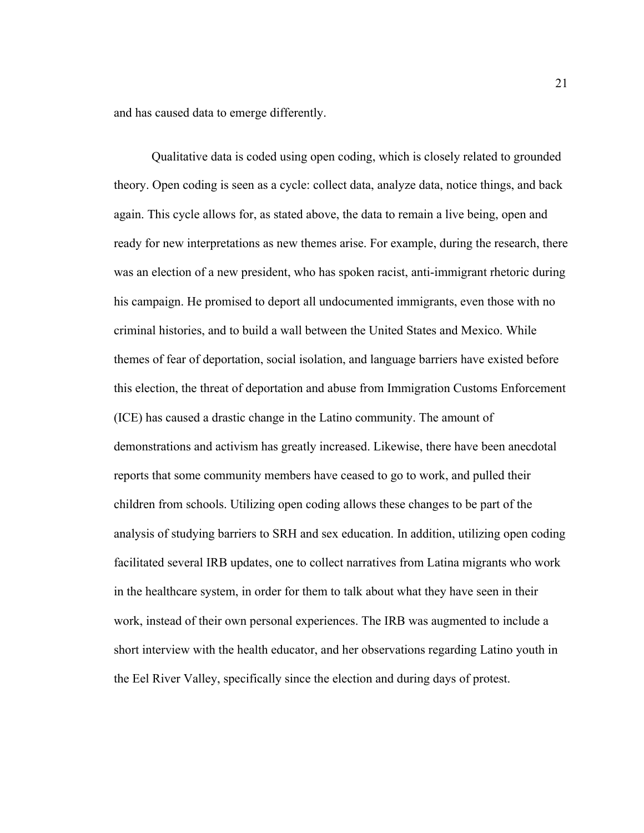and has caused data to emerge differently.

Qualitative data is coded using open coding, which is closely related to grounded theory. Open coding is seen as a cycle: collect data, analyze data, notice things, and back again. This cycle allows for, as stated above, the data to remain a live being, open and ready for new interpretations as new themes arise. For example, during the research, there was an election of a new president, who has spoken racist, anti-immigrant rhetoric during his campaign. He promised to deport all undocumented immigrants, even those with no criminal histories, and to build a wall between the United States and Mexico. While themes of fear of deportation, social isolation, and language barriers have existed before this election, the threat of deportation and abuse from Immigration Customs Enforcement (ICE) has caused a drastic change in the Latino community. The amount of demonstrations and activism has greatly increased. Likewise, there have been anecdotal reports that some community members have ceased to go to work, and pulled their children from schools. Utilizing open coding allows these changes to be part of the analysis of studying barriers to SRH and sex education. In addition, utilizing open coding facilitated several IRB updates, one to collect narratives from Latina migrants who work in the healthcare system, in order for them to talk about what they have seen in their work, instead of their own personal experiences. The IRB was augmented to include a short interview with the health educator, and her observations regarding Latino youth in the Eel River Valley, specifically since the election and during days of protest.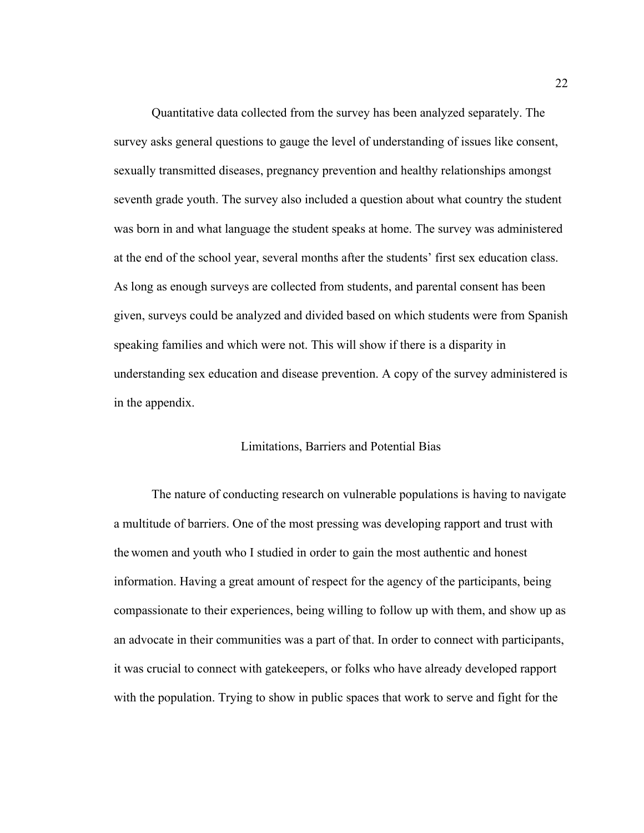Quantitative data collected from the survey has been analyzed separately. The survey asks general questions to gauge the level of understanding of issues like consent, sexually transmitted diseases, pregnancy prevention and healthy relationships amongst seventh grade youth. The survey also included a question about what country the student was born in and what language the student speaks at home. The survey was administered at the end of the school year, several months after the students' first sex education class. As long as enough surveys are collected from students, and parental consent has been given, surveys could be analyzed and divided based on which students were from Spanish speaking families and which were not. This will show if there is a disparity in understanding sex education and disease prevention. A copy of the survey administered is in the appendix.

#### Limitations, Barriers and Potential Bias

The nature of conducting research on vulnerable populations is having to navigate a multitude of barriers. One of the most pressing was developing rapport and trust with the women and youth who I studied in order to gain the most authentic and honest information. Having a great amount of respect for the agency of the participants, being compassionate to their experiences, being willing to follow up with them, and show up as an advocate in their communities was a part of that. In order to connect with participants, it was crucial to connect with gatekeepers, or folks who have already developed rapport with the population. Trying to show in public spaces that work to serve and fight for the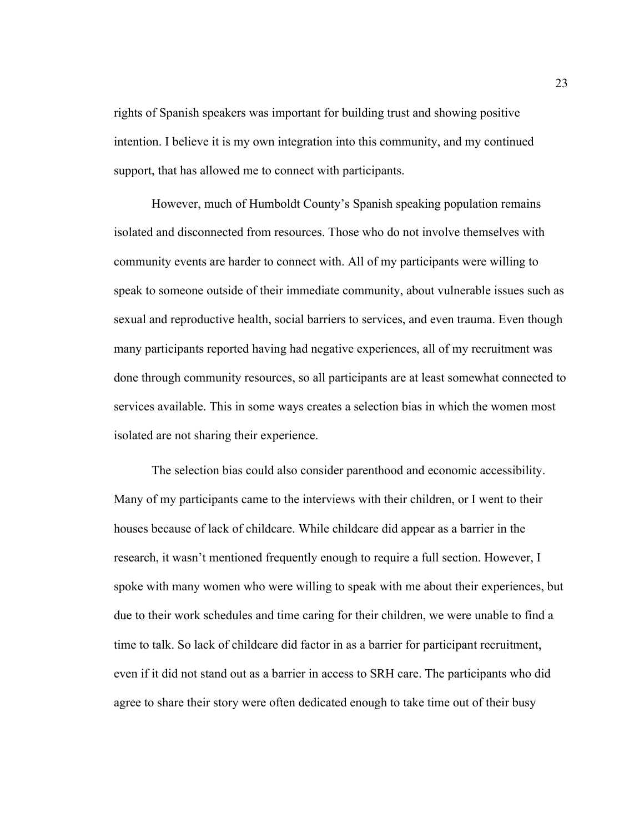rights of Spanish speakers was important for building trust and showing positive intention. I believe it is my own integration into this community, and my continued support, that has allowed me to connect with participants.

However, much of Humboldt County's Spanish speaking population remains isolated and disconnected from resources. Those who do not involve themselves with community events are harder to connect with. All of my participants were willing to speak to someone outside of their immediate community, about vulnerable issues such as sexual and reproductive health, social barriers to services, and even trauma. Even though many participants reported having had negative experiences, all of my recruitment was done through community resources, so all participants are at least somewhat connected to services available. This in some ways creates a selection bias in which the women most isolated are not sharing their experience.

The selection bias could also consider parenthood and economic accessibility. Many of my participants came to the interviews with their children, or I went to their houses because of lack of childcare. While childcare did appear as a barrier in the research, it wasn't mentioned frequently enough to require a full section. However, I spoke with many women who were willing to speak with me about their experiences, but due to their work schedules and time caring for their children, we were unable to find a time to talk. So lack of childcare did factor in as a barrier for participant recruitment, even if it did not stand out as a barrier in access to SRH care. The participants who did agree to share their story were often dedicated enough to take time out of their busy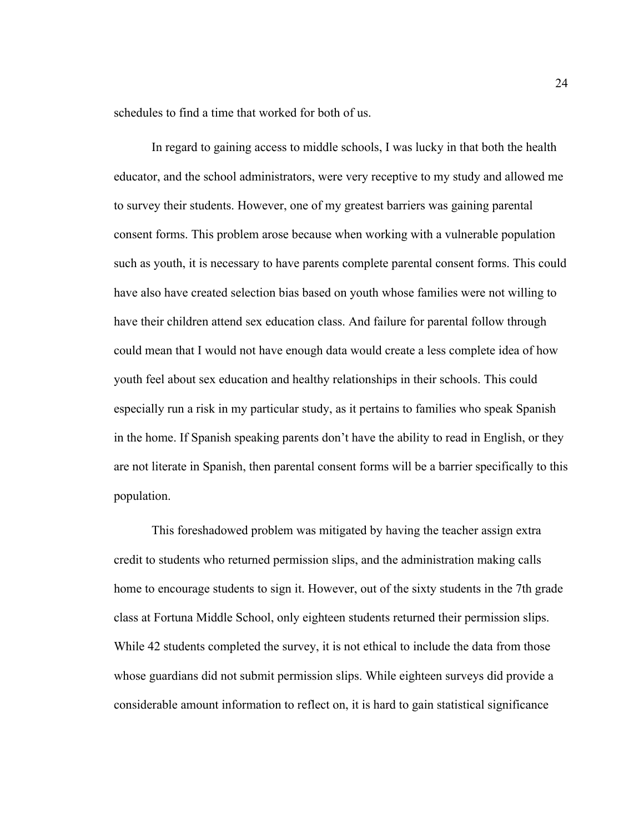schedules to find a time that worked for both of us.

In regard to gaining access to middle schools, I was lucky in that both the health educator, and the school administrators, were very receptive to my study and allowed me to survey their students. However, one of my greatest barriers was gaining parental consent forms. This problem arose because when working with a vulnerable population such as youth, it is necessary to have parents complete parental consent forms. This could have also have created selection bias based on youth whose families were not willing to have their children attend sex education class. And failure for parental follow through could mean that I would not have enough data would create a less complete idea of how youth feel about sex education and healthy relationships in their schools. This could especially run a risk in my particular study, as it pertains to families who speak Spanish in the home. If Spanish speaking parents don't have the ability to read in English, or they are not literate in Spanish, then parental consent forms will be a barrier specifically to this population.

This foreshadowed problem was mitigated by having the teacher assign extra credit to students who returned permission slips, and the administration making calls home to encourage students to sign it. However, out of the sixty students in the 7th grade class at Fortuna Middle School, only eighteen students returned their permission slips. While 42 students completed the survey, it is not ethical to include the data from those whose guardians did not submit permission slips. While eighteen surveys did provide a considerable amount information to reflect on, it is hard to gain statistical significance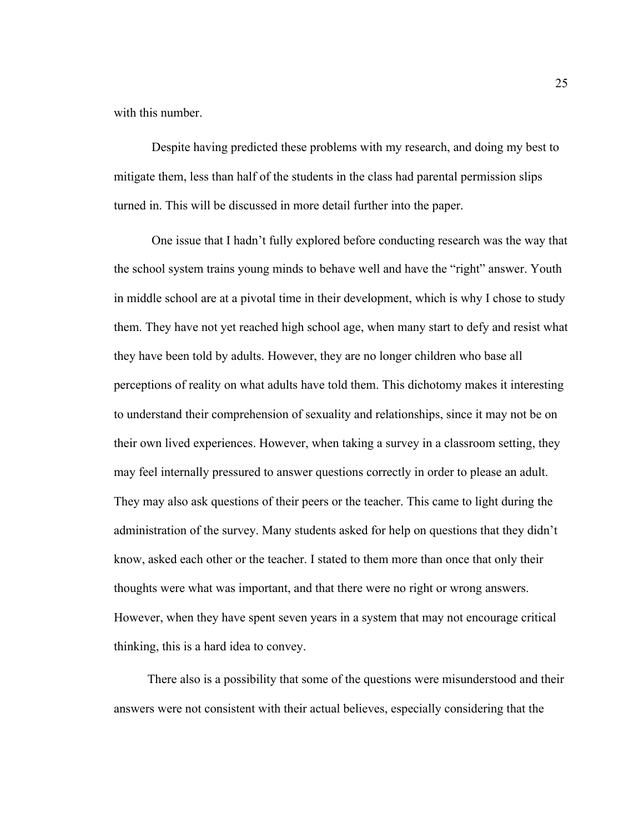with this number.

Despite having predicted these problems with my research, and doing my best to mitigate them, less than half of the students in the class had parental permission slips turned in. This will be discussed in more detail further into the paper.

One issue that I hadn't fully explored before conducting research was the way that the school system trains young minds to behave well and have the "right" answer. Youth in middle school are at a pivotal time in their development, which is why I chose to study them. They have not yet reached high school age, when many start to defy and resist what they have been told by adults. However, they are no longer children who base all perceptions of reality on what adults have told them. This dichotomy makes it interesting to understand their comprehension of sexuality and relationships, since it may not be on their own lived experiences. However, when taking a survey in a classroom setting, they may feel internally pressured to answer questions correctly in order to please an adult. They may also ask questions of their peers or the teacher. This came to light during the administration of the survey. Many students asked for help on questions that they didn't know, asked each other or the teacher. I stated to them more than once that only their thoughts were what was important, and that there were no right or wrong answers. However, when they have spent seven years in a system that may not encourage critical thinking, this is a hard idea to convey.

There also is a possibility that some of the questions were misunderstood and their answers were not consistent with their actual believes, especially considering that the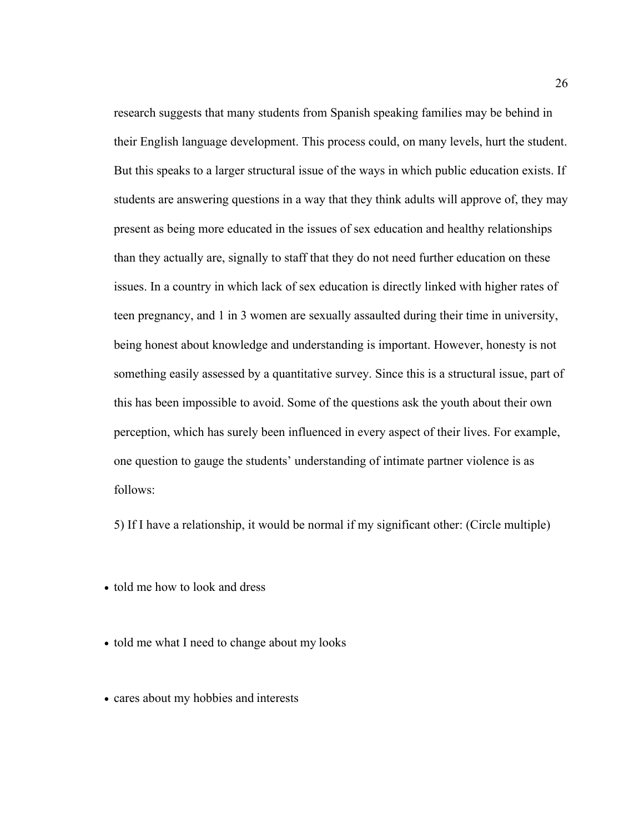research suggests that many students from Spanish speaking families may be behind in their English language development. This process could, on many levels, hurt the student. But this speaks to a larger structural issue of the ways in which public education exists. If students are answering questions in a way that they think adults will approve of, they may present as being more educated in the issues of sex education and healthy relationships than they actually are, signally to staff that they do not need further education on these issues. In a country in which lack of sex education is directly linked with higher rates of teen pregnancy, and 1 in 3 women are sexually assaulted during their time in university, being honest about knowledge and understanding is important. However, honesty is not something easily assessed by a quantitative survey. Since this is a structural issue, part of this has been impossible to avoid. Some of the questions ask the youth about their own perception, which has surely been influenced in every aspect of their lives. For example, one question to gauge the students' understanding of intimate partner violence is as follows:

5) If I have a relationship, it would be normal if my significant other: (Circle multiple)

- told me how to look and dress
- told me what I need to change about my looks
- cares about my hobbies and interests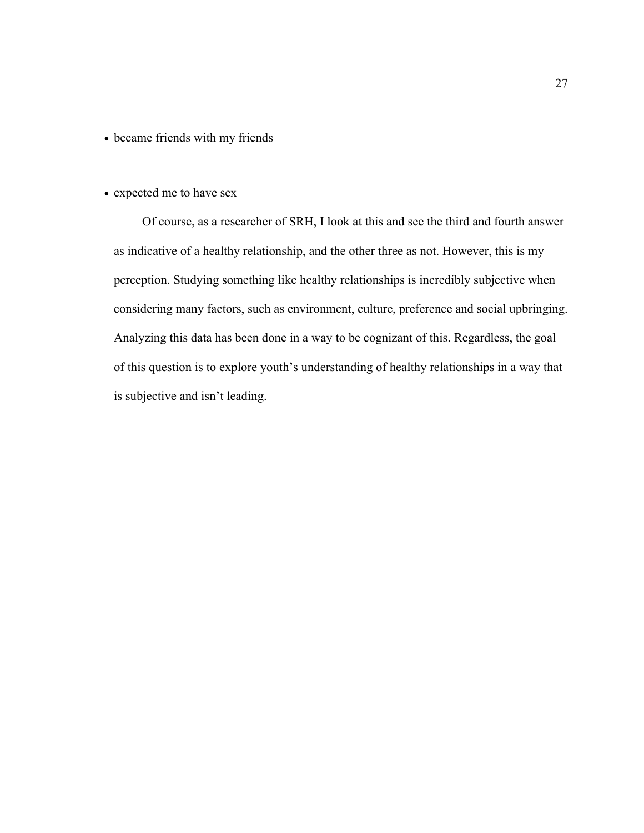- became friends with my friends
- expected me to have sex

Of course, as a researcher of SRH, I look at this and see the third and fourth answer as indicative of a healthy relationship, and the other three as not. However, this is my perception. Studying something like healthy relationships is incredibly subjective when considering many factors, such as environment, culture, preference and social upbringing. Analyzing this data has been done in a way to be cognizant of this. Regardless, the goal of this question is to explore youth's understanding of healthy relationships in a way that is subjective and isn't leading.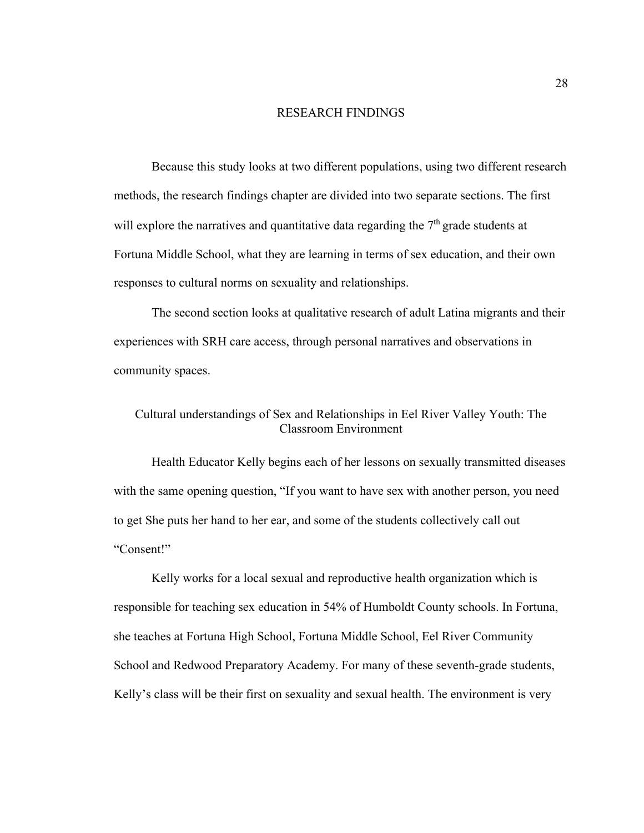#### RESEARCH FINDINGS

Because this study looks at two different populations, using two different research methods, the research findings chapter are divided into two separate sections. The first will explore the narratives and quantitative data regarding the  $7<sup>th</sup>$  grade students at Fortuna Middle School, what they are learning in terms of sex education, and their own responses to cultural norms on sexuality and relationships.

The second section looks at qualitative research of adult Latina migrants and their experiences with SRH care access, through personal narratives and observations in community spaces.

# Cultural understandings of Sex and Relationships in Eel River Valley Youth: The Classroom Environment

Health Educator Kelly begins each of her lessons on sexually transmitted diseases with the same opening question, "If you want to have sex with another person, you need to get She puts her hand to her ear, and some of the students collectively call out "Consent!"

Kelly works for a local sexual and reproductive health organization which is responsible for teaching sex education in 54% of Humboldt County schools. In Fortuna, she teaches at Fortuna High School, Fortuna Middle School, Eel River Community School and Redwood Preparatory Academy. For many of these seventh-grade students, Kelly's class will be their first on sexuality and sexual health. The environment is very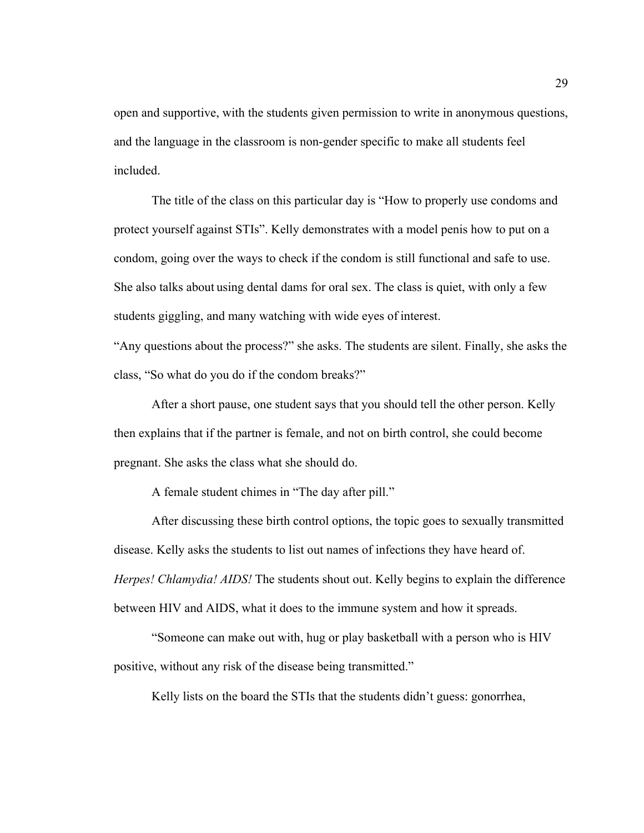open and supportive, with the students given permission to write in anonymous questions, and the language in the classroom is non-gender specific to make all students feel included.

The title of the class on this particular day is "How to properly use condoms and protect yourself against STIs". Kelly demonstrates with a model penis how to put on a condom, going over the ways to check if the condom is still functional and safe to use. She also talks about using dental dams for oral sex. The class is quiet, with only a few students giggling, and many watching with wide eyes of interest.

"Any questions about the process?" she asks. The students are silent. Finally, she asks the class, "So what do you do if the condom breaks?"

After a short pause, one student says that you should tell the other person. Kelly then explains that if the partner is female, and not on birth control, she could become pregnant. She asks the class what she should do.

A female student chimes in "The day after pill."

After discussing these birth control options, the topic goes to sexually transmitted disease. Kelly asks the students to list out names of infections they have heard of. *Herpes! Chlamydia! AIDS!* The students shout out. Kelly begins to explain the difference between HIV and AIDS, what it does to the immune system and how it spreads.

"Someone can make out with, hug or play basketball with a person who is HIV positive, without any risk of the disease being transmitted."

Kelly lists on the board the STIs that the students didn't guess: gonorrhea,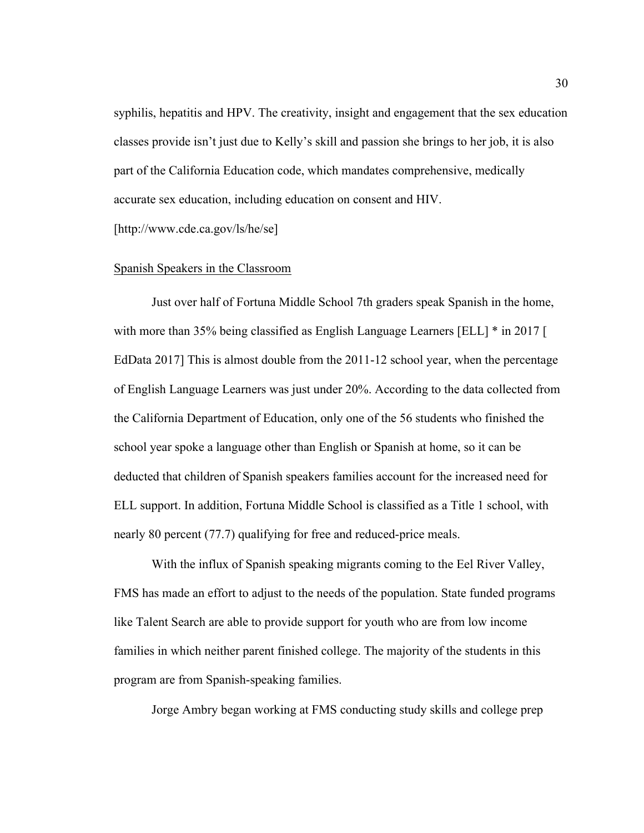syphilis, hepatitis and HPV. The creativity, insight and engagement that the sex education classes provide isn't just due to Kelly's skill and passion she brings to her job, it is also part of the California Education code, which mandates comprehensive, medically accurate sex education, including education on consent and HIV. [http://www.cde.ca.gov/ls/he/se]

### Spanish Speakers in the Classroom

Just over half of Fortuna Middle School 7th graders speak Spanish in the home, with more than 35% being classified as English Language Learners [ELL] \* in 2017 [ EdData 2017] This is almost double from the 2011-12 school year, when the percentage of English Language Learners was just under 20%. According to the data collected from the California Department of Education, only one of the 56 students who finished the school year spoke a language other than English or Spanish at home, so it can be deducted that children of Spanish speakers families account for the increased need for ELL support. In addition, Fortuna Middle School is classified as a Title 1 school, with nearly 80 percent (77.7) qualifying for free and reduced-price meals.

With the influx of Spanish speaking migrants coming to the Eel River Valley, FMS has made an effort to adjust to the needs of the population. State funded programs like Talent Search are able to provide support for youth who are from low income families in which neither parent finished college. The majority of the students in this program are from Spanish-speaking families.

Jorge Ambry began working at FMS conducting study skills and college prep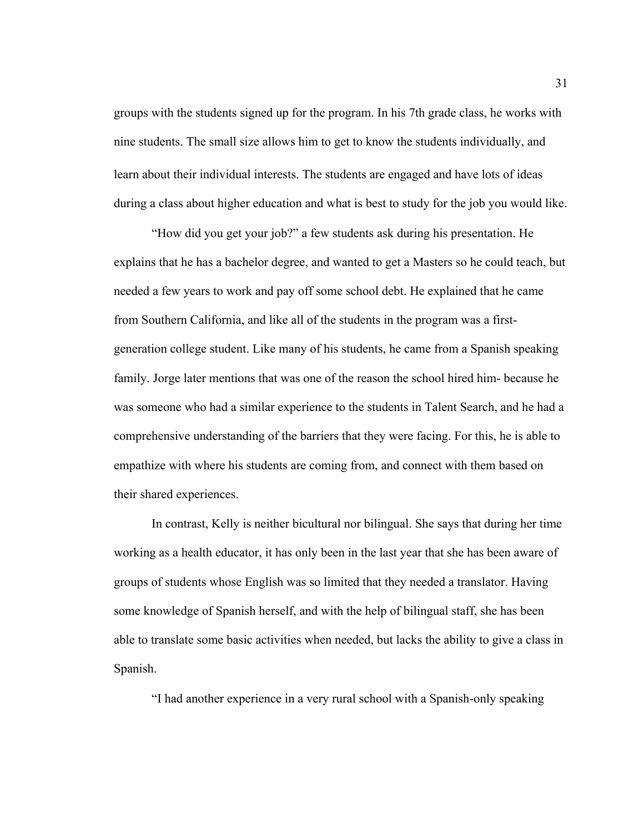groups with the students signed up for the program. In his 7th grade class, he works with nine students. The small size allows him to get to know the students individually, and learn about their individual interests. The students are engaged and have lots of ideas during a class about higher education and what is best to study for the job you would like.

"How did you get your job?" a few students ask during his presentation. He explains that he has a bachelor degree, and wanted to get a Masters so he could teach, but needed a few years to work and pay off some school debt. He explained that he came from Southern California, and like all of the students in the program was a firstgeneration college student. Like many of his students, he came from a Spanish speaking family. Jorge later mentions that was one of the reason the school hired him- because he was someone who had a similar experience to the students in Talent Search, and he had a comprehensive understanding of the barriers that they were facing. For this, he is able to empathize with where his students are coming from, and connect with them based on their shared experiences.

In contrast, Kelly is neither bicultural nor bilingual. She says that during her time working as a health educator, it has only been in the last year that she has been aware of groups of students whose English was so limited that they needed a translator. Having some knowledge of Spanish herself, and with the help of bilingual staff, she has been able to translate some basic activities when needed, but lacks the ability to give a class in Spanish.

"I had another experience in a very rural school with a Spanish-only speaking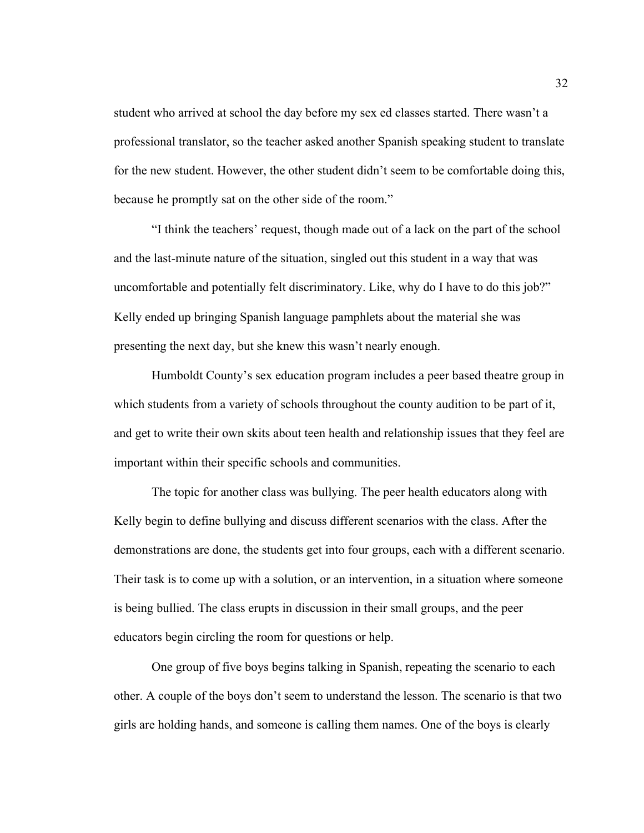student who arrived at school the day before my sex ed classes started. There wasn't a professional translator, so the teacher asked another Spanish speaking student to translate for the new student. However, the other student didn't seem to be comfortable doing this, because he promptly sat on the other side of the room."

"I think the teachers' request, though made out of a lack on the part of the school and the last-minute nature of the situation, singled out this student in a way that was uncomfortable and potentially felt discriminatory. Like, why do I have to do this job?" Kelly ended up bringing Spanish language pamphlets about the material she was presenting the next day, but she knew this wasn't nearly enough.

Humboldt County's sex education program includes a peer based theatre group in which students from a variety of schools throughout the county audition to be part of it, and get to write their own skits about teen health and relationship issues that they feel are important within their specific schools and communities.

The topic for another class was bullying. The peer health educators along with Kelly begin to define bullying and discuss different scenarios with the class. After the demonstrations are done, the students get into four groups, each with a different scenario. Their task is to come up with a solution, or an intervention, in a situation where someone is being bullied. The class erupts in discussion in their small groups, and the peer educators begin circling the room for questions or help.

One group of five boys begins talking in Spanish, repeating the scenario to each other. A couple of the boys don't seem to understand the lesson. The scenario is that two girls are holding hands, and someone is calling them names. One of the boys is clearly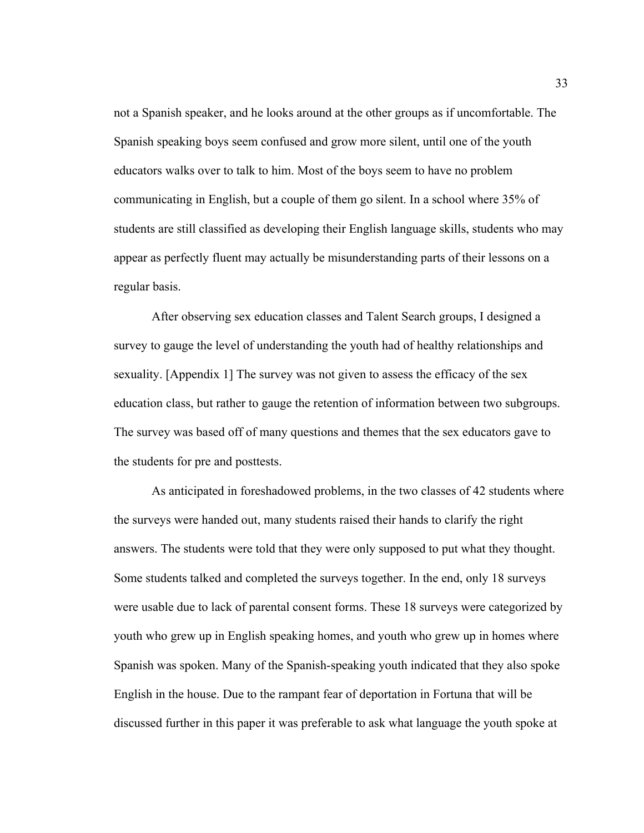not a Spanish speaker, and he looks around at the other groups as if uncomfortable. The Spanish speaking boys seem confused and grow more silent, until one of the youth educators walks over to talk to him. Most of the boys seem to have no problem communicating in English, but a couple of them go silent. In a school where 35% of students are still classified as developing their English language skills, students who may appear as perfectly fluent may actually be misunderstanding parts of their lessons on a regular basis.

After observing sex education classes and Talent Search groups, I designed a survey to gauge the level of understanding the youth had of healthy relationships and sexuality. [Appendix 1] The survey was not given to assess the efficacy of the sex education class, but rather to gauge the retention of information between two subgroups. The survey was based off of many questions and themes that the sex educators gave to the students for pre and posttests.

As anticipated in foreshadowed problems, in the two classes of 42 students where the surveys were handed out, many students raised their hands to clarify the right answers. The students were told that they were only supposed to put what they thought. Some students talked and completed the surveys together. In the end, only 18 surveys were usable due to lack of parental consent forms. These 18 surveys were categorized by youth who grew up in English speaking homes, and youth who grew up in homes where Spanish was spoken. Many of the Spanish-speaking youth indicated that they also spoke English in the house. Due to the rampant fear of deportation in Fortuna that will be discussed further in this paper it was preferable to ask what language the youth spoke at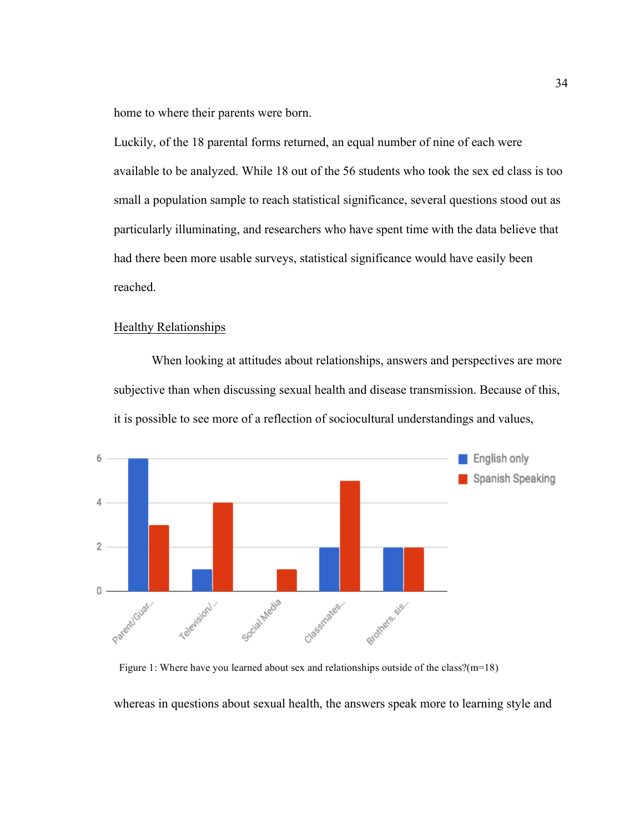home to where their parents were born.

Luckily, of the 18 parental forms returned, an equal number of nine of each were available to be analyzed. While 18 out of the 56 students who took the sex ed class is too small a population sample to reach statistical significance, several questions stood out as particularly illuminating, and researchers who have spent time with the data believe that had there been more usable surveys, statistical significance would have easily been reached.

### Healthy Relationships

When looking at attitudes about relationships, answers and perspectives are more subjective than when discussing sexual health and disease transmission. Because of this, it is possible to see more of a reflection of sociocultural understandings and values,



Figure 1: Where have you learned about sex and relationships outside of the class?(m=18)

whereas in questions about sexual health, the answers speak more to learning style and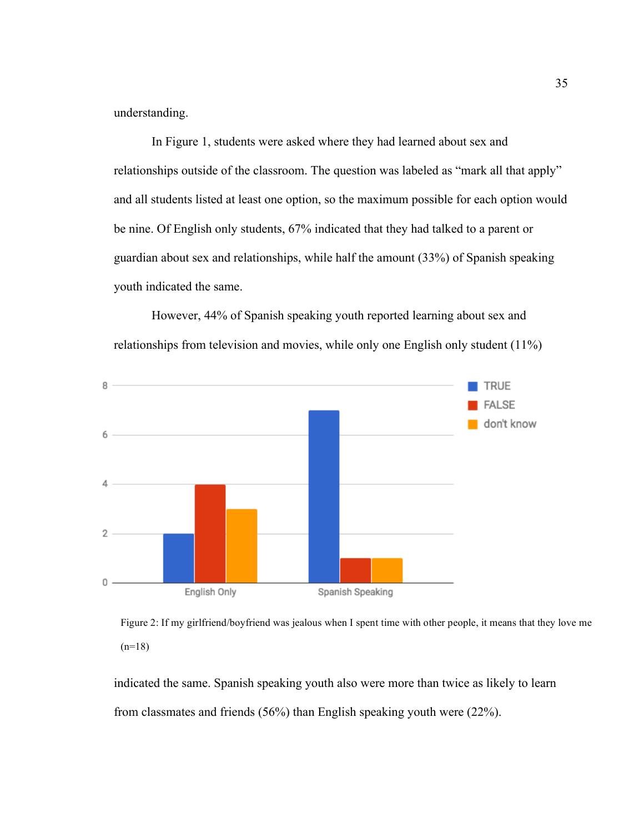understanding.

In Figure 1, students were asked where they had learned about sex and relationships outside of the classroom. The question was labeled as "mark all that apply" and all students listed at least one option, so the maximum possible for each option would be nine. Of English only students, 67% indicated that they had talked to a parent or guardian about sex and relationships, while half the amount (33%) of Spanish speaking youth indicated the same.

However, 44% of Spanish speaking youth reported learning about sex and relationships from television and movies, while only one English only student (11%)



Figure 2: If my girlfriend/boyfriend was jealous when I spent time with other people, it means that they love me  $(n=18)$ 

indicated the same. Spanish speaking youth also were more than twice as likely to learn from classmates and friends (56%) than English speaking youth were (22%).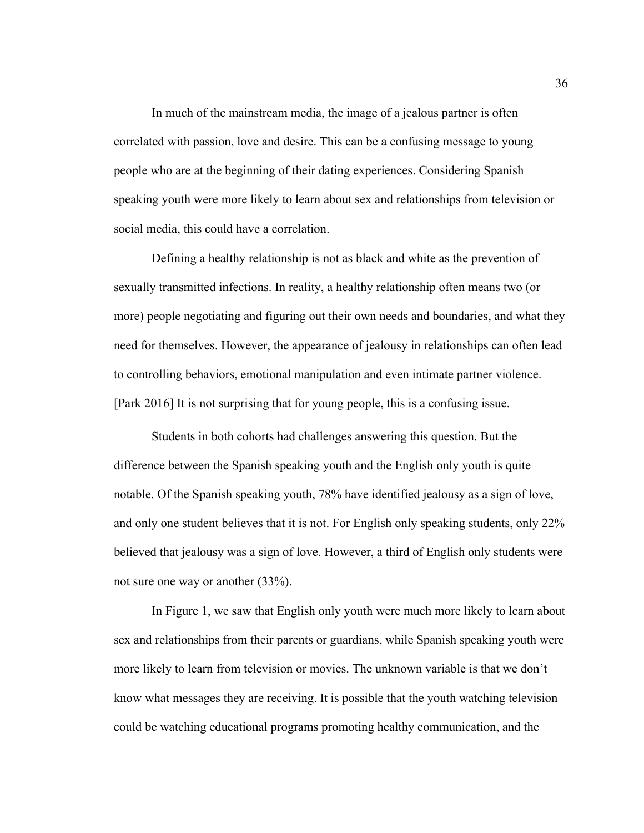In much of the mainstream media, the image of a jealous partner is often correlated with passion, love and desire. This can be a confusing message to young people who are at the beginning of their dating experiences. Considering Spanish speaking youth were more likely to learn about sex and relationships from television or social media, this could have a correlation.

Defining a healthy relationship is not as black and white as the prevention of sexually transmitted infections. In reality, a healthy relationship often means two (or more) people negotiating and figuring out their own needs and boundaries, and what they need for themselves. However, the appearance of jealousy in relationships can often lead to controlling behaviors, emotional manipulation and even intimate partner violence. [Park 2016] It is not surprising that for young people, this is a confusing issue.

Students in both cohorts had challenges answering this question. But the difference between the Spanish speaking youth and the English only youth is quite notable. Of the Spanish speaking youth, 78% have identified jealousy as a sign of love, and only one student believes that it is not. For English only speaking students, only 22% believed that jealousy was a sign of love. However, a third of English only students were not sure one way or another (33%).

In Figure 1, we saw that English only youth were much more likely to learn about sex and relationships from their parents or guardians, while Spanish speaking youth were more likely to learn from television or movies. The unknown variable is that we don't know what messages they are receiving. It is possible that the youth watching television could be watching educational programs promoting healthy communication, and the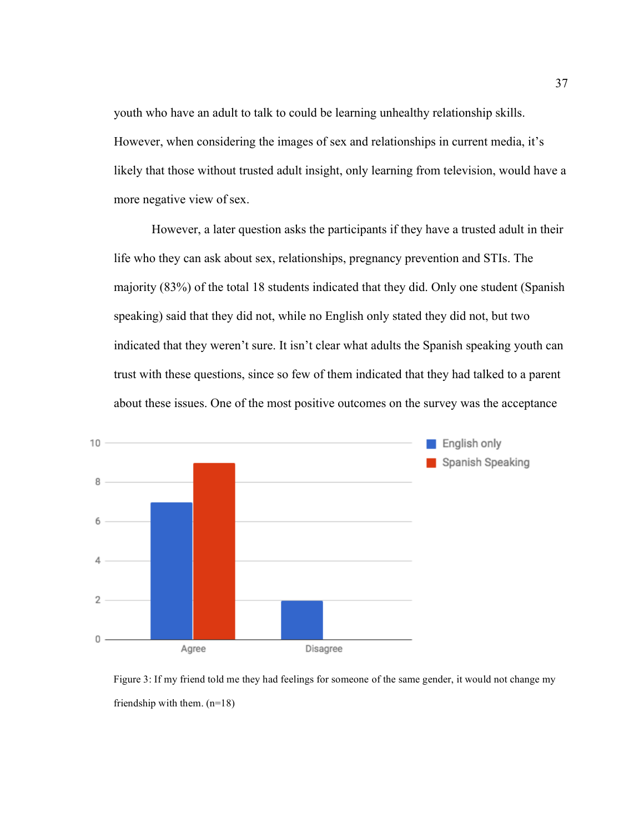youth who have an adult to talk to could be learning unhealthy relationship skills. However, when considering the images of sex and relationships in current media, it's likely that those without trusted adult insight, only learning from television, would have a more negative view of sex.

However, a later question asks the participants if they have a trusted adult in their life who they can ask about sex, relationships, pregnancy prevention and STIs. The majority (83%) of the total 18 students indicated that they did. Only one student (Spanish speaking) said that they did not, while no English only stated they did not, but two indicated that they weren't sure. It isn't clear what adults the Spanish speaking youth can trust with these questions, since so few of them indicated that they had talked to a parent about these issues. One of the most positive outcomes on the survey was the acceptance



Figure 3: If my friend told me they had feelings for someone of the same gender, it would not change my friendship with them. (n=18)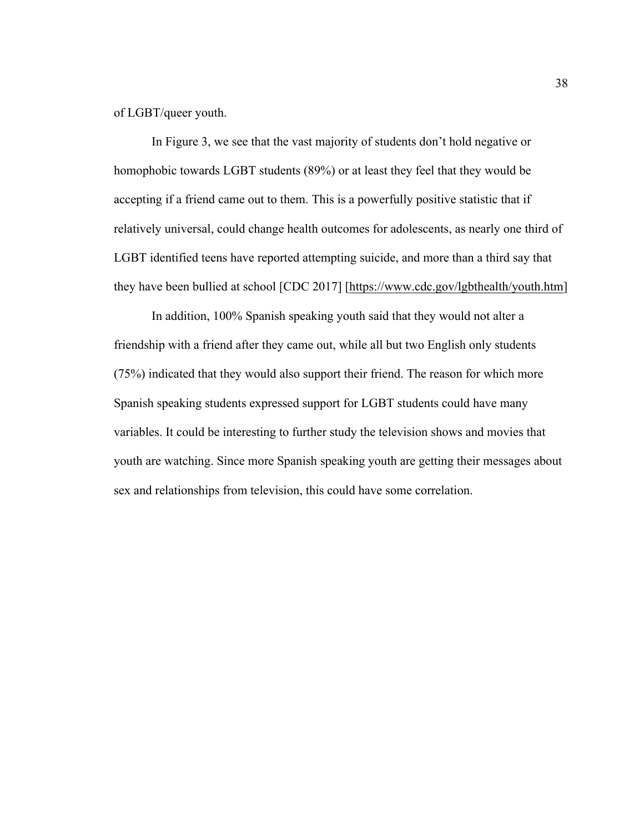of LGBT/queer youth.

In Figure 3, we see that the vast majority of students don't hold negative or homophobic towards LGBT students (89%) or at least they feel that they would be accepting if a friend came out to them. This is a powerfully positive statistic that if relatively universal, could change health outcomes for adolescents, as nearly one third of LGBT identified teens have reported attempting suicide, and more than a third say that they have been bullied at school [CDC 2017] [https://www.cdc.gov/lgbthealth/youth.htm]

In addition, 100% Spanish speaking youth said that they would not alter a friendship with a friend after they came out, while all but two English only students (75%) indicated that they would also support their friend. The reason for which more Spanish speaking students expressed support for LGBT students could have many variables. It could be interesting to further study the television shows and movies that youth are watching. Since more Spanish speaking youth are getting their messages about sex and relationships from television, this could have some correlation.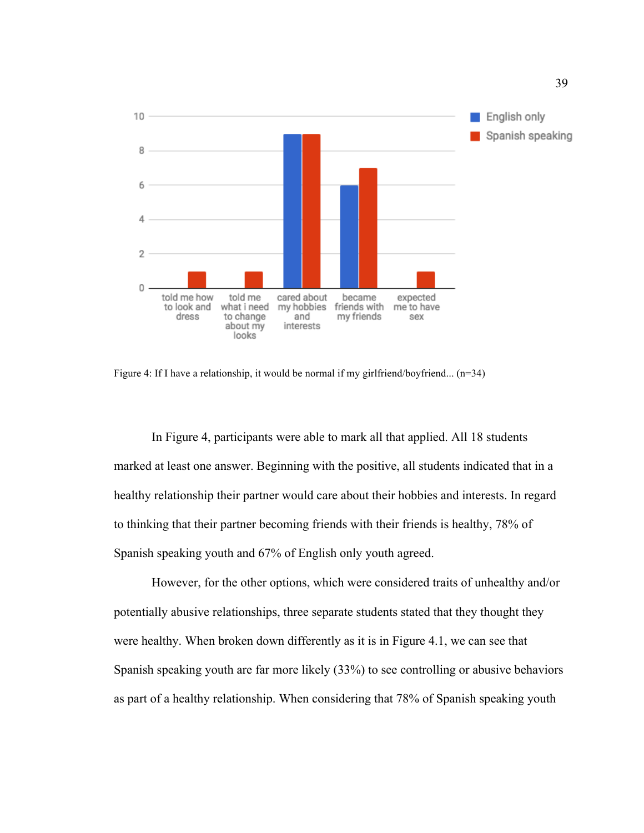

Figure 4: If I have a relationship, it would be normal if my girlfriend/boyfriend... (n=34)

In Figure 4, participants were able to mark all that applied. All 18 students marked at least one answer. Beginning with the positive, all students indicated that in a healthy relationship their partner would care about their hobbies and interests. In regard to thinking that their partner becoming friends with their friends is healthy, 78% of Spanish speaking youth and 67% of English only youth agreed.

However, for the other options, which were considered traits of unhealthy and/or potentially abusive relationships, three separate students stated that they thought they were healthy. When broken down differently as it is in Figure 4.1, we can see that Spanish speaking youth are far more likely (33%) to see controlling or abusive behaviors as part of a healthy relationship. When considering that 78% of Spanish speaking youth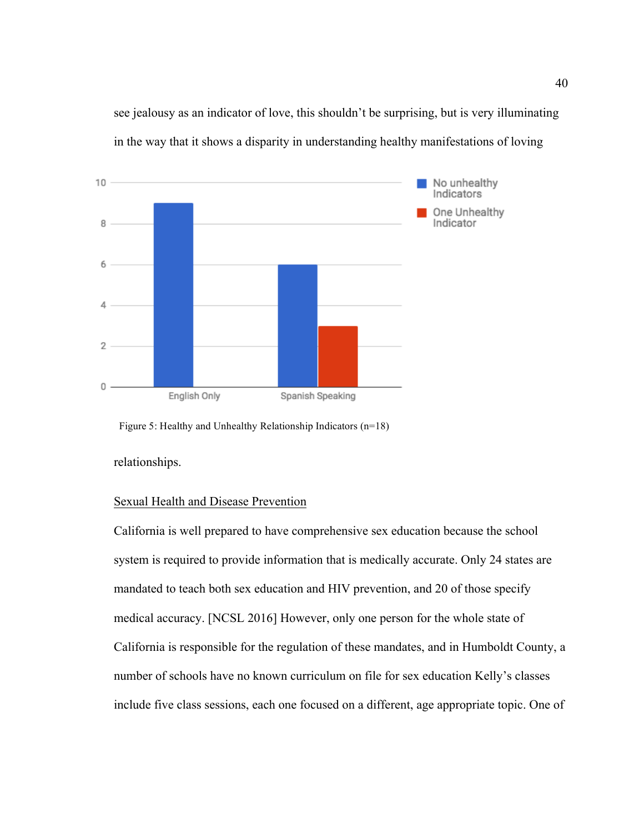see jealousy as an indicator of love, this shouldn't be surprising, but is very illuminating in the way that it shows a disparity in understanding healthy manifestations of loving



Figure 5: Healthy and Unhealthy Relationship Indicators (n=18)

relationships.

### Sexual Health and Disease Prevention

California is well prepared to have comprehensive sex education because the school system is required to provide information that is medically accurate. Only 24 states are mandated to teach both sex education and HIV prevention, and 20 of those specify medical accuracy. [NCSL 2016] However, only one person for the whole state of California is responsible for the regulation of these mandates, and in Humboldt County, a number of schools have no known curriculum on file for sex education Kelly's classes include five class sessions, each one focused on a different, age appropriate topic. One of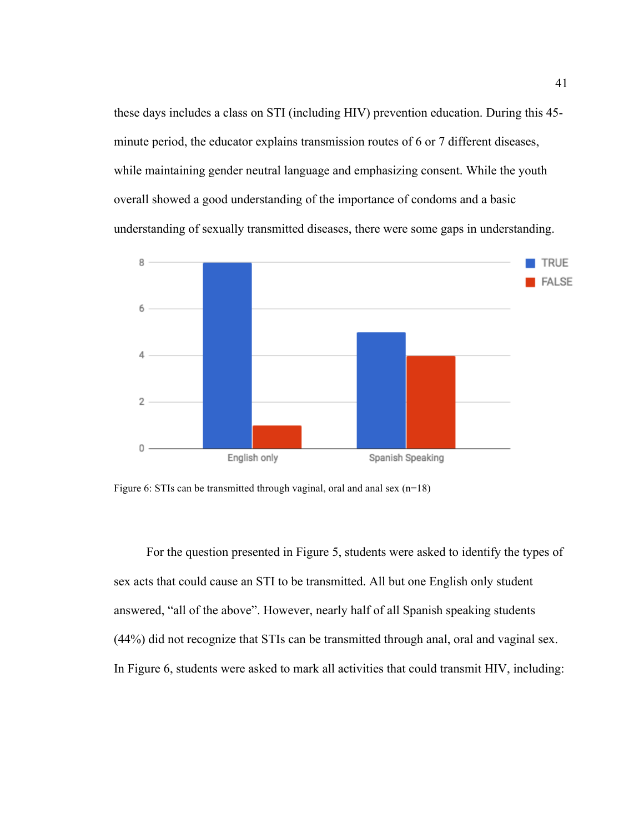these days includes a class on STI (including HIV) prevention education. During this 45 minute period, the educator explains transmission routes of 6 or 7 different diseases, while maintaining gender neutral language and emphasizing consent. While the youth overall showed a good understanding of the importance of condoms and a basic understanding of sexually transmitted diseases, there were some gaps in understanding.



Figure 6: STIs can be transmitted through vaginal, oral and anal sex (n=18)

For the question presented in Figure 5, students were asked to identify the types of sex acts that could cause an STI to be transmitted. All but one English only student answered, "all of the above". However, nearly half of all Spanish speaking students (44%) did not recognize that STIs can be transmitted through anal, oral and vaginal sex. In Figure 6, students were asked to mark all activities that could transmit HIV, including: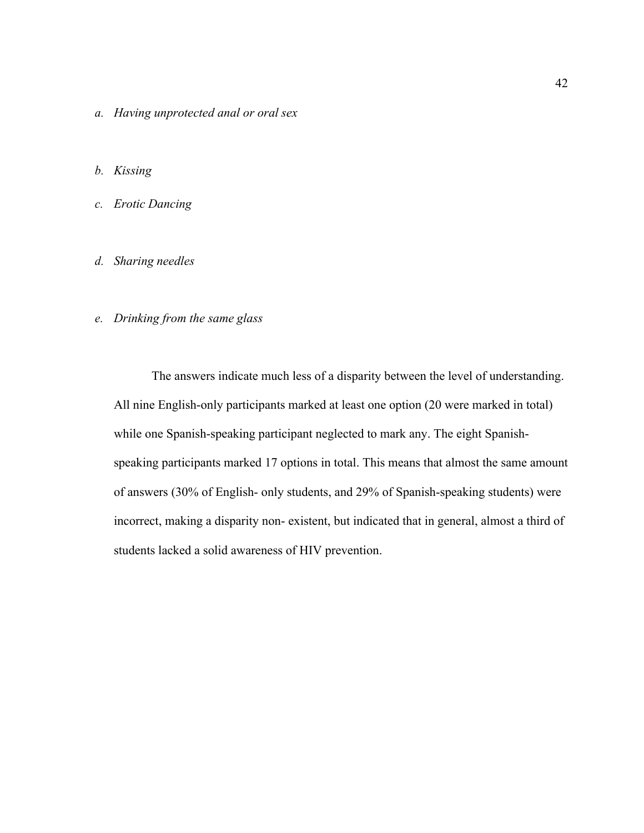- *a. Having unprotected anal or oral sex*
- *b. Kissing*
- *c. Erotic Dancing*
- *d. Sharing needles*

### *e. Drinking from the same glass*

The answers indicate much less of a disparity between the level of understanding. All nine English-only participants marked at least one option (20 were marked in total) while one Spanish-speaking participant neglected to mark any. The eight Spanishspeaking participants marked 17 options in total. This means that almost the same amount of answers (30% of English- only students, and 29% of Spanish-speaking students) were incorrect, making a disparity non- existent, but indicated that in general, almost a third of students lacked a solid awareness of HIV prevention.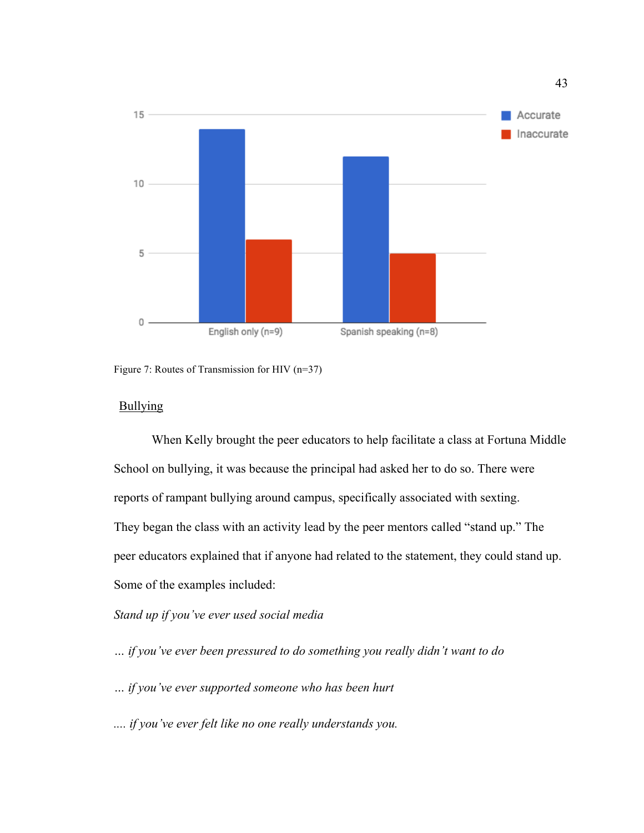

Figure 7: Routes of Transmission for HIV (n=37)

### Bullying

When Kelly brought the peer educators to help facilitate a class at Fortuna Middle School on bullying, it was because the principal had asked her to do so. There were reports of rampant bullying around campus, specifically associated with sexting. They began the class with an activity lead by the peer mentors called "stand up." The peer educators explained that if anyone had related to the statement, they could stand up. Some of the examples included:

## *Stand up if you've ever used social media*

- *… if you've ever been pressured to do something you really didn't want to do*
- *… if you've ever supported someone who has been hurt*
- *.... if you've ever felt like no one really understands you.*

43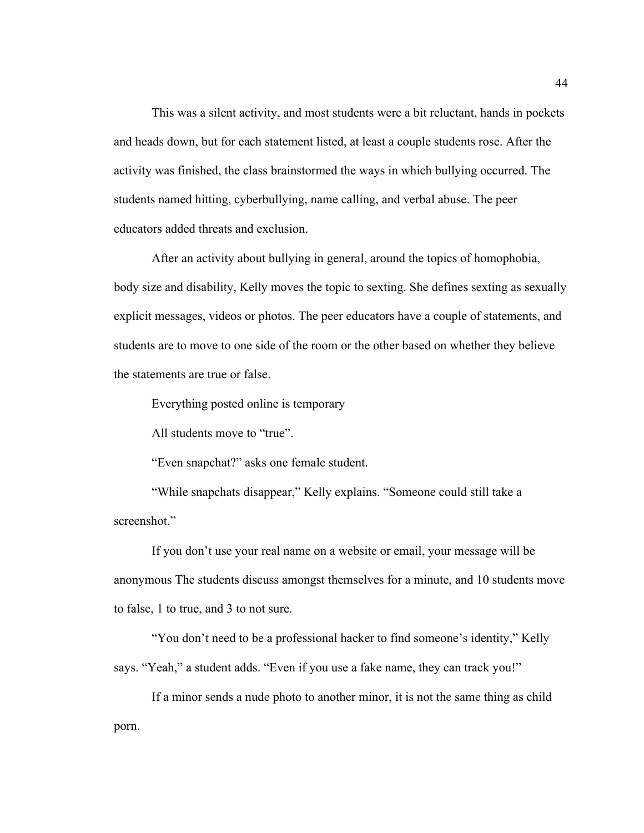This was a silent activity, and most students were a bit reluctant, hands in pockets and heads down, but for each statement listed, at least a couple students rose. After the activity was finished, the class brainstormed the ways in which bullying occurred. The students named hitting, cyberbullying, name calling, and verbal abuse. The peer educators added threats and exclusion.

After an activity about bullying in general, around the topics of homophobia, body size and disability, Kelly moves the topic to sexting. She defines sexting as sexually explicit messages, videos or photos. The peer educators have a couple of statements, and students are to move to one side of the room or the other based on whether they believe the statements are true or false.

Everything posted online is temporary

All students move to "true".

"Even snapchat?" asks one female student.

"While snapchats disappear," Kelly explains. "Someone could still take a screenshot."

If you don't use your real name on a website or email, your message will be anonymous The students discuss amongst themselves for a minute, and 10 students move to false, 1 to true, and 3 to not sure.

"You don't need to be a professional hacker to find someone's identity," Kelly says. "Yeah," a student adds. "Even if you use a fake name, they can track you!"

If a minor sends a nude photo to another minor, it is not the same thing as child porn.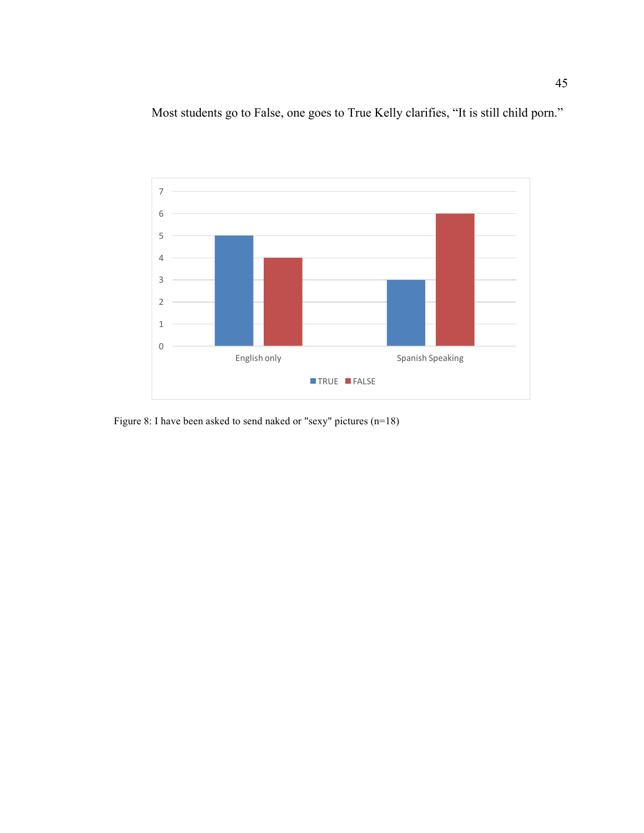Most students go to False, one goes to True Kelly clarifies, "It is still child porn."



Figure 8: I have been asked to send naked or "sexy" pictures (n=18)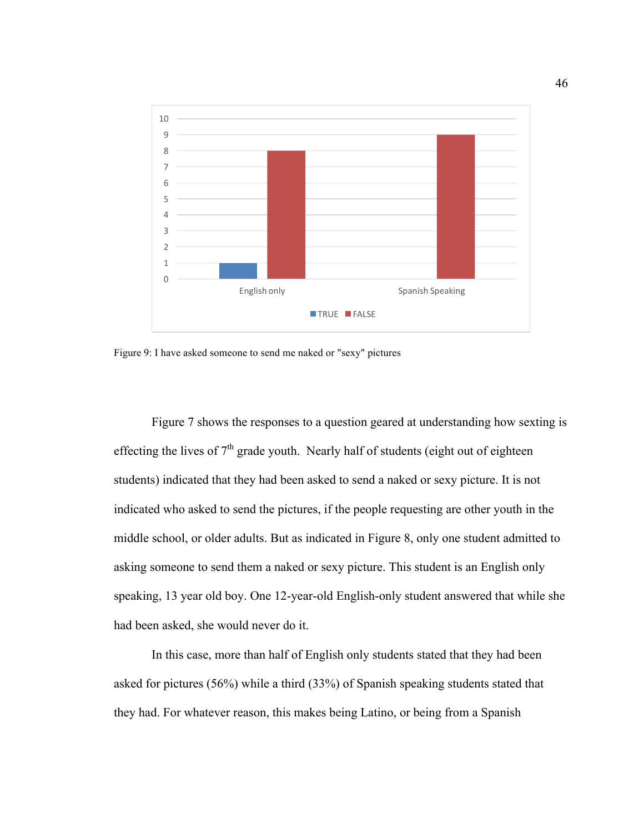

Figure 9: I have asked someone to send me naked or "sexy" pictures

Figure 7 shows the responses to a question geared at understanding how sexting is effecting the lives of  $7<sup>th</sup>$  grade youth. Nearly half of students (eight out of eighteen students) indicated that they had been asked to send a naked or sexy picture. It is not indicated who asked to send the pictures, if the people requesting are other youth in the middle school, or older adults. But as indicated in Figure 8, only one student admitted to asking someone to send them a naked or sexy picture. This student is an English only speaking, 13 year old boy. One 12-year-old English-only student answered that while she had been asked, she would never do it.

In this case, more than half of English only students stated that they had been asked for pictures (56%) while a third (33%) of Spanish speaking students stated that they had. For whatever reason, this makes being Latino, or being from a Spanish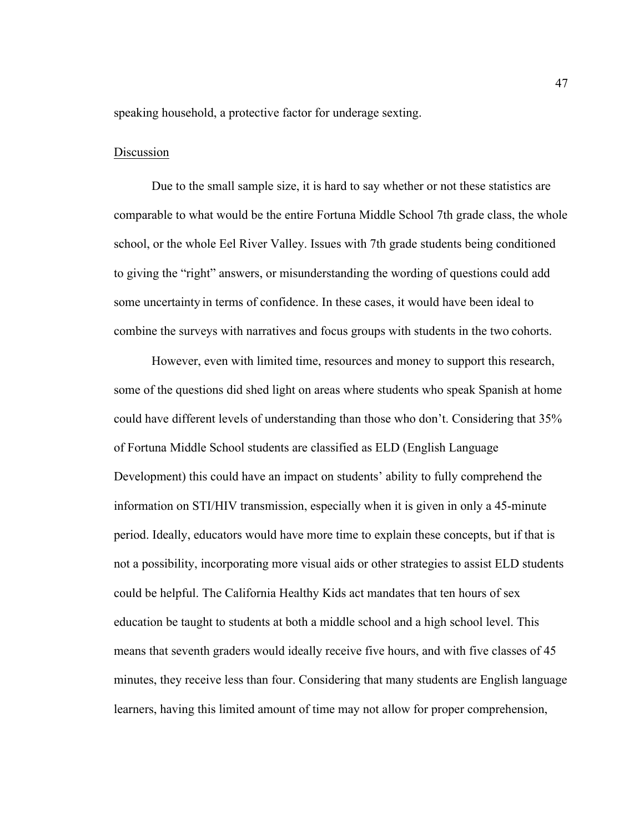speaking household, a protective factor for underage sexting.

### Discussion

Due to the small sample size, it is hard to say whether or not these statistics are comparable to what would be the entire Fortuna Middle School 7th grade class, the whole school, or the whole Eel River Valley. Issues with 7th grade students being conditioned to giving the "right" answers, or misunderstanding the wording of questions could add some uncertainty in terms of confidence. In these cases, it would have been ideal to combine the surveys with narratives and focus groups with students in the two cohorts.

However, even with limited time, resources and money to support this research, some of the questions did shed light on areas where students who speak Spanish at home could have different levels of understanding than those who don't. Considering that 35% of Fortuna Middle School students are classified as ELD (English Language Development) this could have an impact on students' ability to fully comprehend the information on STI/HIV transmission, especially when it is given in only a 45-minute period. Ideally, educators would have more time to explain these concepts, but if that is not a possibility, incorporating more visual aids or other strategies to assist ELD students could be helpful. The California Healthy Kids act mandates that ten hours of sex education be taught to students at both a middle school and a high school level. This means that seventh graders would ideally receive five hours, and with five classes of 45 minutes, they receive less than four. Considering that many students are English language learners, having this limited amount of time may not allow for proper comprehension,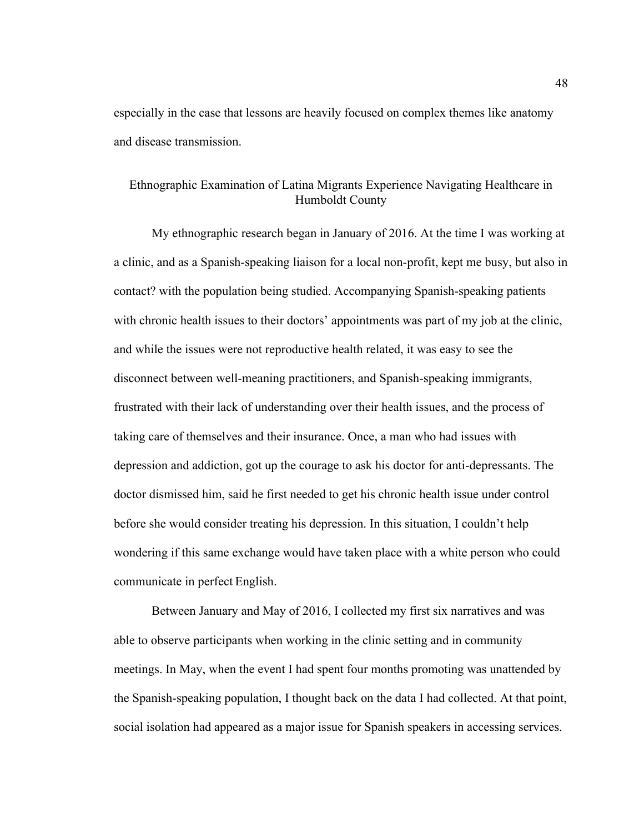especially in the case that lessons are heavily focused on complex themes like anatomy and disease transmission.

# Ethnographic Examination of Latina Migrants Experience Navigating Healthcare in Humboldt County

My ethnographic research began in January of 2016. At the time I was working at a clinic, and as a Spanish-speaking liaison for a local non-profit, kept me busy, but also in contact? with the population being studied. Accompanying Spanish-speaking patients with chronic health issues to their doctors' appointments was part of my job at the clinic, and while the issues were not reproductive health related, it was easy to see the disconnect between well-meaning practitioners, and Spanish-speaking immigrants, frustrated with their lack of understanding over their health issues, and the process of taking care of themselves and their insurance. Once, a man who had issues with depression and addiction, got up the courage to ask his doctor for anti-depressants. The doctor dismissed him, said he first needed to get his chronic health issue under control before she would consider treating his depression. In this situation, I couldn't help wondering if this same exchange would have taken place with a white person who could communicate in perfect English.

Between January and May of 2016, I collected my first six narratives and was able to observe participants when working in the clinic setting and in community meetings. In May, when the event I had spent four months promoting was unattended by the Spanish-speaking population, I thought back on the data I had collected. At that point, social isolation had appeared as a major issue for Spanish speakers in accessing services.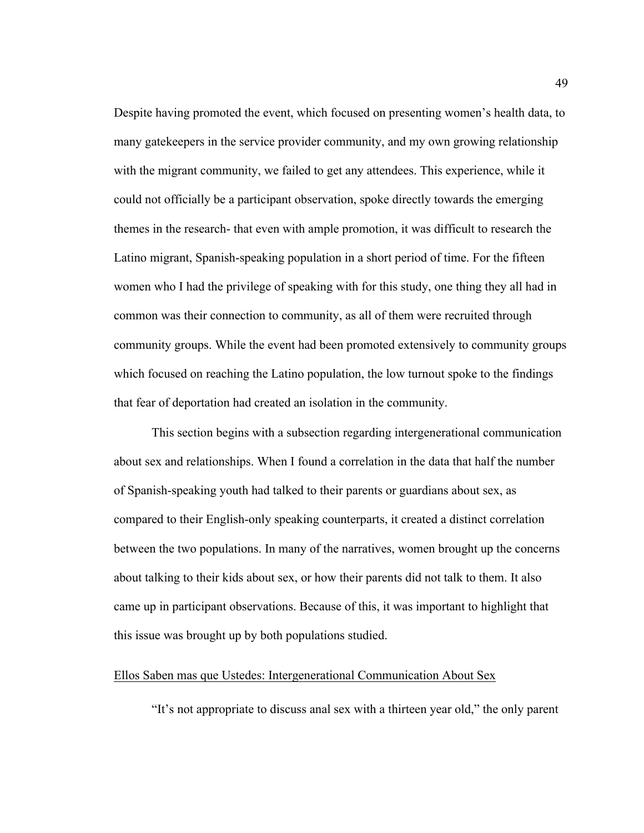Despite having promoted the event, which focused on presenting women's health data, to many gatekeepers in the service provider community, and my own growing relationship with the migrant community, we failed to get any attendees. This experience, while it could not officially be a participant observation, spoke directly towards the emerging themes in the research- that even with ample promotion, it was difficult to research the Latino migrant, Spanish-speaking population in a short period of time. For the fifteen women who I had the privilege of speaking with for this study, one thing they all had in common was their connection to community, as all of them were recruited through community groups. While the event had been promoted extensively to community groups which focused on reaching the Latino population, the low turnout spoke to the findings that fear of deportation had created an isolation in the community.

This section begins with a subsection regarding intergenerational communication about sex and relationships. When I found a correlation in the data that half the number of Spanish-speaking youth had talked to their parents or guardians about sex, as compared to their English-only speaking counterparts, it created a distinct correlation between the two populations. In many of the narratives, women brought up the concerns about talking to their kids about sex, or how their parents did not talk to them. It also came up in participant observations. Because of this, it was important to highlight that this issue was brought up by both populations studied.

### Ellos Saben mas que Ustedes: Intergenerational Communication About Sex

"It's not appropriate to discuss anal sex with a thirteen year old," the only parent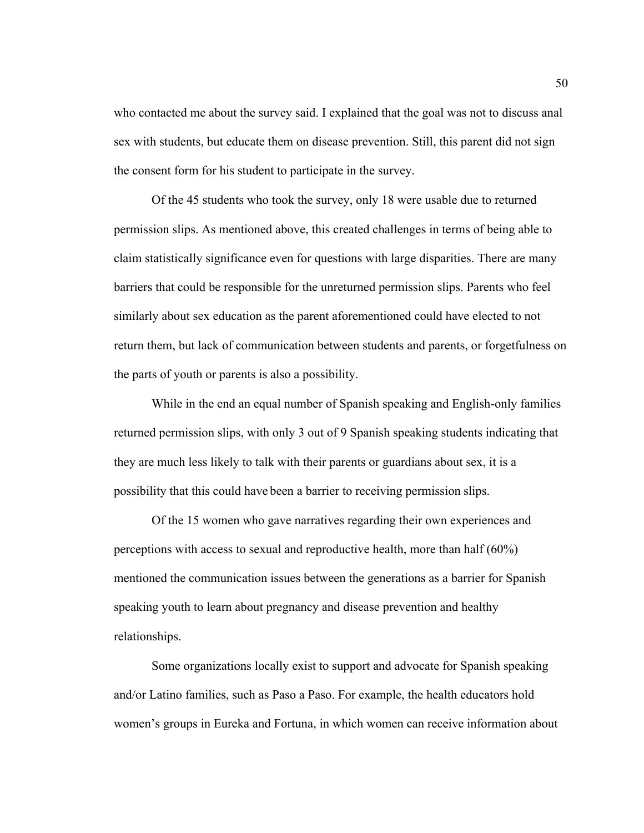who contacted me about the survey said. I explained that the goal was not to discuss anal sex with students, but educate them on disease prevention. Still, this parent did not sign the consent form for his student to participate in the survey.

Of the 45 students who took the survey, only 18 were usable due to returned permission slips. As mentioned above, this created challenges in terms of being able to claim statistically significance even for questions with large disparities. There are many barriers that could be responsible for the unreturned permission slips. Parents who feel similarly about sex education as the parent aforementioned could have elected to not return them, but lack of communication between students and parents, or forgetfulness on the parts of youth or parents is also a possibility.

While in the end an equal number of Spanish speaking and English-only families returned permission slips, with only 3 out of 9 Spanish speaking students indicating that they are much less likely to talk with their parents or guardians about sex, it is a possibility that this could have been a barrier to receiving permission slips.

Of the 15 women who gave narratives regarding their own experiences and perceptions with access to sexual and reproductive health, more than half (60%) mentioned the communication issues between the generations as a barrier for Spanish speaking youth to learn about pregnancy and disease prevention and healthy relationships.

Some organizations locally exist to support and advocate for Spanish speaking and/or Latino families, such as Paso a Paso. For example, the health educators hold women's groups in Eureka and Fortuna, in which women can receive information about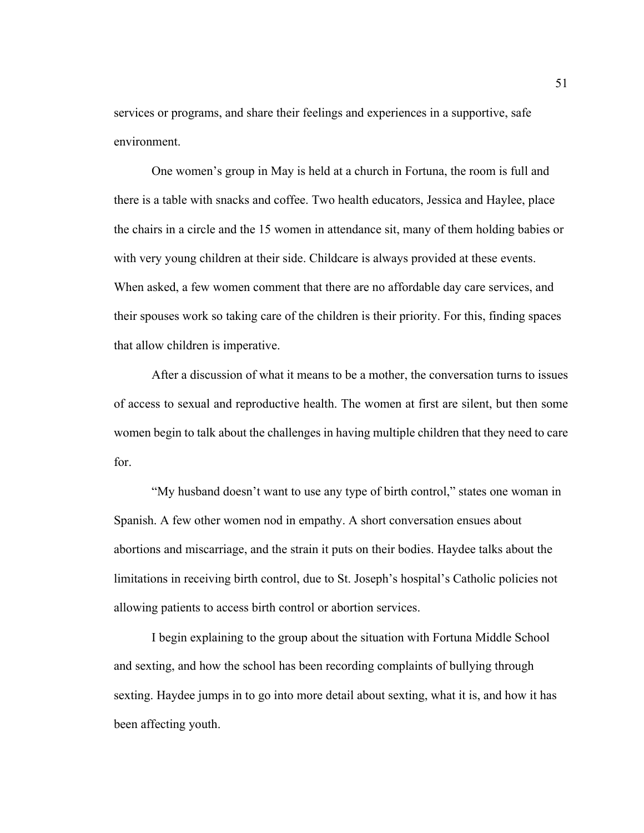services or programs, and share their feelings and experiences in a supportive, safe environment.

One women's group in May is held at a church in Fortuna, the room is full and there is a table with snacks and coffee. Two health educators, Jessica and Haylee, place the chairs in a circle and the 15 women in attendance sit, many of them holding babies or with very young children at their side. Childcare is always provided at these events. When asked, a few women comment that there are no affordable day care services, and their spouses work so taking care of the children is their priority. For this, finding spaces that allow children is imperative.

After a discussion of what it means to be a mother, the conversation turns to issues of access to sexual and reproductive health. The women at first are silent, but then some women begin to talk about the challenges in having multiple children that they need to care for.

"My husband doesn't want to use any type of birth control," states one woman in Spanish. A few other women nod in empathy. A short conversation ensues about abortions and miscarriage, and the strain it puts on their bodies. Haydee talks about the limitations in receiving birth control, due to St. Joseph's hospital's Catholic policies not allowing patients to access birth control or abortion services.

I begin explaining to the group about the situation with Fortuna Middle School and sexting, and how the school has been recording complaints of bullying through sexting. Haydee jumps in to go into more detail about sexting, what it is, and how it has been affecting youth.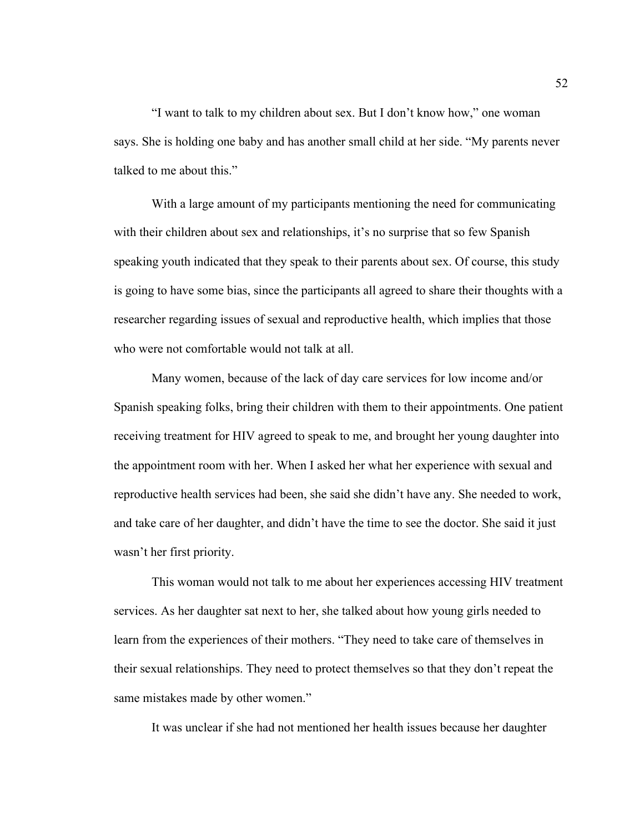"I want to talk to my children about sex. But I don't know how," one woman says. She is holding one baby and has another small child at her side. "My parents never talked to me about this."

With a large amount of my participants mentioning the need for communicating with their children about sex and relationships, it's no surprise that so few Spanish speaking youth indicated that they speak to their parents about sex. Of course, this study is going to have some bias, since the participants all agreed to share their thoughts with a researcher regarding issues of sexual and reproductive health, which implies that those who were not comfortable would not talk at all.

Many women, because of the lack of day care services for low income and/or Spanish speaking folks, bring their children with them to their appointments. One patient receiving treatment for HIV agreed to speak to me, and brought her young daughter into the appointment room with her. When I asked her what her experience with sexual and reproductive health services had been, she said she didn't have any. She needed to work, and take care of her daughter, and didn't have the time to see the doctor. She said it just wasn't her first priority.

This woman would not talk to me about her experiences accessing HIV treatment services. As her daughter sat next to her, she talked about how young girls needed to learn from the experiences of their mothers. "They need to take care of themselves in their sexual relationships. They need to protect themselves so that they don't repeat the same mistakes made by other women."

It was unclear if she had not mentioned her health issues because her daughter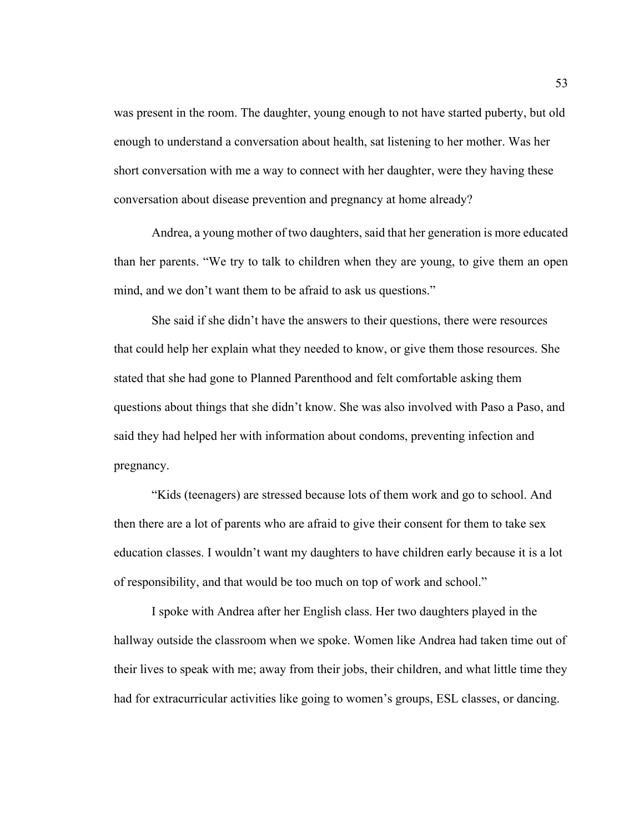was present in the room. The daughter, young enough to not have started puberty, but old enough to understand a conversation about health, sat listening to her mother. Was her short conversation with me a way to connect with her daughter, were they having these conversation about disease prevention and pregnancy at home already?

Andrea, a young mother of two daughters, said that her generation is more educated than her parents. "We try to talk to children when they are young, to give them an open mind, and we don't want them to be afraid to ask us questions."

She said if she didn't have the answers to their questions, there were resources that could help her explain what they needed to know, or give them those resources. She stated that she had gone to Planned Parenthood and felt comfortable asking them questions about things that she didn't know. She was also involved with Paso a Paso, and said they had helped her with information about condoms, preventing infection and pregnancy.

"Kids (teenagers) are stressed because lots of them work and go to school. And then there are a lot of parents who are afraid to give their consent for them to take sex education classes. I wouldn't want my daughters to have children early because it is a lot of responsibility, and that would be too much on top of work and school."

I spoke with Andrea after her English class. Her two daughters played in the hallway outside the classroom when we spoke. Women like Andrea had taken time out of their lives to speak with me; away from their jobs, their children, and what little time they had for extracurricular activities like going to women's groups, ESL classes, or dancing.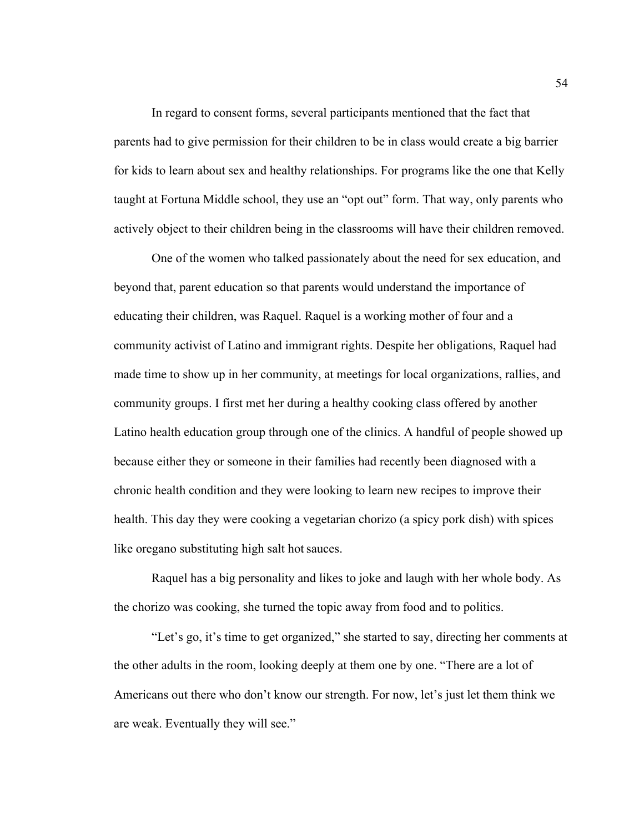In regard to consent forms, several participants mentioned that the fact that parents had to give permission for their children to be in class would create a big barrier for kids to learn about sex and healthy relationships. For programs like the one that Kelly taught at Fortuna Middle school, they use an "opt out" form. That way, only parents who actively object to their children being in the classrooms will have their children removed.

One of the women who talked passionately about the need for sex education, and beyond that, parent education so that parents would understand the importance of educating their children, was Raquel. Raquel is a working mother of four and a community activist of Latino and immigrant rights. Despite her obligations, Raquel had made time to show up in her community, at meetings for local organizations, rallies, and community groups. I first met her during a healthy cooking class offered by another Latino health education group through one of the clinics. A handful of people showed up because either they or someone in their families had recently been diagnosed with a chronic health condition and they were looking to learn new recipes to improve their health. This day they were cooking a vegetarian chorizo (a spicy pork dish) with spices like oregano substituting high salt hot sauces.

Raquel has a big personality and likes to joke and laugh with her whole body. As the chorizo was cooking, she turned the topic away from food and to politics.

"Let's go, it's time to get organized," she started to say, directing her comments at the other adults in the room, looking deeply at them one by one. "There are a lot of Americans out there who don't know our strength. For now, let's just let them think we are weak. Eventually they will see."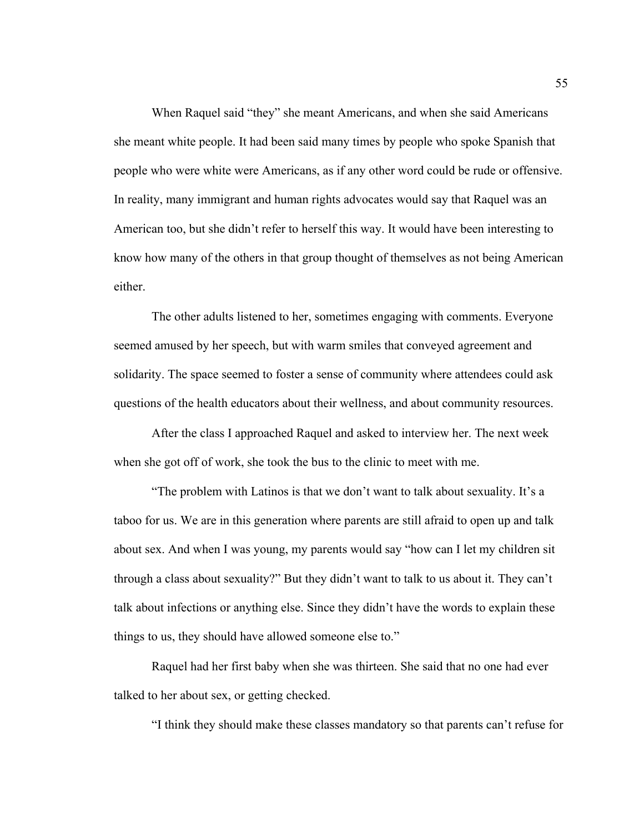When Raquel said "they" she meant Americans, and when she said Americans she meant white people. It had been said many times by people who spoke Spanish that people who were white were Americans, as if any other word could be rude or offensive. In reality, many immigrant and human rights advocates would say that Raquel was an American too, but she didn't refer to herself this way. It would have been interesting to know how many of the others in that group thought of themselves as not being American either.

The other adults listened to her, sometimes engaging with comments. Everyone seemed amused by her speech, but with warm smiles that conveyed agreement and solidarity. The space seemed to foster a sense of community where attendees could ask questions of the health educators about their wellness, and about community resources.

After the class I approached Raquel and asked to interview her. The next week when she got off of work, she took the bus to the clinic to meet with me.

"The problem with Latinos is that we don't want to talk about sexuality. It's a taboo for us. We are in this generation where parents are still afraid to open up and talk about sex. And when I was young, my parents would say "how can I let my children sit through a class about sexuality?" But they didn't want to talk to us about it. They can't talk about infections or anything else. Since they didn't have the words to explain these things to us, they should have allowed someone else to."

Raquel had her first baby when she was thirteen. She said that no one had ever talked to her about sex, or getting checked.

"I think they should make these classes mandatory so that parents can't refuse for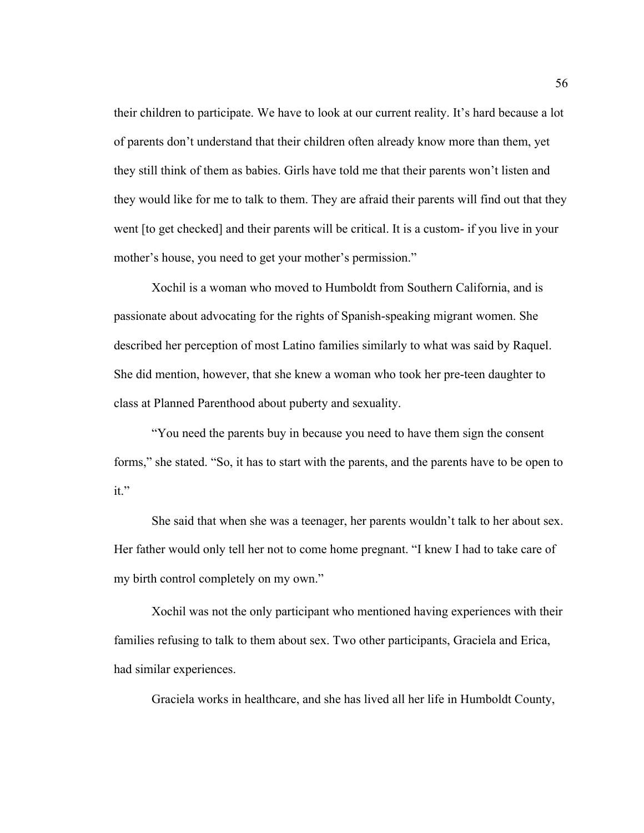their children to participate. We have to look at our current reality. It's hard because a lot of parents don't understand that their children often already know more than them, yet they still think of them as babies. Girls have told me that their parents won't listen and they would like for me to talk to them. They are afraid their parents will find out that they went [to get checked] and their parents will be critical. It is a custom- if you live in your mother's house, you need to get your mother's permission."

Xochil is a woman who moved to Humboldt from Southern California, and is passionate about advocating for the rights of Spanish-speaking migrant women. She described her perception of most Latino families similarly to what was said by Raquel. She did mention, however, that she knew a woman who took her pre-teen daughter to class at Planned Parenthood about puberty and sexuality.

"You need the parents buy in because you need to have them sign the consent forms," she stated. "So, it has to start with the parents, and the parents have to be open to it."

She said that when she was a teenager, her parents wouldn't talk to her about sex. Her father would only tell her not to come home pregnant. "I knew I had to take care of my birth control completely on my own."

Xochil was not the only participant who mentioned having experiences with their families refusing to talk to them about sex. Two other participants, Graciela and Erica, had similar experiences.

Graciela works in healthcare, and she has lived all her life in Humboldt County,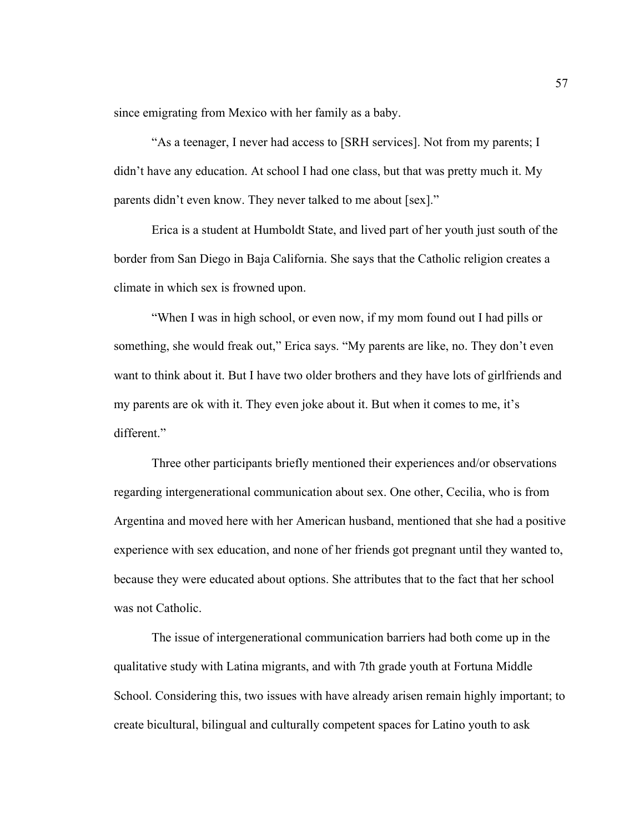since emigrating from Mexico with her family as a baby.

"As a teenager, I never had access to [SRH services]. Not from my parents; I didn't have any education. At school I had one class, but that was pretty much it. My parents didn't even know. They never talked to me about [sex]."

Erica is a student at Humboldt State, and lived part of her youth just south of the border from San Diego in Baja California. She says that the Catholic religion creates a climate in which sex is frowned upon.

"When I was in high school, or even now, if my mom found out I had pills or something, she would freak out," Erica says. "My parents are like, no. They don't even want to think about it. But I have two older brothers and they have lots of girlfriends and my parents are ok with it. They even joke about it. But when it comes to me, it's different."

Three other participants briefly mentioned their experiences and/or observations regarding intergenerational communication about sex. One other, Cecilia, who is from Argentina and moved here with her American husband, mentioned that she had a positive experience with sex education, and none of her friends got pregnant until they wanted to, because they were educated about options. She attributes that to the fact that her school was not Catholic.

The issue of intergenerational communication barriers had both come up in the qualitative study with Latina migrants, and with 7th grade youth at Fortuna Middle School. Considering this, two issues with have already arisen remain highly important; to create bicultural, bilingual and culturally competent spaces for Latino youth to ask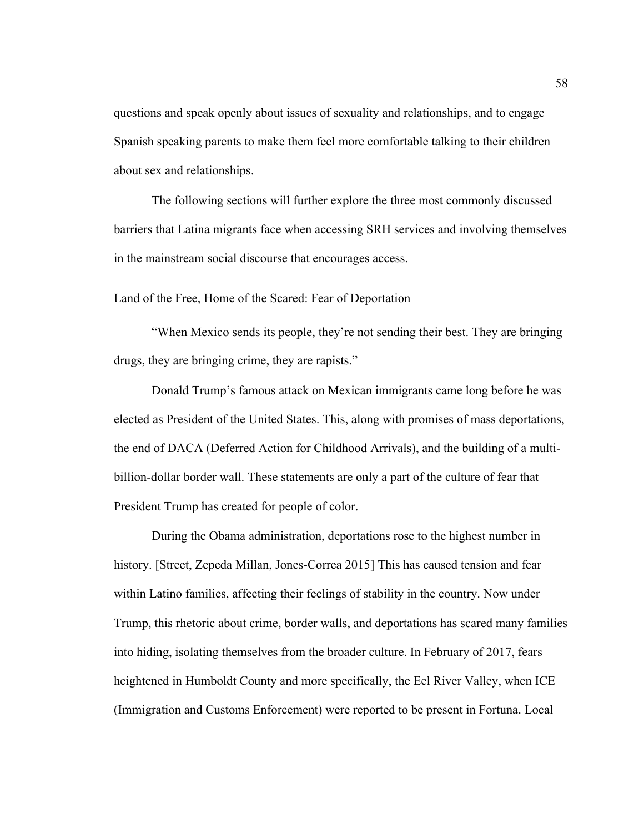questions and speak openly about issues of sexuality and relationships, and to engage Spanish speaking parents to make them feel more comfortable talking to their children about sex and relationships.

The following sections will further explore the three most commonly discussed barriers that Latina migrants face when accessing SRH services and involving themselves in the mainstream social discourse that encourages access.

### Land of the Free, Home of the Scared: Fear of Deportation

"When Mexico sends its people, they're not sending their best. They are bringing drugs, they are bringing crime, they are rapists."

Donald Trump's famous attack on Mexican immigrants came long before he was elected as President of the United States. This, along with promises of mass deportations, the end of DACA (Deferred Action for Childhood Arrivals), and the building of a multibillion-dollar border wall. These statements are only a part of the culture of fear that President Trump has created for people of color.

During the Obama administration, deportations rose to the highest number in history. [Street, Zepeda Millan, Jones-Correa 2015] This has caused tension and fear within Latino families, affecting their feelings of stability in the country. Now under Trump, this rhetoric about crime, border walls, and deportations has scared many families into hiding, isolating themselves from the broader culture. In February of 2017, fears heightened in Humboldt County and more specifically, the Eel River Valley, when ICE (Immigration and Customs Enforcement) were reported to be present in Fortuna. Local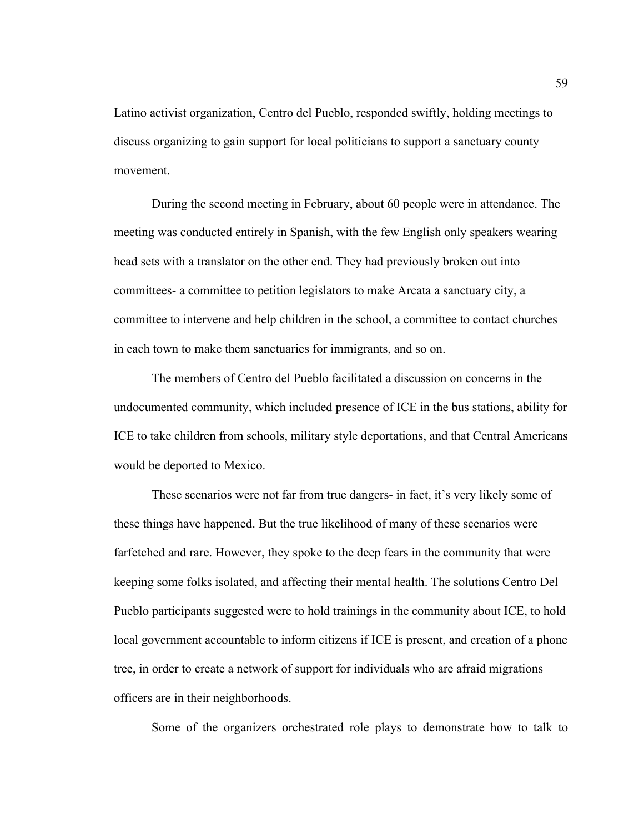Latino activist organization, Centro del Pueblo, responded swiftly, holding meetings to discuss organizing to gain support for local politicians to support a sanctuary county movement.

During the second meeting in February, about 60 people were in attendance. The meeting was conducted entirely in Spanish, with the few English only speakers wearing head sets with a translator on the other end. They had previously broken out into committees- a committee to petition legislators to make Arcata a sanctuary city, a committee to intervene and help children in the school, a committee to contact churches in each town to make them sanctuaries for immigrants, and so on.

The members of Centro del Pueblo facilitated a discussion on concerns in the undocumented community, which included presence of ICE in the bus stations, ability for ICE to take children from schools, military style deportations, and that Central Americans would be deported to Mexico.

These scenarios were not far from true dangers- in fact, it's very likely some of these things have happened. But the true likelihood of many of these scenarios were farfetched and rare. However, they spoke to the deep fears in the community that were keeping some folks isolated, and affecting their mental health. The solutions Centro Del Pueblo participants suggested were to hold trainings in the community about ICE, to hold local government accountable to inform citizens if ICE is present, and creation of a phone tree, in order to create a network of support for individuals who are afraid migrations officers are in their neighborhoods.

Some of the organizers orchestrated role plays to demonstrate how to talk to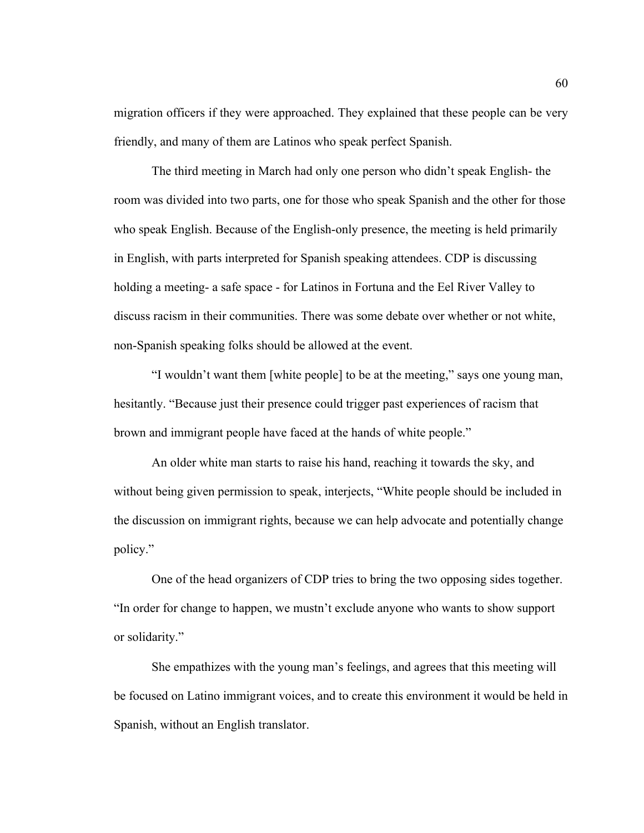migration officers if they were approached. They explained that these people can be very friendly, and many of them are Latinos who speak perfect Spanish.

The third meeting in March had only one person who didn't speak English- the room was divided into two parts, one for those who speak Spanish and the other for those who speak English. Because of the English-only presence, the meeting is held primarily in English, with parts interpreted for Spanish speaking attendees. CDP is discussing holding a meeting- a safe space - for Latinos in Fortuna and the Eel River Valley to discuss racism in their communities. There was some debate over whether or not white, non-Spanish speaking folks should be allowed at the event.

"I wouldn't want them [white people] to be at the meeting," says one young man, hesitantly. "Because just their presence could trigger past experiences of racism that brown and immigrant people have faced at the hands of white people."

An older white man starts to raise his hand, reaching it towards the sky, and without being given permission to speak, interjects, "White people should be included in the discussion on immigrant rights, because we can help advocate and potentially change policy."

One of the head organizers of CDP tries to bring the two opposing sides together. "In order for change to happen, we mustn't exclude anyone who wants to show support or solidarity."

She empathizes with the young man's feelings, and agrees that this meeting will be focused on Latino immigrant voices, and to create this environment it would be held in Spanish, without an English translator.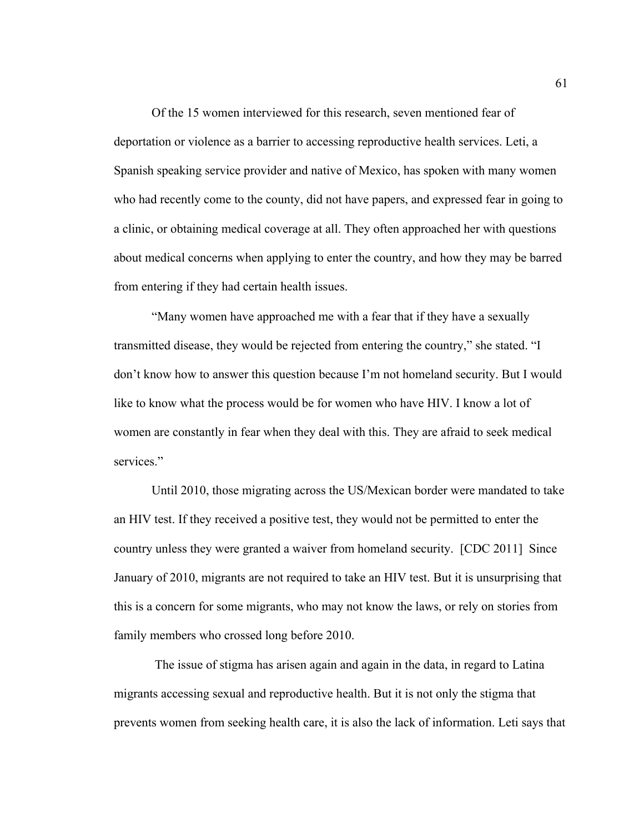Of the 15 women interviewed for this research, seven mentioned fear of deportation or violence as a barrier to accessing reproductive health services. Leti, a Spanish speaking service provider and native of Mexico, has spoken with many women who had recently come to the county, did not have papers, and expressed fear in going to a clinic, or obtaining medical coverage at all. They often approached her with questions about medical concerns when applying to enter the country, and how they may be barred from entering if they had certain health issues.

"Many women have approached me with a fear that if they have a sexually transmitted disease, they would be rejected from entering the country," she stated. "I don't know how to answer this question because I'm not homeland security. But I would like to know what the process would be for women who have HIV. I know a lot of women are constantly in fear when they deal with this. They are afraid to seek medical services."

Until 2010, those migrating across the US/Mexican border were mandated to take an HIV test. If they received a positive test, they would not be permitted to enter the country unless they were granted a waiver from homeland security. [CDC 2011] Since January of 2010, migrants are not required to take an HIV test. But it is unsurprising that this is a concern for some migrants, who may not know the laws, or rely on stories from family members who crossed long before 2010.

The issue of stigma has arisen again and again in the data, in regard to Latina migrants accessing sexual and reproductive health. But it is not only the stigma that prevents women from seeking health care, it is also the lack of information. Leti says that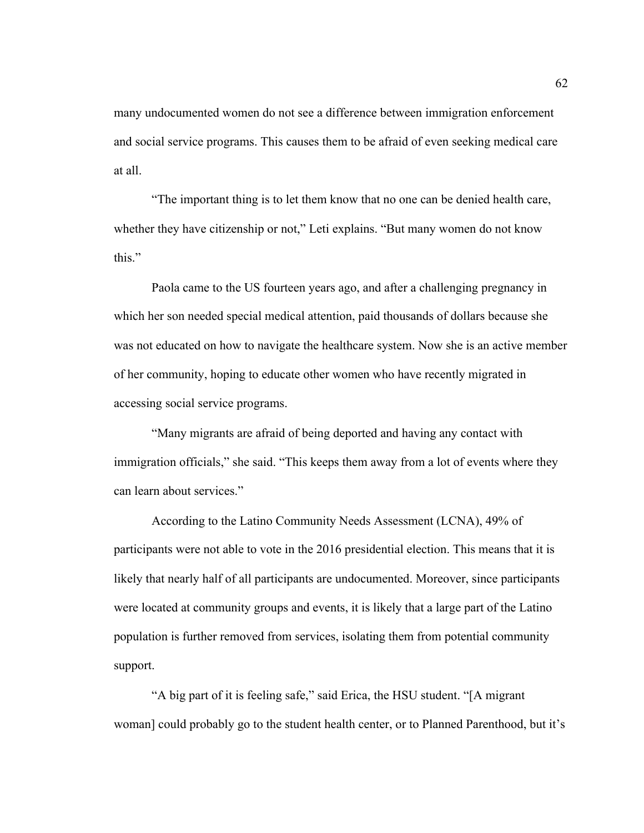many undocumented women do not see a difference between immigration enforcement and social service programs. This causes them to be afraid of even seeking medical care at all.

"The important thing is to let them know that no one can be denied health care, whether they have citizenship or not," Leti explains. "But many women do not know this."

Paola came to the US fourteen years ago, and after a challenging pregnancy in which her son needed special medical attention, paid thousands of dollars because she was not educated on how to navigate the healthcare system. Now she is an active member of her community, hoping to educate other women who have recently migrated in accessing social service programs.

"Many migrants are afraid of being deported and having any contact with immigration officials," she said. "This keeps them away from a lot of events where they can learn about services."

According to the Latino Community Needs Assessment (LCNA), 49% of participants were not able to vote in the 2016 presidential election. This means that it is likely that nearly half of all participants are undocumented. Moreover, since participants were located at community groups and events, it is likely that a large part of the Latino population is further removed from services, isolating them from potential community support.

"A big part of it is feeling safe," said Erica, the HSU student. "[A migrant woman] could probably go to the student health center, or to Planned Parenthood, but it's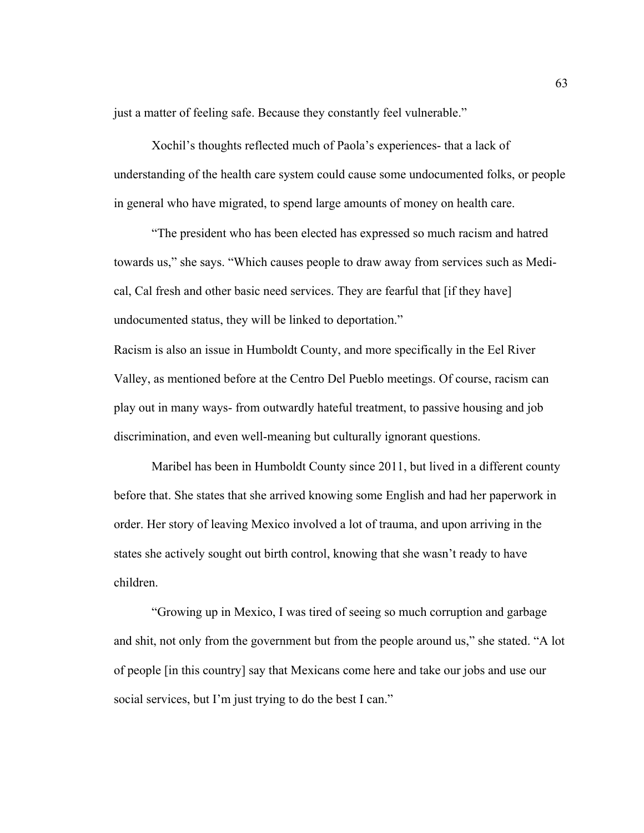just a matter of feeling safe. Because they constantly feel vulnerable."

Xochil's thoughts reflected much of Paola's experiences- that a lack of understanding of the health care system could cause some undocumented folks, or people in general who have migrated, to spend large amounts of money on health care.

"The president who has been elected has expressed so much racism and hatred towards us," she says. "Which causes people to draw away from services such as Medical, Cal fresh and other basic need services. They are fearful that [if they have] undocumented status, they will be linked to deportation."

Racism is also an issue in Humboldt County, and more specifically in the Eel River Valley, as mentioned before at the Centro Del Pueblo meetings. Of course, racism can play out in many ways- from outwardly hateful treatment, to passive housing and job discrimination, and even well-meaning but culturally ignorant questions.

Maribel has been in Humboldt County since 2011, but lived in a different county before that. She states that she arrived knowing some English and had her paperwork in order. Her story of leaving Mexico involved a lot of trauma, and upon arriving in the states she actively sought out birth control, knowing that she wasn't ready to have children.

"Growing up in Mexico, I was tired of seeing so much corruption and garbage and shit, not only from the government but from the people around us," she stated. "A lot of people [in this country] say that Mexicans come here and take our jobs and use our social services, but I'm just trying to do the best I can."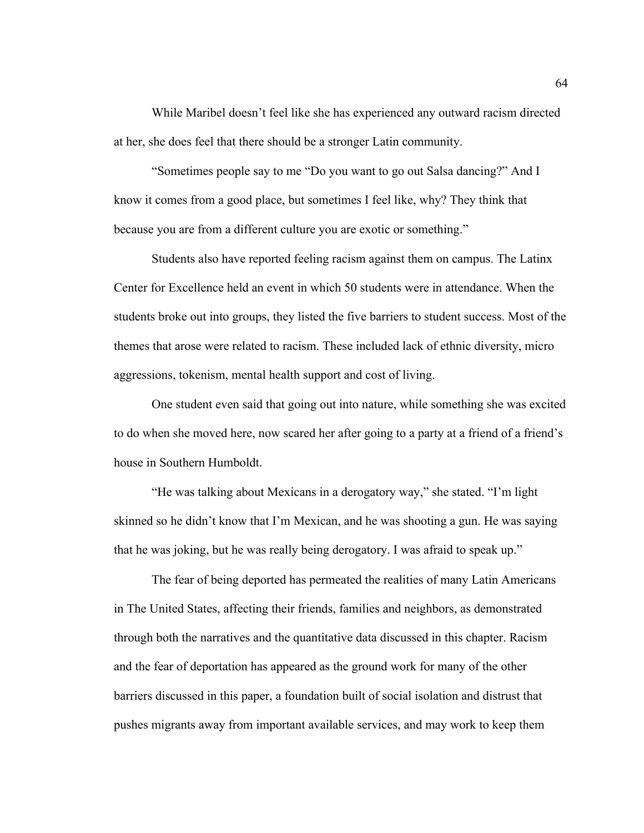While Maribel doesn't feel like she has experienced any outward racism directed at her, she does feel that there should be a stronger Latin community.

"Sometimes people say to me "Do you want to go out Salsa dancing?" And I know it comes from a good place, but sometimes I feel like, why? They think that because you are from a different culture you are exotic or something."

Students also have reported feeling racism against them on campus. The Latinx Center for Excellence held an event in which 50 students were in attendance. When the students broke out into groups, they listed the five barriers to student success. Most of the themes that arose were related to racism. These included lack of ethnic diversity, micro aggressions, tokenism, mental health support and cost of living.

One student even said that going out into nature, while something she was excited to do when she moved here, now scared her after going to a party at a friend of a friend's house in Southern Humboldt.

"He was talking about Mexicans in a derogatory way," she stated. "I'm light skinned so he didn't know that I'm Mexican, and he was shooting a gun. He was saying that he was joking, but he was really being derogatory. I was afraid to speak up."

The fear of being deported has permeated the realities of many Latin Americans in The United States, affecting their friends, families and neighbors, as demonstrated through both the narratives and the quantitative data discussed in this chapter. Racism and the fear of deportation has appeared as the ground work for many of the other barriers discussed in this paper, a foundation built of social isolation and distrust that pushes migrants away from important available services, and may work to keep them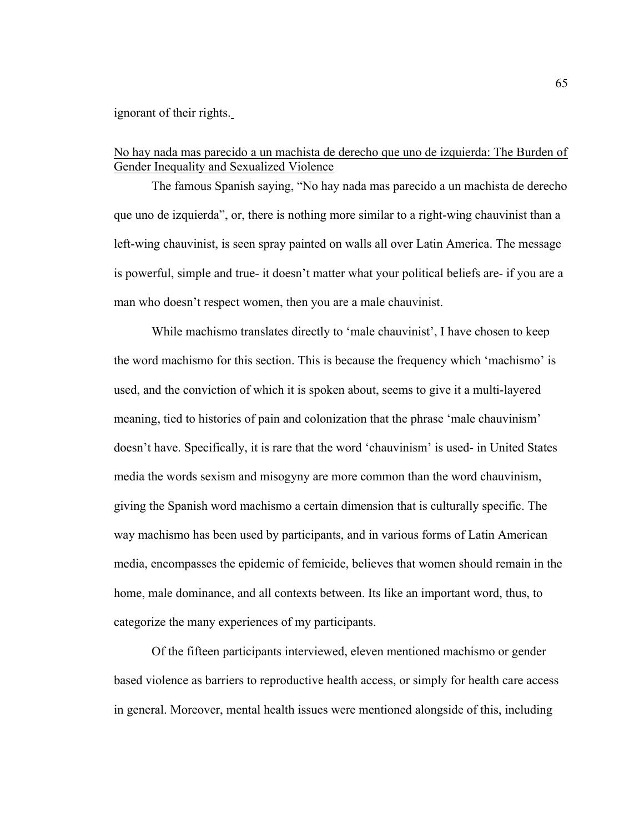ignorant of their rights.

# No hay nada mas parecido a un machista de derecho que uno de izquierda: The Burden of Gender Inequality and Sexualized Violence

The famous Spanish saying, "No hay nada mas parecido a un machista de derecho que uno de izquierda", or, there is nothing more similar to a right-wing chauvinist than a left-wing chauvinist, is seen spray painted on walls all over Latin America. The message is powerful, simple and true- it doesn't matter what your political beliefs are- if you are a man who doesn't respect women, then you are a male chauvinist.

While machismo translates directly to 'male chauvinist', I have chosen to keep the word machismo for this section. This is because the frequency which 'machismo' is used, and the conviction of which it is spoken about, seems to give it a multi-layered meaning, tied to histories of pain and colonization that the phrase 'male chauvinism' doesn't have. Specifically, it is rare that the word 'chauvinism' is used- in United States media the words sexism and misogyny are more common than the word chauvinism, giving the Spanish word machismo a certain dimension that is culturally specific. The way machismo has been used by participants, and in various forms of Latin American media, encompasses the epidemic of femicide, believes that women should remain in the home, male dominance, and all contexts between. Its like an important word, thus, to categorize the many experiences of my participants.

Of the fifteen participants interviewed, eleven mentioned machismo or gender based violence as barriers to reproductive health access, or simply for health care access in general. Moreover, mental health issues were mentioned alongside of this, including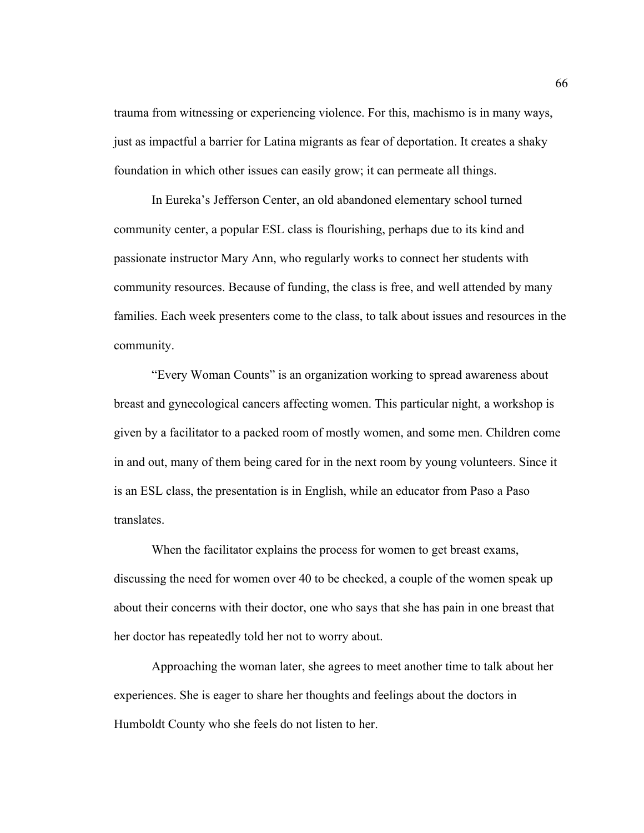trauma from witnessing or experiencing violence. For this, machismo is in many ways, just as impactful a barrier for Latina migrants as fear of deportation. It creates a shaky foundation in which other issues can easily grow; it can permeate all things.

In Eureka's Jefferson Center, an old abandoned elementary school turned community center, a popular ESL class is flourishing, perhaps due to its kind and passionate instructor Mary Ann, who regularly works to connect her students with community resources. Because of funding, the class is free, and well attended by many families. Each week presenters come to the class, to talk about issues and resources in the community.

"Every Woman Counts" is an organization working to spread awareness about breast and gynecological cancers affecting women. This particular night, a workshop is given by a facilitator to a packed room of mostly women, and some men. Children come in and out, many of them being cared for in the next room by young volunteers. Since it is an ESL class, the presentation is in English, while an educator from Paso a Paso translates.

When the facilitator explains the process for women to get breast exams, discussing the need for women over 40 to be checked, a couple of the women speak up about their concerns with their doctor, one who says that she has pain in one breast that her doctor has repeatedly told her not to worry about.

Approaching the woman later, she agrees to meet another time to talk about her experiences. She is eager to share her thoughts and feelings about the doctors in Humboldt County who she feels do not listen to her.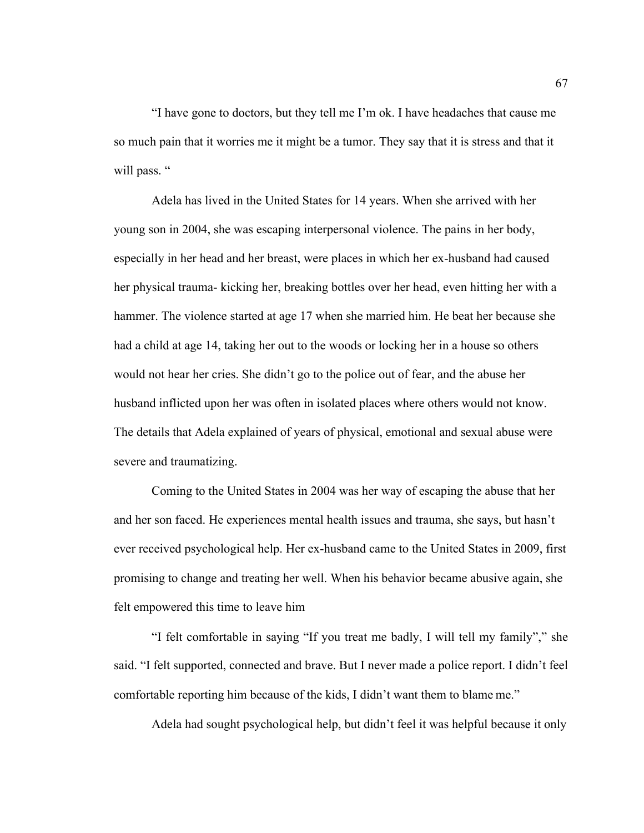"I have gone to doctors, but they tell me I'm ok. I have headaches that cause me so much pain that it worries me it might be a tumor. They say that it is stress and that it will pass. "

Adela has lived in the United States for 14 years. When she arrived with her young son in 2004, she was escaping interpersonal violence. The pains in her body, especially in her head and her breast, were places in which her ex-husband had caused her physical trauma- kicking her, breaking bottles over her head, even hitting her with a hammer. The violence started at age 17 when she married him. He beat her because she had a child at age 14, taking her out to the woods or locking her in a house so others would not hear her cries. She didn't go to the police out of fear, and the abuse her husband inflicted upon her was often in isolated places where others would not know. The details that Adela explained of years of physical, emotional and sexual abuse were severe and traumatizing.

Coming to the United States in 2004 was her way of escaping the abuse that her and her son faced. He experiences mental health issues and trauma, she says, but hasn't ever received psychological help. Her ex-husband came to the United States in 2009, first promising to change and treating her well. When his behavior became abusive again, she felt empowered this time to leave him

"I felt comfortable in saying "If you treat me badly, I will tell my family"," she said. "I felt supported, connected and brave. But I never made a police report. I didn't feel comfortable reporting him because of the kids, I didn't want them to blame me."

Adela had sought psychological help, but didn't feel it was helpful because it only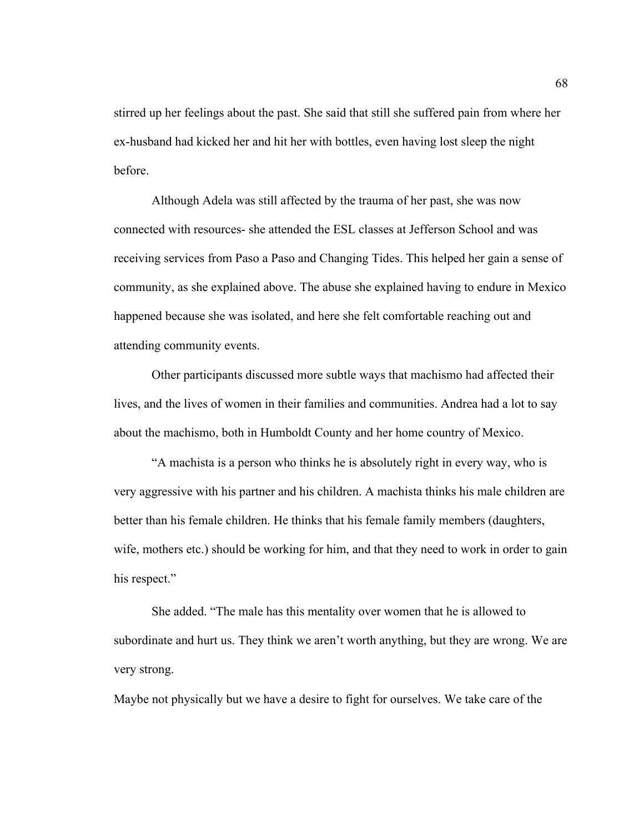stirred up her feelings about the past. She said that still she suffered pain from where her ex-husband had kicked her and hit her with bottles, even having lost sleep the night before.

Although Adela was still affected by the trauma of her past, she was now connected with resources- she attended the ESL classes at Jefferson School and was receiving services from Paso a Paso and Changing Tides. This helped her gain a sense of community, as she explained above. The abuse she explained having to endure in Mexico happened because she was isolated, and here she felt comfortable reaching out and attending community events.

Other participants discussed more subtle ways that machismo had affected their lives, and the lives of women in their families and communities. Andrea had a lot to say about the machismo, both in Humboldt County and her home country of Mexico.

"A machista is a person who thinks he is absolutely right in every way, who is very aggressive with his partner and his children. A machista thinks his male children are better than his female children. He thinks that his female family members (daughters, wife, mothers etc.) should be working for him, and that they need to work in order to gain his respect."

She added. "The male has this mentality over women that he is allowed to subordinate and hurt us. They think we aren't worth anything, but they are wrong. We are very strong.

Maybe not physically but we have a desire to fight for ourselves. We take care of the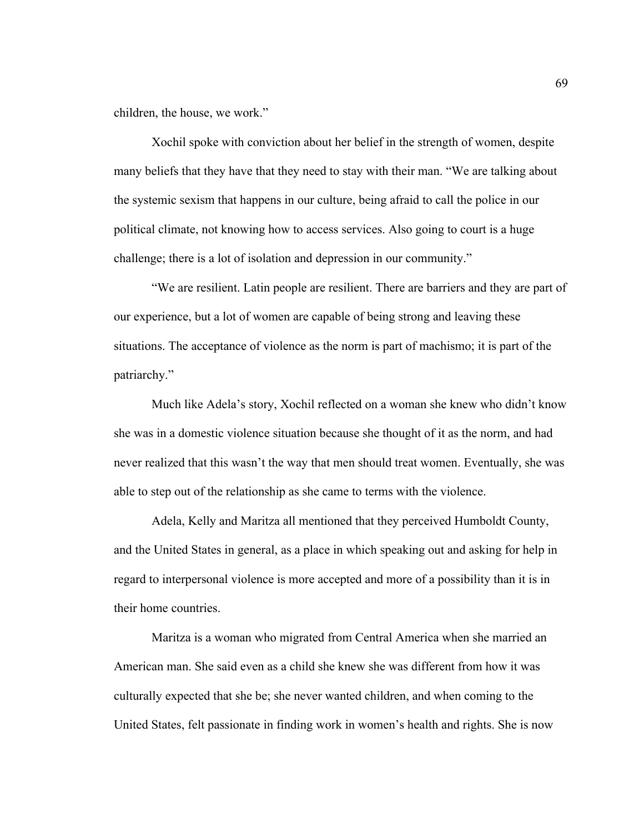children, the house, we work."

Xochil spoke with conviction about her belief in the strength of women, despite many beliefs that they have that they need to stay with their man. "We are talking about the systemic sexism that happens in our culture, being afraid to call the police in our political climate, not knowing how to access services. Also going to court is a huge challenge; there is a lot of isolation and depression in our community."

"We are resilient. Latin people are resilient. There are barriers and they are part of our experience, but a lot of women are capable of being strong and leaving these situations. The acceptance of violence as the norm is part of machismo; it is part of the patriarchy."

Much like Adela's story, Xochil reflected on a woman she knew who didn't know she was in a domestic violence situation because she thought of it as the norm, and had never realized that this wasn't the way that men should treat women. Eventually, she was able to step out of the relationship as she came to terms with the violence.

Adela, Kelly and Maritza all mentioned that they perceived Humboldt County, and the United States in general, as a place in which speaking out and asking for help in regard to interpersonal violence is more accepted and more of a possibility than it is in their home countries.

Maritza is a woman who migrated from Central America when she married an American man. She said even as a child she knew she was different from how it was culturally expected that she be; she never wanted children, and when coming to the United States, felt passionate in finding work in women's health and rights. She is now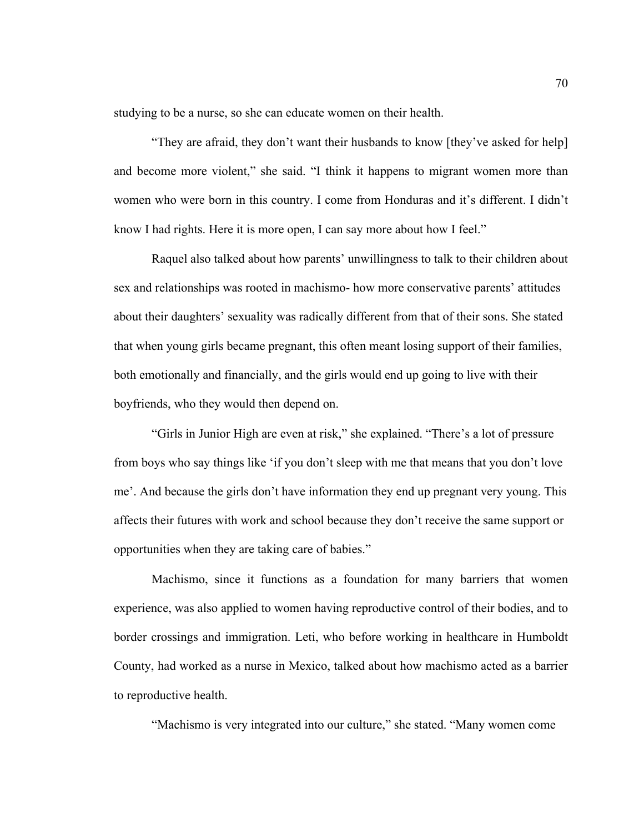studying to be a nurse, so she can educate women on their health.

"They are afraid, they don't want their husbands to know [they've asked for help] and become more violent," she said. "I think it happens to migrant women more than women who were born in this country. I come from Honduras and it's different. I didn't know I had rights. Here it is more open, I can say more about how I feel."

Raquel also talked about how parents' unwillingness to talk to their children about sex and relationships was rooted in machismo- how more conservative parents' attitudes about their daughters' sexuality was radically different from that of their sons. She stated that when young girls became pregnant, this often meant losing support of their families, both emotionally and financially, and the girls would end up going to live with their boyfriends, who they would then depend on.

"Girls in Junior High are even at risk," she explained. "There's a lot of pressure from boys who say things like 'if you don't sleep with me that means that you don't love me'. And because the girls don't have information they end up pregnant very young. This affects their futures with work and school because they don't receive the same support or opportunities when they are taking care of babies."

Machismo, since it functions as a foundation for many barriers that women experience, was also applied to women having reproductive control of their bodies, and to border crossings and immigration. Leti, who before working in healthcare in Humboldt County, had worked as a nurse in Mexico, talked about how machismo acted as a barrier to reproductive health.

"Machismo is very integrated into our culture," she stated. "Many women come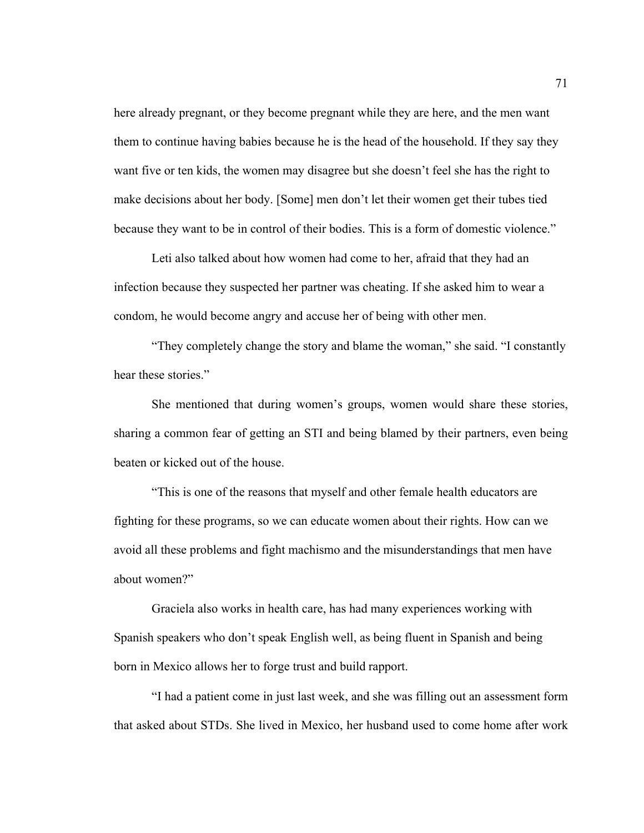here already pregnant, or they become pregnant while they are here, and the men want them to continue having babies because he is the head of the household. If they say they want five or ten kids, the women may disagree but she doesn't feel she has the right to make decisions about her body. [Some] men don't let their women get their tubes tied because they want to be in control of their bodies. This is a form of domestic violence."

Leti also talked about how women had come to her, afraid that they had an infection because they suspected her partner was cheating. If she asked him to wear a condom, he would become angry and accuse her of being with other men.

"They completely change the story and blame the woman," she said. "I constantly hear these stories."

She mentioned that during women's groups, women would share these stories, sharing a common fear of getting an STI and being blamed by their partners, even being beaten or kicked out of the house.

"This is one of the reasons that myself and other female health educators are fighting for these programs, so we can educate women about their rights. How can we avoid all these problems and fight machismo and the misunderstandings that men have about women?"

Graciela also works in health care, has had many experiences working with Spanish speakers who don't speak English well, as being fluent in Spanish and being born in Mexico allows her to forge trust and build rapport.

"I had a patient come in just last week, and she was filling out an assessment form that asked about STDs. She lived in Mexico, her husband used to come home after work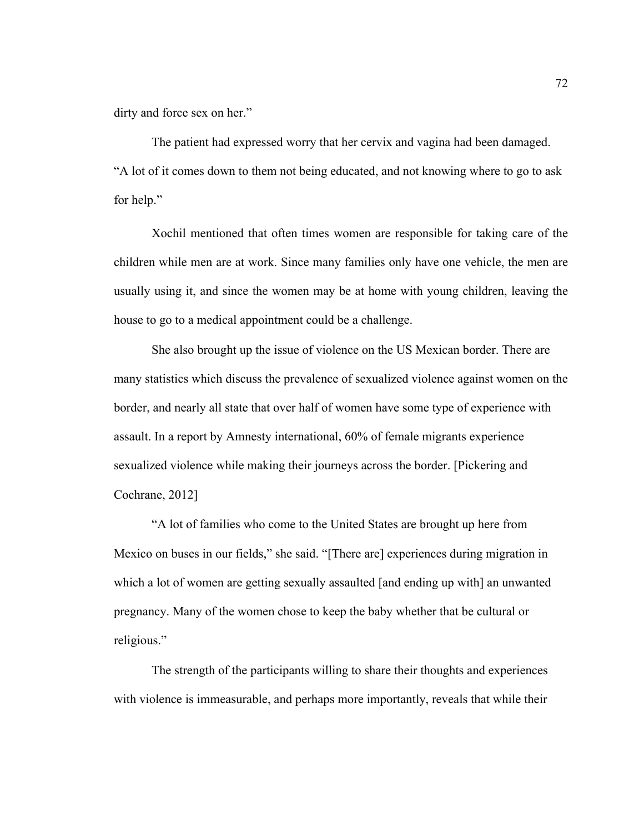dirty and force sex on her."

The patient had expressed worry that her cervix and vagina had been damaged. "A lot of it comes down to them not being educated, and not knowing where to go to ask for help."

Xochil mentioned that often times women are responsible for taking care of the children while men are at work. Since many families only have one vehicle, the men are usually using it, and since the women may be at home with young children, leaving the house to go to a medical appointment could be a challenge.

She also brought up the issue of violence on the US Mexican border. There are many statistics which discuss the prevalence of sexualized violence against women on the border, and nearly all state that over half of women have some type of experience with assault. In a report by Amnesty international, 60% of female migrants experience sexualized violence while making their journeys across the border. [Pickering and Cochrane, 2012]

"A lot of families who come to the United States are brought up here from Mexico on buses in our fields," she said. "[There are] experiences during migration in which a lot of women are getting sexually assaulted [and ending up with] an unwanted pregnancy. Many of the women chose to keep the baby whether that be cultural or religious."

The strength of the participants willing to share their thoughts and experiences with violence is immeasurable, and perhaps more importantly, reveals that while their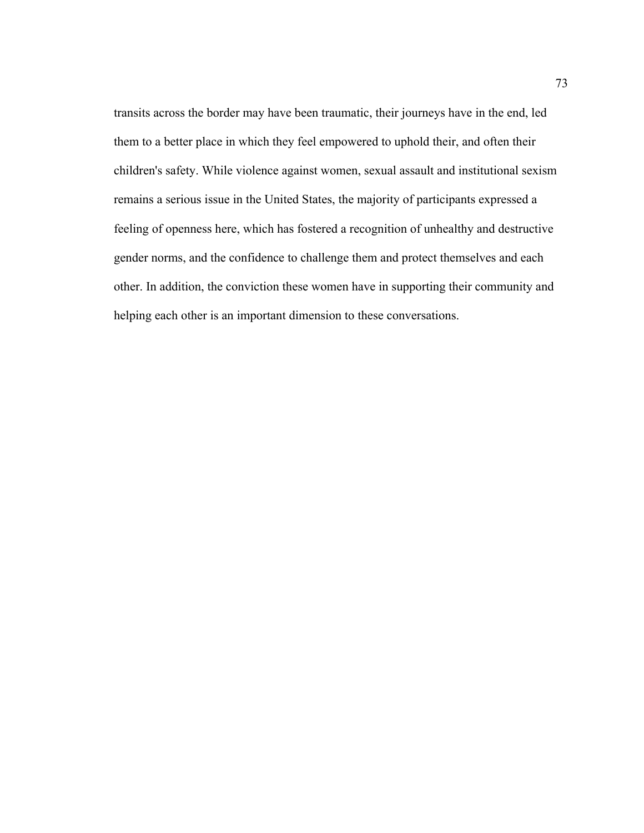transits across the border may have been traumatic, their journeys have in the end, led them to a better place in which they feel empowered to uphold their, and often their children's safety. While violence against women, sexual assault and institutional sexism remains a serious issue in the United States, the majority of participants expressed a feeling of openness here, which has fostered a recognition of unhealthy and destructive gender norms, and the confidence to challenge them and protect themselves and each other. In addition, the conviction these women have in supporting their community and helping each other is an important dimension to these conversations.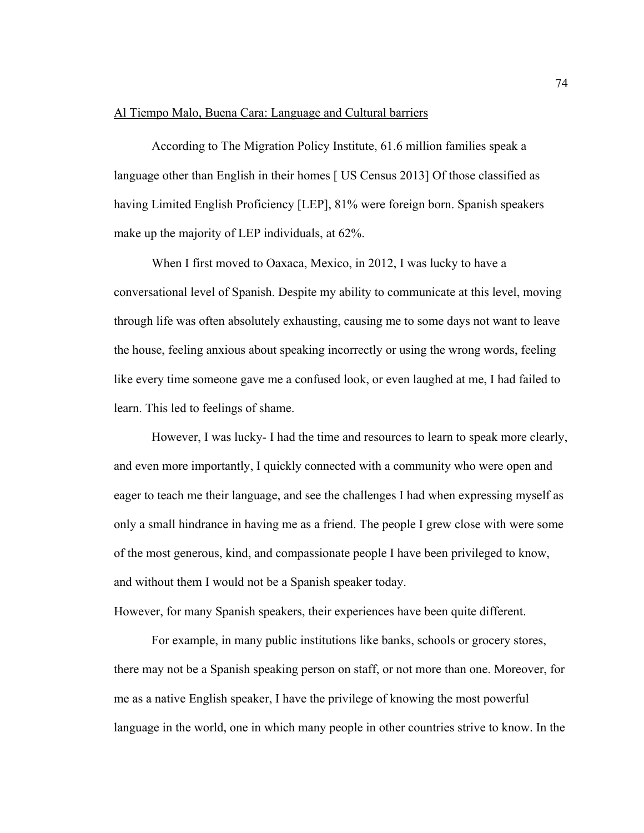#### Al Tiempo Malo, Buena Cara: Language and Cultural barriers

According to The Migration Policy Institute, 61.6 million families speak a language other than English in their homes [ US Census 2013] Of those classified as having Limited English Proficiency [LEP], 81% were foreign born. Spanish speakers make up the majority of LEP individuals, at 62%.

When I first moved to Oaxaca, Mexico, in 2012, I was lucky to have a conversational level of Spanish. Despite my ability to communicate at this level, moving through life was often absolutely exhausting, causing me to some days not want to leave the house, feeling anxious about speaking incorrectly or using the wrong words, feeling like every time someone gave me a confused look, or even laughed at me, I had failed to learn. This led to feelings of shame.

However, I was lucky- I had the time and resources to learn to speak more clearly, and even more importantly, I quickly connected with a community who were open and eager to teach me their language, and see the challenges I had when expressing myself as only a small hindrance in having me as a friend. The people I grew close with were some of the most generous, kind, and compassionate people I have been privileged to know, and without them I would not be a Spanish speaker today.

However, for many Spanish speakers, their experiences have been quite different.

For example, in many public institutions like banks, schools or grocery stores, there may not be a Spanish speaking person on staff, or not more than one. Moreover, for me as a native English speaker, I have the privilege of knowing the most powerful language in the world, one in which many people in other countries strive to know. In the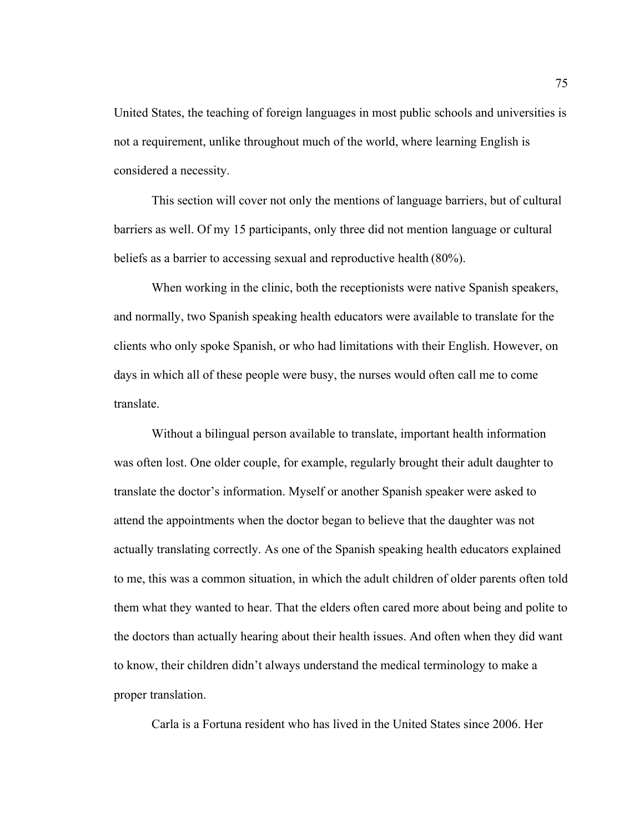United States, the teaching of foreign languages in most public schools and universities is not a requirement, unlike throughout much of the world, where learning English is considered a necessity.

This section will cover not only the mentions of language barriers, but of cultural barriers as well. Of my 15 participants, only three did not mention language or cultural beliefs as a barrier to accessing sexual and reproductive health (80%).

When working in the clinic, both the receptionists were native Spanish speakers, and normally, two Spanish speaking health educators were available to translate for the clients who only spoke Spanish, or who had limitations with their English. However, on days in which all of these people were busy, the nurses would often call me to come translate.

Without a bilingual person available to translate, important health information was often lost. One older couple, for example, regularly brought their adult daughter to translate the doctor's information. Myself or another Spanish speaker were asked to attend the appointments when the doctor began to believe that the daughter was not actually translating correctly. As one of the Spanish speaking health educators explained to me, this was a common situation, in which the adult children of older parents often told them what they wanted to hear. That the elders often cared more about being and polite to the doctors than actually hearing about their health issues. And often when they did want to know, their children didn't always understand the medical terminology to make a proper translation.

Carla is a Fortuna resident who has lived in the United States since 2006. Her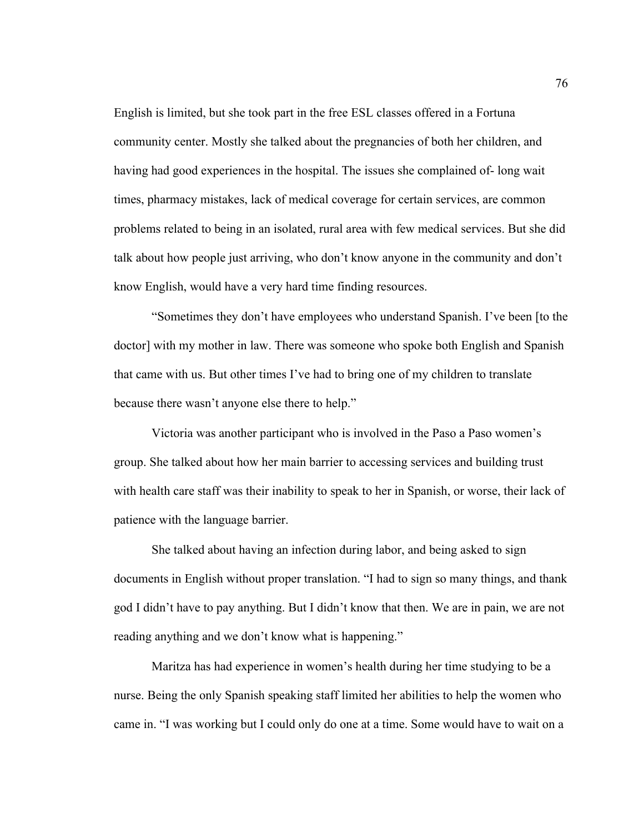English is limited, but she took part in the free ESL classes offered in a Fortuna community center. Mostly she talked about the pregnancies of both her children, and having had good experiences in the hospital. The issues she complained of- long wait times, pharmacy mistakes, lack of medical coverage for certain services, are common problems related to being in an isolated, rural area with few medical services. But she did talk about how people just arriving, who don't know anyone in the community and don't know English, would have a very hard time finding resources.

"Sometimes they don't have employees who understand Spanish. I've been [to the doctor] with my mother in law. There was someone who spoke both English and Spanish that came with us. But other times I've had to bring one of my children to translate because there wasn't anyone else there to help."

Victoria was another participant who is involved in the Paso a Paso women's group. She talked about how her main barrier to accessing services and building trust with health care staff was their inability to speak to her in Spanish, or worse, their lack of patience with the language barrier.

She talked about having an infection during labor, and being asked to sign documents in English without proper translation. "I had to sign so many things, and thank god I didn't have to pay anything. But I didn't know that then. We are in pain, we are not reading anything and we don't know what is happening."

Maritza has had experience in women's health during her time studying to be a nurse. Being the only Spanish speaking staff limited her abilities to help the women who came in. "I was working but I could only do one at a time. Some would have to wait on a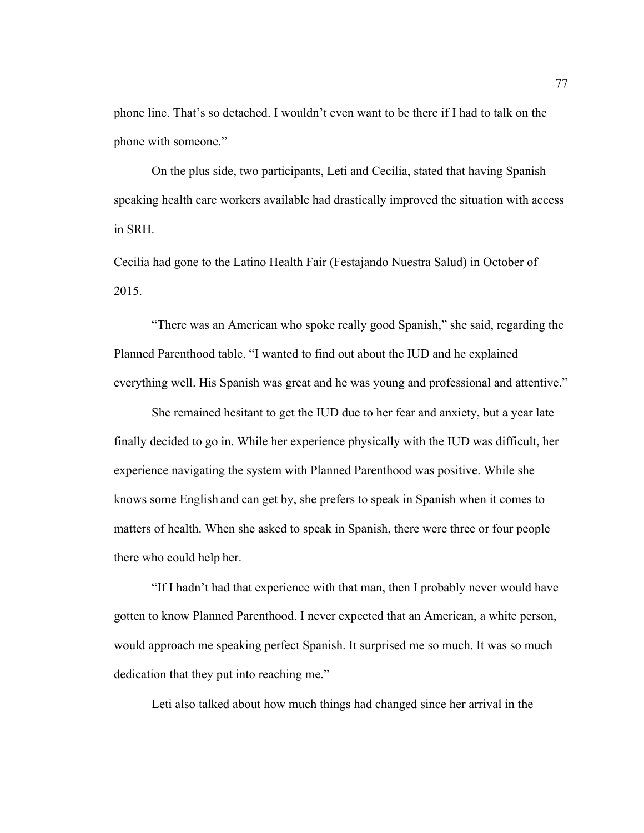phone line. That's so detached. I wouldn't even want to be there if I had to talk on the phone with someone."

On the plus side, two participants, Leti and Cecilia, stated that having Spanish speaking health care workers available had drastically improved the situation with access in SRH.

Cecilia had gone to the Latino Health Fair (Festajando Nuestra Salud) in October of 2015.

"There was an American who spoke really good Spanish," she said, regarding the Planned Parenthood table. "I wanted to find out about the IUD and he explained everything well. His Spanish was great and he was young and professional and attentive."

She remained hesitant to get the IUD due to her fear and anxiety, but a year late finally decided to go in. While her experience physically with the IUD was difficult, her experience navigating the system with Planned Parenthood was positive. While she knows some English and can get by, she prefers to speak in Spanish when it comes to matters of health. When she asked to speak in Spanish, there were three or four people there who could help her.

"If I hadn't had that experience with that man, then I probably never would have gotten to know Planned Parenthood. I never expected that an American, a white person, would approach me speaking perfect Spanish. It surprised me so much. It was so much dedication that they put into reaching me."

Leti also talked about how much things had changed since her arrival in the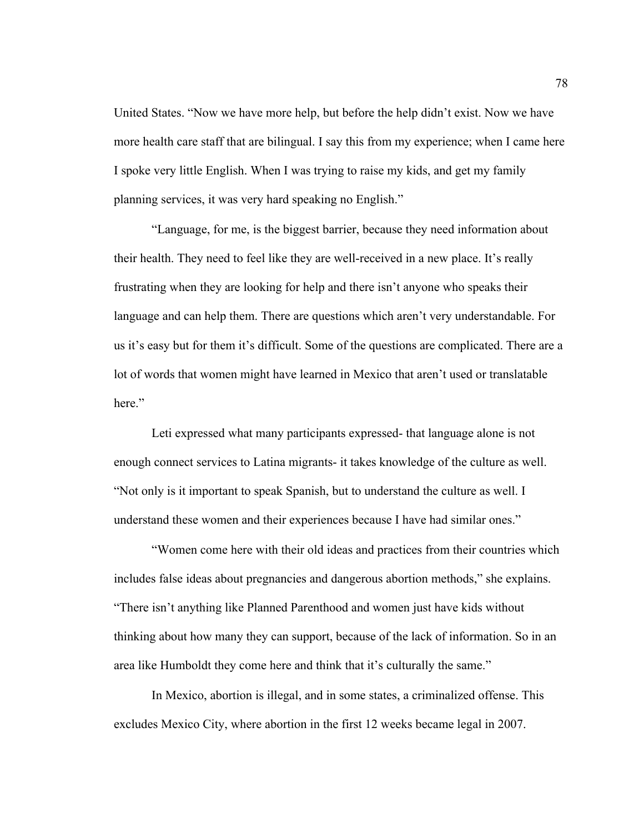United States. "Now we have more help, but before the help didn't exist. Now we have more health care staff that are bilingual. I say this from my experience; when I came here I spoke very little English. When I was trying to raise my kids, and get my family planning services, it was very hard speaking no English."

"Language, for me, is the biggest barrier, because they need information about their health. They need to feel like they are well-received in a new place. It's really frustrating when they are looking for help and there isn't anyone who speaks their language and can help them. There are questions which aren't very understandable. For us it's easy but for them it's difficult. Some of the questions are complicated. There are a lot of words that women might have learned in Mexico that aren't used or translatable here."

Leti expressed what many participants expressed- that language alone is not enough connect services to Latina migrants- it takes knowledge of the culture as well. "Not only is it important to speak Spanish, but to understand the culture as well. I understand these women and their experiences because I have had similar ones."

"Women come here with their old ideas and practices from their countries which includes false ideas about pregnancies and dangerous abortion methods," she explains. "There isn't anything like Planned Parenthood and women just have kids without thinking about how many they can support, because of the lack of information. So in an area like Humboldt they come here and think that it's culturally the same."

In Mexico, abortion is illegal, and in some states, a criminalized offense. This excludes Mexico City, where abortion in the first 12 weeks became legal in 2007.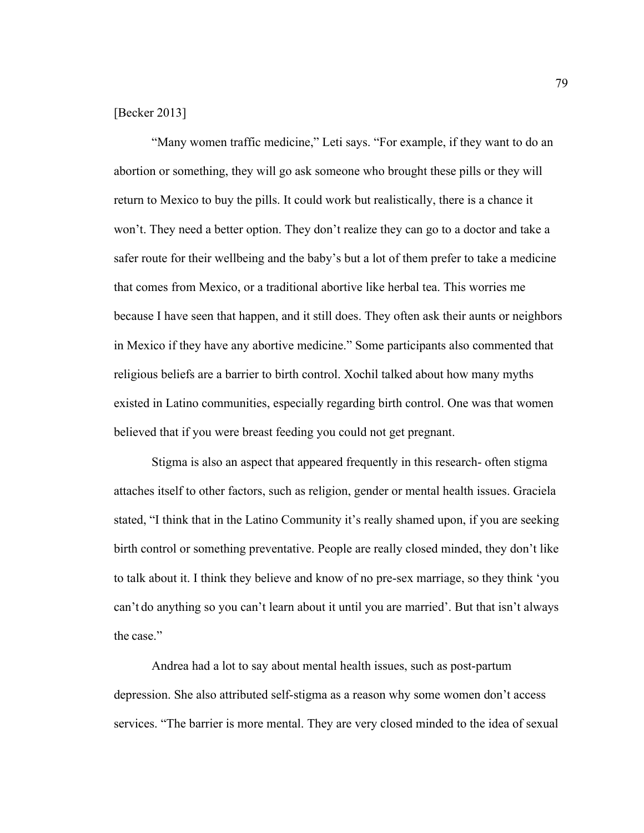# [Becker 2013]

"Many women traffic medicine," Leti says. "For example, if they want to do an abortion or something, they will go ask someone who brought these pills or they will return to Mexico to buy the pills. It could work but realistically, there is a chance it won't. They need a better option. They don't realize they can go to a doctor and take a safer route for their wellbeing and the baby's but a lot of them prefer to take a medicine that comes from Mexico, or a traditional abortive like herbal tea. This worries me because I have seen that happen, and it still does. They often ask their aunts or neighbors in Mexico if they have any abortive medicine." Some participants also commented that religious beliefs are a barrier to birth control. Xochil talked about how many myths existed in Latino communities, especially regarding birth control. One was that women believed that if you were breast feeding you could not get pregnant.

Stigma is also an aspect that appeared frequently in this research- often stigma attaches itself to other factors, such as religion, gender or mental health issues. Graciela stated, "I think that in the Latino Community it's really shamed upon, if you are seeking birth control or something preventative. People are really closed minded, they don't like to talk about it. I think they believe and know of no pre-sex marriage, so they think 'you can't do anything so you can't learn about it until you are married'. But that isn't always the case."

Andrea had a lot to say about mental health issues, such as post-partum depression. She also attributed self-stigma as a reason why some women don't access services. "The barrier is more mental. They are very closed minded to the idea of sexual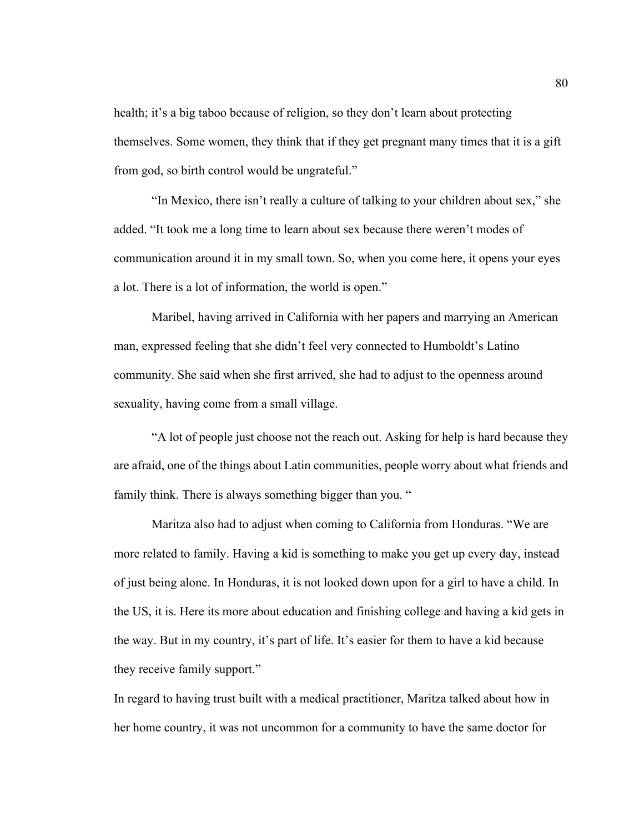health; it's a big taboo because of religion, so they don't learn about protecting themselves. Some women, they think that if they get pregnant many times that it is a gift from god, so birth control would be ungrateful."

"In Mexico, there isn't really a culture of talking to your children about sex," she added. "It took me a long time to learn about sex because there weren't modes of communication around it in my small town. So, when you come here, it opens your eyes a lot. There is a lot of information, the world is open."

Maribel, having arrived in California with her papers and marrying an American man, expressed feeling that she didn't feel very connected to Humboldt's Latino community. She said when she first arrived, she had to adjust to the openness around sexuality, having come from a small village.

"A lot of people just choose not the reach out. Asking for help is hard because they are afraid, one of the things about Latin communities, people worry about what friends and family think. There is always something bigger than you. "

Maritza also had to adjust when coming to California from Honduras. "We are more related to family. Having a kid is something to make you get up every day, instead of just being alone. In Honduras, it is not looked down upon for a girl to have a child. In the US, it is. Here its more about education and finishing college and having a kid gets in the way. But in my country, it's part of life. It's easier for them to have a kid because they receive family support."

In regard to having trust built with a medical practitioner, Maritza talked about how in her home country, it was not uncommon for a community to have the same doctor for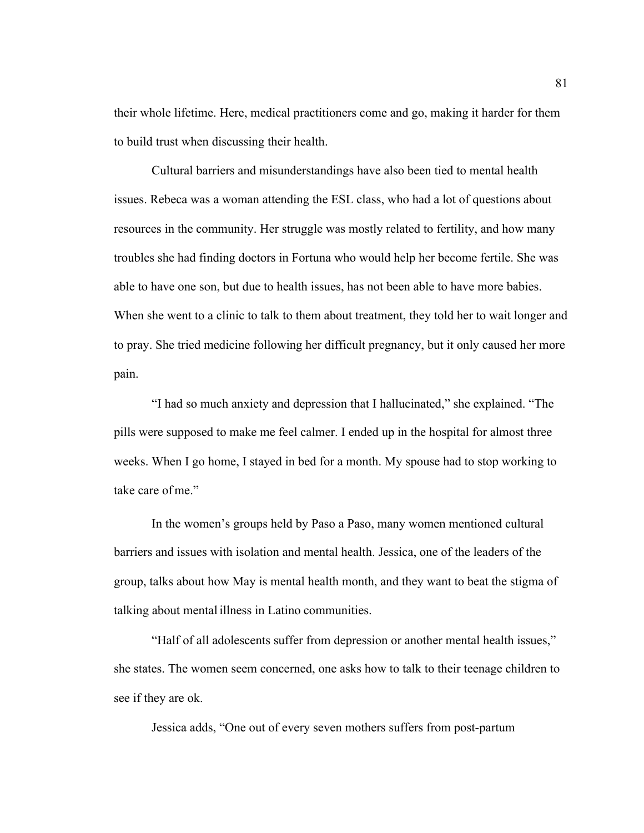their whole lifetime. Here, medical practitioners come and go, making it harder for them to build trust when discussing their health.

Cultural barriers and misunderstandings have also been tied to mental health issues. Rebeca was a woman attending the ESL class, who had a lot of questions about resources in the community. Her struggle was mostly related to fertility, and how many troubles she had finding doctors in Fortuna who would help her become fertile. She was able to have one son, but due to health issues, has not been able to have more babies. When she went to a clinic to talk to them about treatment, they told her to wait longer and to pray. She tried medicine following her difficult pregnancy, but it only caused her more pain.

"I had so much anxiety and depression that I hallucinated," she explained. "The pills were supposed to make me feel calmer. I ended up in the hospital for almost three weeks. When I go home, I stayed in bed for a month. My spouse had to stop working to take care ofme."

In the women's groups held by Paso a Paso, many women mentioned cultural barriers and issues with isolation and mental health. Jessica, one of the leaders of the group, talks about how May is mental health month, and they want to beat the stigma of talking about mental illness in Latino communities.

"Half of all adolescents suffer from depression or another mental health issues," she states. The women seem concerned, one asks how to talk to their teenage children to see if they are ok.

Jessica adds, "One out of every seven mothers suffers from post-partum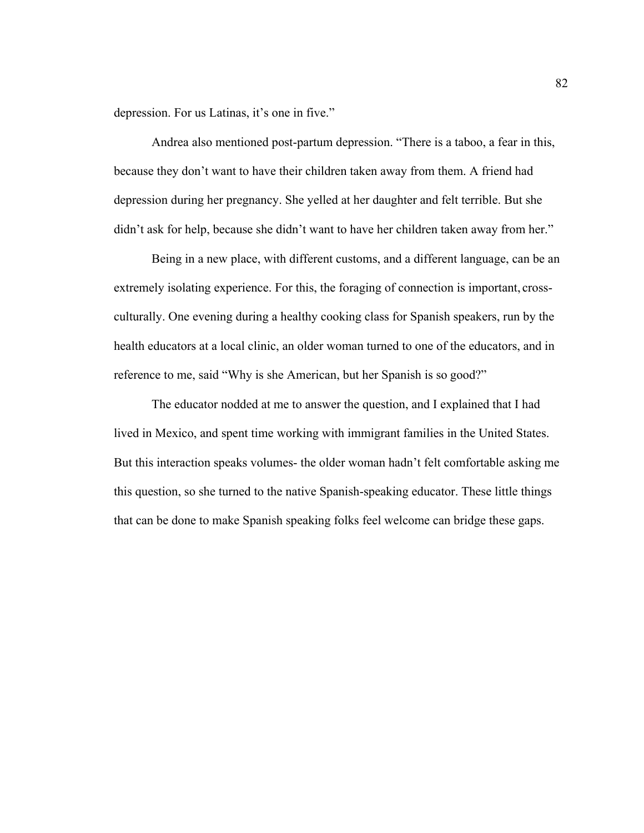depression. For us Latinas, it's one in five."

Andrea also mentioned post-partum depression. "There is a taboo, a fear in this, because they don't want to have their children taken away from them. A friend had depression during her pregnancy. She yelled at her daughter and felt terrible. But she didn't ask for help, because she didn't want to have her children taken away from her."

Being in a new place, with different customs, and a different language, can be an extremely isolating experience. For this, the foraging of connection is important, crossculturally. One evening during a healthy cooking class for Spanish speakers, run by the health educators at a local clinic, an older woman turned to one of the educators, and in reference to me, said "Why is she American, but her Spanish is so good?"

The educator nodded at me to answer the question, and I explained that I had lived in Mexico, and spent time working with immigrant families in the United States. But this interaction speaks volumes- the older woman hadn't felt comfortable asking me this question, so she turned to the native Spanish-speaking educator. These little things that can be done to make Spanish speaking folks feel welcome can bridge these gaps.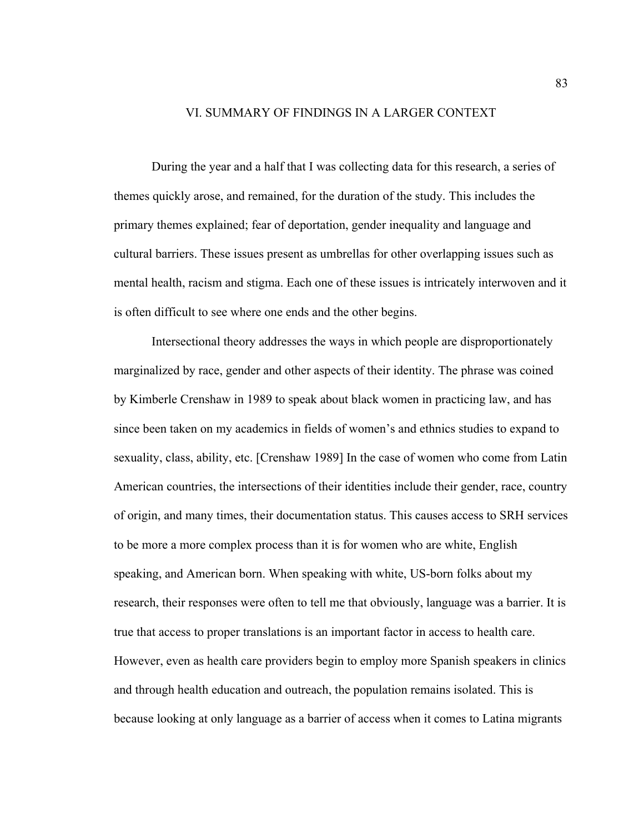# VI. SUMMARY OF FINDINGS IN A LARGER CONTEXT

During the year and a half that I was collecting data for this research, a series of themes quickly arose, and remained, for the duration of the study. This includes the primary themes explained; fear of deportation, gender inequality and language and cultural barriers. These issues present as umbrellas for other overlapping issues such as mental health, racism and stigma. Each one of these issues is intricately interwoven and it is often difficult to see where one ends and the other begins.

Intersectional theory addresses the ways in which people are disproportionately marginalized by race, gender and other aspects of their identity. The phrase was coined by Kimberle Crenshaw in 1989 to speak about black women in practicing law, and has since been taken on my academics in fields of women's and ethnics studies to expand to sexuality, class, ability, etc. [Crenshaw 1989] In the case of women who come from Latin American countries, the intersections of their identities include their gender, race, country of origin, and many times, their documentation status. This causes access to SRH services to be more a more complex process than it is for women who are white, English speaking, and American born. When speaking with white, US-born folks about my research, their responses were often to tell me that obviously, language was a barrier. It is true that access to proper translations is an important factor in access to health care. However, even as health care providers begin to employ more Spanish speakers in clinics and through health education and outreach, the population remains isolated. This is because looking at only language as a barrier of access when it comes to Latina migrants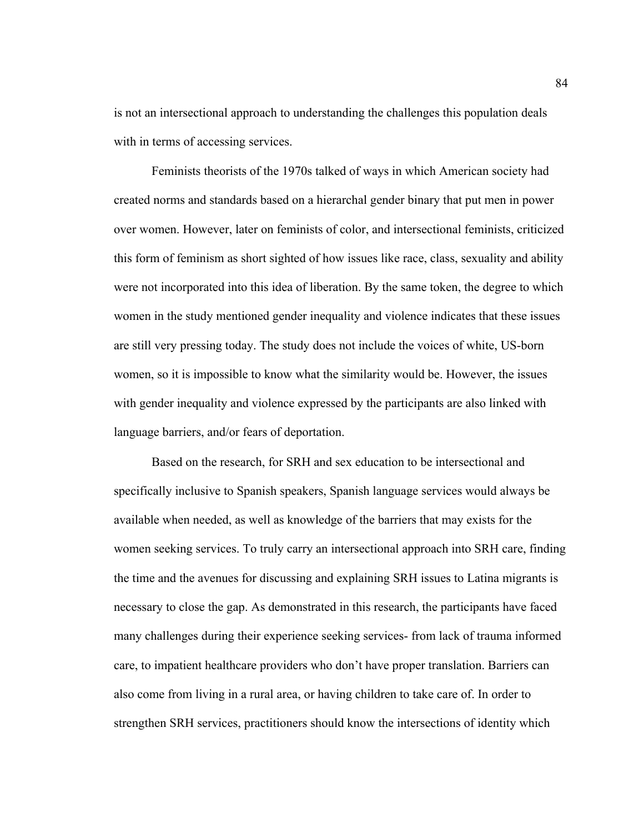is not an intersectional approach to understanding the challenges this population deals with in terms of accessing services.

Feminists theorists of the 1970s talked of ways in which American society had created norms and standards based on a hierarchal gender binary that put men in power over women. However, later on feminists of color, and intersectional feminists, criticized this form of feminism as short sighted of how issues like race, class, sexuality and ability were not incorporated into this idea of liberation. By the same token, the degree to which women in the study mentioned gender inequality and violence indicates that these issues are still very pressing today. The study does not include the voices of white, US-born women, so it is impossible to know what the similarity would be. However, the issues with gender inequality and violence expressed by the participants are also linked with language barriers, and/or fears of deportation.

Based on the research, for SRH and sex education to be intersectional and specifically inclusive to Spanish speakers, Spanish language services would always be available when needed, as well as knowledge of the barriers that may exists for the women seeking services. To truly carry an intersectional approach into SRH care, finding the time and the avenues for discussing and explaining SRH issues to Latina migrants is necessary to close the gap. As demonstrated in this research, the participants have faced many challenges during their experience seeking services- from lack of trauma informed care, to impatient healthcare providers who don't have proper translation. Barriers can also come from living in a rural area, or having children to take care of. In order to strengthen SRH services, practitioners should know the intersections of identity which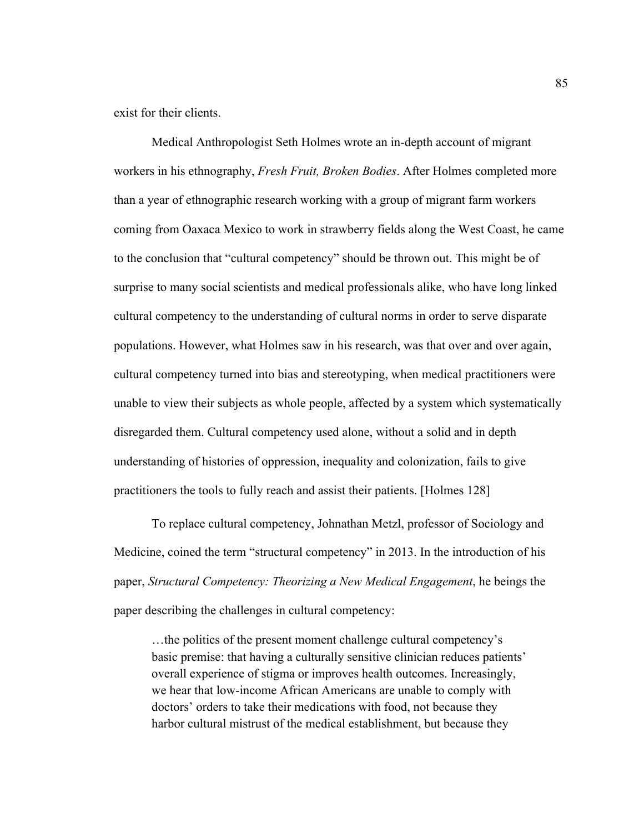exist for their clients.

Medical Anthropologist Seth Holmes wrote an in-depth account of migrant workers in his ethnography, *Fresh Fruit, Broken Bodies*. After Holmes completed more than a year of ethnographic research working with a group of migrant farm workers coming from Oaxaca Mexico to work in strawberry fields along the West Coast, he came to the conclusion that "cultural competency" should be thrown out. This might be of surprise to many social scientists and medical professionals alike, who have long linked cultural competency to the understanding of cultural norms in order to serve disparate populations. However, what Holmes saw in his research, was that over and over again, cultural competency turned into bias and stereotyping, when medical practitioners were unable to view their subjects as whole people, affected by a system which systematically disregarded them. Cultural competency used alone, without a solid and in depth understanding of histories of oppression, inequality and colonization, fails to give practitioners the tools to fully reach and assist their patients. [Holmes 128]

To replace cultural competency, Johnathan Metzl, professor of Sociology and Medicine, coined the term "structural competency" in 2013. In the introduction of his paper, *Structural Competency: Theorizing a New Medical Engagement*, he beings the paper describing the challenges in cultural competency:

…the politics of the present moment challenge cultural competency's basic premise: that having a culturally sensitive clinician reduces patients' overall experience of stigma or improves health outcomes. Increasingly, we hear that low-income African Americans are unable to comply with doctors' orders to take their medications with food, not because they harbor cultural mistrust of the medical establishment, but because they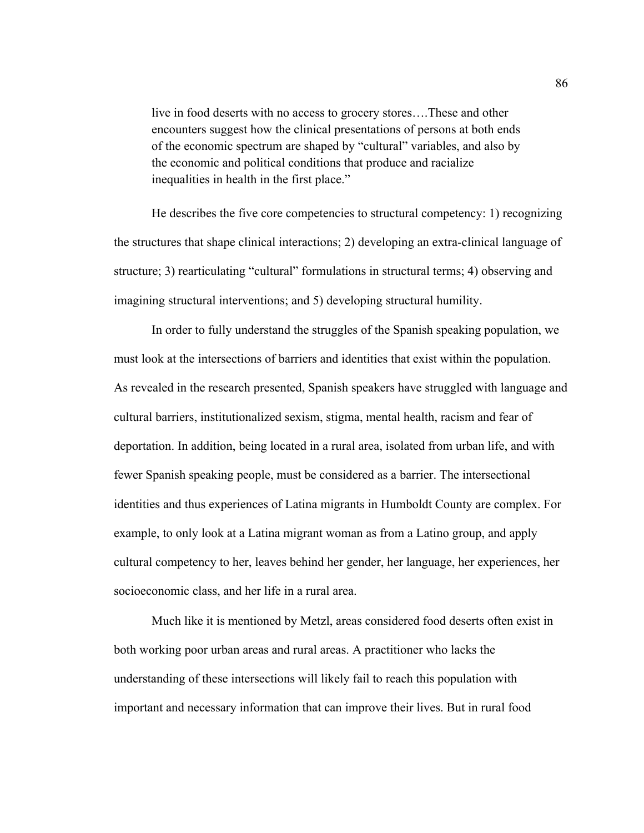live in food deserts with no access to grocery stores….These and other encounters suggest how the clinical presentations of persons at both ends of the economic spectrum are shaped by "cultural" variables, and also by the economic and political conditions that produce and racialize inequalities in health in the first place."

He describes the five core competencies to structural competency: 1) recognizing the structures that shape clinical interactions; 2) developing an extra-clinical language of structure; 3) rearticulating "cultural" formulations in structural terms; 4) observing and imagining structural interventions; and 5) developing structural humility.

In order to fully understand the struggles of the Spanish speaking population, we must look at the intersections of barriers and identities that exist within the population. As revealed in the research presented, Spanish speakers have struggled with language and cultural barriers, institutionalized sexism, stigma, mental health, racism and fear of deportation. In addition, being located in a rural area, isolated from urban life, and with fewer Spanish speaking people, must be considered as a barrier. The intersectional identities and thus experiences of Latina migrants in Humboldt County are complex. For example, to only look at a Latina migrant woman as from a Latino group, and apply cultural competency to her, leaves behind her gender, her language, her experiences, her socioeconomic class, and her life in a rural area.

Much like it is mentioned by Metzl, areas considered food deserts often exist in both working poor urban areas and rural areas. A practitioner who lacks the understanding of these intersections will likely fail to reach this population with important and necessary information that can improve their lives. But in rural food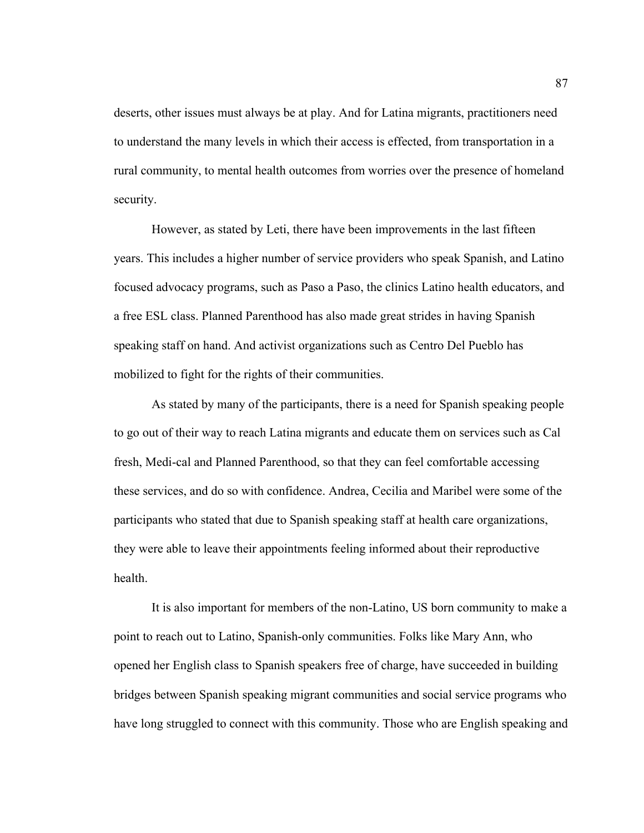deserts, other issues must always be at play. And for Latina migrants, practitioners need to understand the many levels in which their access is effected, from transportation in a rural community, to mental health outcomes from worries over the presence of homeland security.

However, as stated by Leti, there have been improvements in the last fifteen years. This includes a higher number of service providers who speak Spanish, and Latino focused advocacy programs, such as Paso a Paso, the clinics Latino health educators, and a free ESL class. Planned Parenthood has also made great strides in having Spanish speaking staff on hand. And activist organizations such as Centro Del Pueblo has mobilized to fight for the rights of their communities.

As stated by many of the participants, there is a need for Spanish speaking people to go out of their way to reach Latina migrants and educate them on services such as Cal fresh, Medi-cal and Planned Parenthood, so that they can feel comfortable accessing these services, and do so with confidence. Andrea, Cecilia and Maribel were some of the participants who stated that due to Spanish speaking staff at health care organizations, they were able to leave their appointments feeling informed about their reproductive health.

It is also important for members of the non-Latino, US born community to make a point to reach out to Latino, Spanish-only communities. Folks like Mary Ann, who opened her English class to Spanish speakers free of charge, have succeeded in building bridges between Spanish speaking migrant communities and social service programs who have long struggled to connect with this community. Those who are English speaking and

87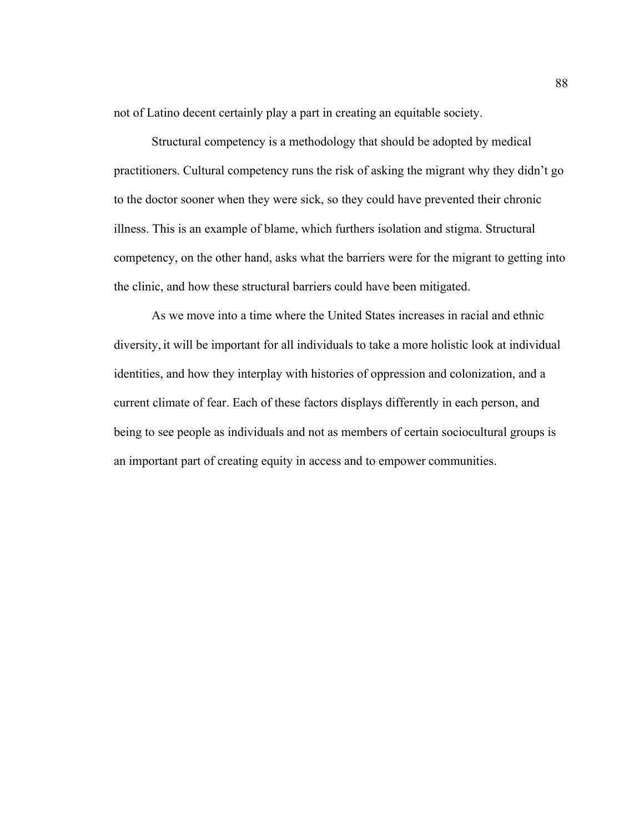not of Latino decent certainly play a part in creating an equitable society.

Structural competency is a methodology that should be adopted by medical practitioners. Cultural competency runs the risk of asking the migrant why they didn't go to the doctor sooner when they were sick, so they could have prevented their chronic illness. This is an example of blame, which furthers isolation and stigma. Structural competency, on the other hand, asks what the barriers were for the migrant to getting into the clinic, and how these structural barriers could have been mitigated.

As we move into a time where the United States increases in racial and ethnic diversity, it will be important for all individuals to take a more holistic look at individual identities, and how they interplay with histories of oppression and colonization, and a current climate of fear. Each of these factors displays differently in each person, and being to see people as individuals and not as members of certain sociocultural groups is an important part of creating equity in access and to empower communities.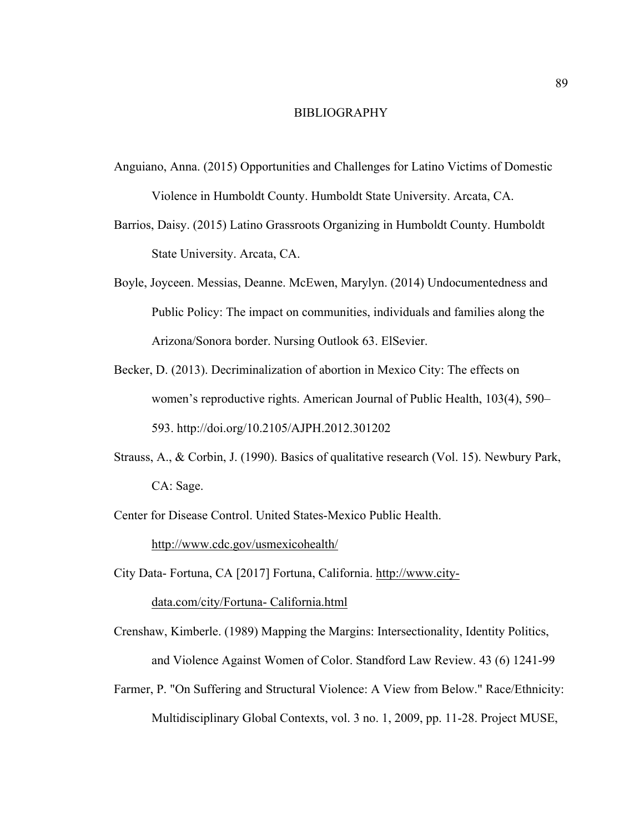#### BIBLIOGRAPHY

- Anguiano, Anna. (2015) Opportunities and Challenges for Latino Victims of Domestic Violence in Humboldt County. Humboldt State University. Arcata, CA.
- Barrios, Daisy. (2015) Latino Grassroots Organizing in Humboldt County. Humboldt State University. Arcata, CA.
- Boyle, Joyceen. Messias, Deanne. McEwen, Marylyn. (2014) Undocumentedness and Public Policy: The impact on communities, individuals and families along the Arizona/Sonora border. Nursing Outlook 63. ElSevier.
- Becker, D. (2013). Decriminalization of abortion in Mexico City: The effects on women's reproductive rights. American Journal of Public Health, 103(4), 590– 593. http://doi.org/10.2105/AJPH.2012.301202
- Strauss, A., & Corbin, J. (1990). Basics of qualitative research (Vol. 15). Newbury Park, CA: Sage.
- Center for Disease Control. United States-Mexico Public Health.

http://www.cdc.gov/usmexicohealth/

- City Data- Fortuna, CA [2017] Fortuna, California. http://www.citydata.com/city/Fortuna- California.html
- Crenshaw, Kimberle. (1989) Mapping the Margins: Intersectionality, Identity Politics, and Violence Against Women of Color. Standford Law Review. 43 (6) 1241-99
- Farmer, P. "On Suffering and Structural Violence: A View from Below." Race/Ethnicity: Multidisciplinary Global Contexts, vol. 3 no. 1, 2009, pp. 11-28. Project MUSE,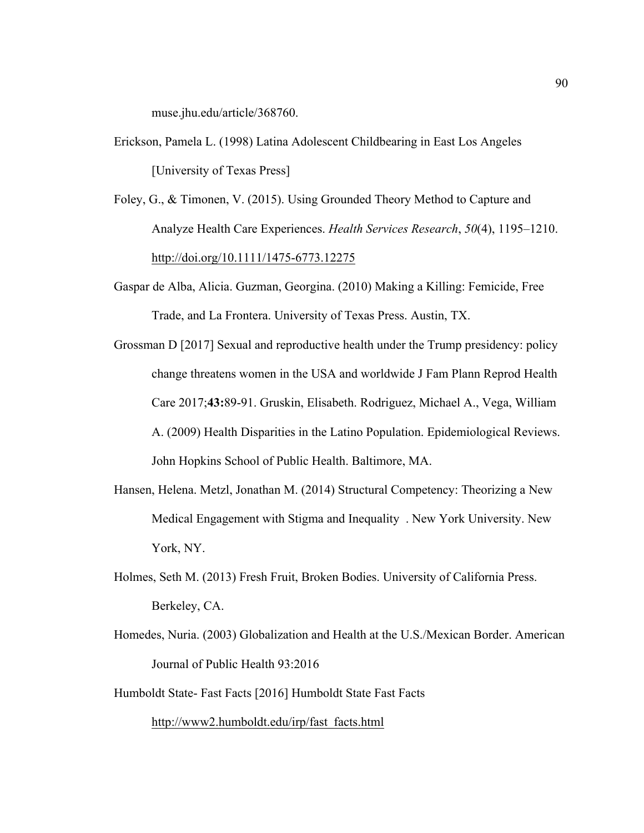muse.jhu.edu/article/368760.

- Erickson, Pamela L. (1998) Latina Adolescent Childbearing in East Los Angeles [University of Texas Press]
- Foley, G., & Timonen, V. (2015). Using Grounded Theory Method to Capture and Analyze Health Care Experiences. *Health Services Research*, *50*(4), 1195–1210. http://doi.org/10.1111/1475-6773.12275
- Gaspar de Alba, Alicia. Guzman, Georgina. (2010) Making a Killing: Femicide, Free Trade, and La Frontera. University of Texas Press. Austin, TX.
- Grossman D [2017] Sexual and reproductive health under the Trump presidency: policy change threatens women in the USA and worldwide J Fam Plann Reprod Health Care 2017;**43:**89-91. Gruskin, Elisabeth. Rodriguez, Michael A., Vega, William A. (2009) Health Disparities in the Latino Population. Epidemiological Reviews. John Hopkins School of Public Health. Baltimore, MA.
- Hansen, Helena. Metzl, Jonathan M. (2014) Structural Competency: Theorizing a New Medical Engagement with Stigma and Inequality . New York University. New York, NY.
- Holmes, Seth M. (2013) Fresh Fruit, Broken Bodies. University of California Press. Berkeley, CA.
- Homedes, Nuria. (2003) Globalization and Health at the U.S./Mexican Border. American Journal of Public Health 93:2016
- Humboldt State- Fast Facts [2016] Humboldt State Fast Facts

http://www2.humboldt.edu/irp/fast\_facts.html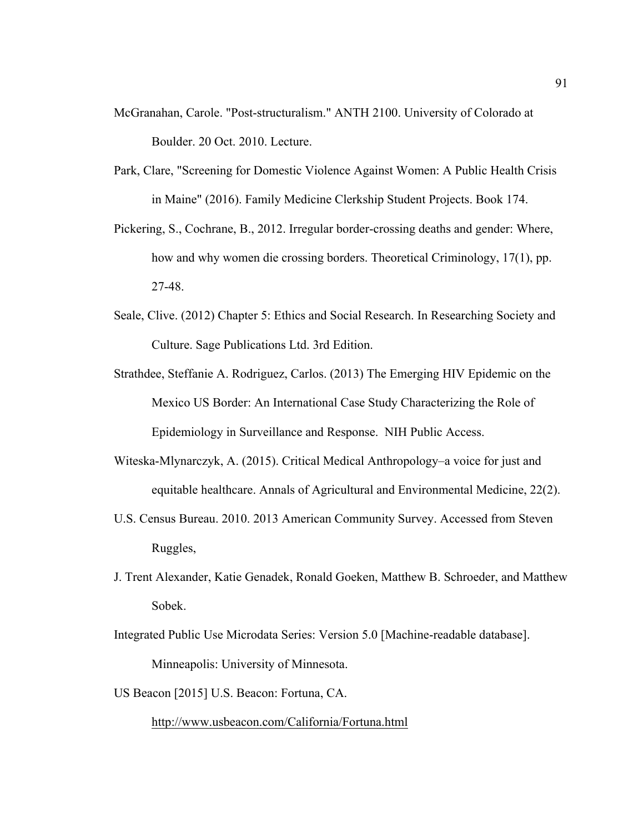- McGranahan, Carole. "Post-structuralism." ANTH 2100. University of Colorado at Boulder. 20 Oct. 2010. Lecture.
- Park, Clare, "Screening for Domestic Violence Against Women: A Public Health Crisis in Maine" (2016). Family Medicine Clerkship Student Projects. Book 174.
- Pickering, S., Cochrane, B., 2012. Irregular border-crossing deaths and gender: Where, how and why women die crossing borders. Theoretical Criminology, 17(1), pp. 27-48.
- Seale, Clive. (2012) Chapter 5: Ethics and Social Research. In Researching Society and Culture. Sage Publications Ltd. 3rd Edition.
- Strathdee, Steffanie A. Rodriguez, Carlos. (2013) The Emerging HIV Epidemic on the Mexico US Border: An International Case Study Characterizing the Role of Epidemiology in Surveillance and Response. NIH Public Access.
- Witeska-Mlynarczyk, A. (2015). Critical Medical Anthropology–a voice for just and equitable healthcare. Annals of Agricultural and Environmental Medicine, 22(2).
- U.S. Census Bureau. 2010. 2013 American Community Survey. Accessed from Steven Ruggles,
- J. Trent Alexander, Katie Genadek, Ronald Goeken, Matthew B. Schroeder, and Matthew Sobek.
- Integrated Public Use Microdata Series: Version 5.0 [Machine-readable database]. Minneapolis: University of Minnesota.
- US Beacon [2015] U.S. Beacon: Fortuna, CA.

http://www.usbeacon.com/California/Fortuna.html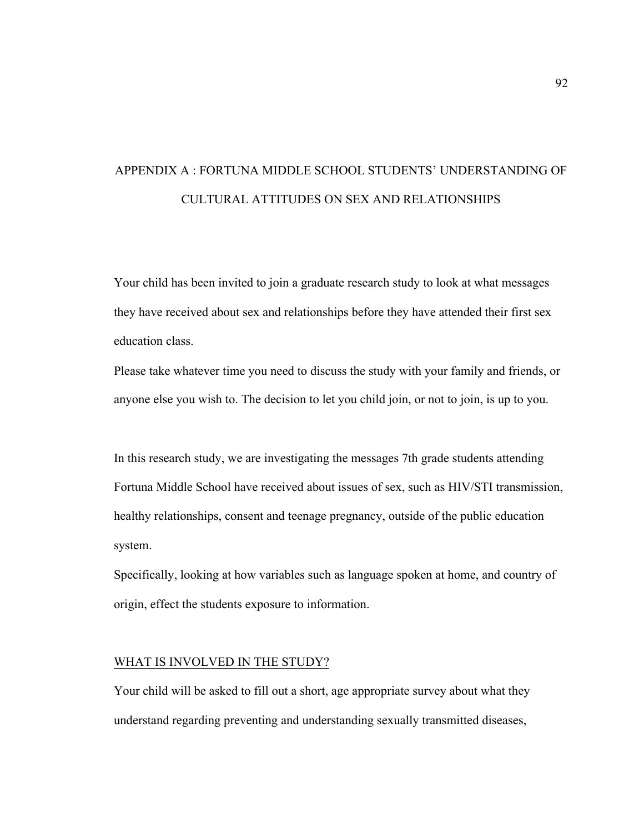# APPENDIX A : FORTUNA MIDDLE SCHOOL STUDENTS' UNDERSTANDING OF CULTURAL ATTITUDES ON SEX AND RELATIONSHIPS

Your child has been invited to join a graduate research study to look at what messages they have received about sex and relationships before they have attended their first sex education class.

Please take whatever time you need to discuss the study with your family and friends, or anyone else you wish to. The decision to let you child join, or not to join, is up to you.

In this research study, we are investigating the messages 7th grade students attending Fortuna Middle School have received about issues of sex, such as HIV/STI transmission, healthy relationships, consent and teenage pregnancy, outside of the public education system.

Specifically, looking at how variables such as language spoken at home, and country of origin, effect the students exposure to information.

# WHAT IS INVOLVED IN THE STUDY?

Your child will be asked to fill out a short, age appropriate survey about what they understand regarding preventing and understanding sexually transmitted diseases,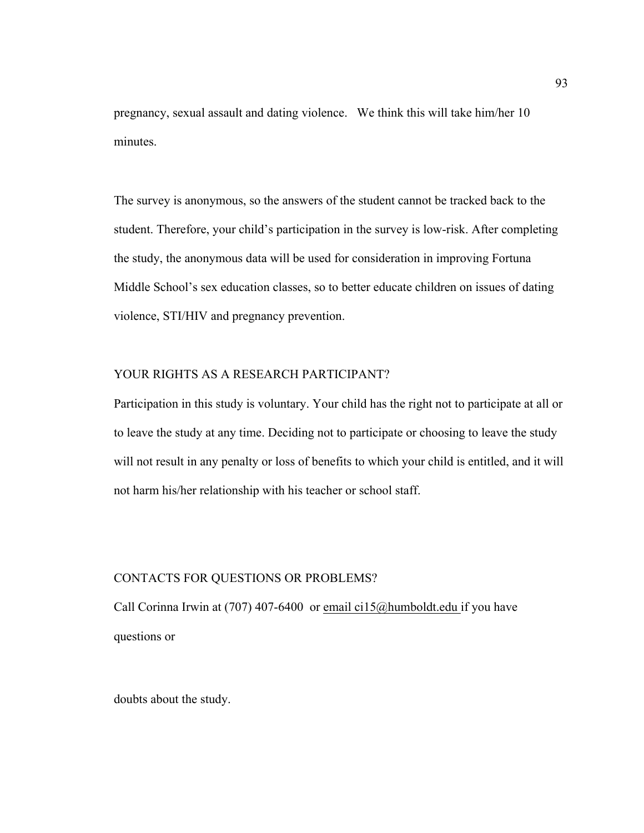pregnancy, sexual assault and dating violence. We think this will take him/her 10 minutes.

The survey is anonymous, so the answers of the student cannot be tracked back to the student. Therefore, your child's participation in the survey is low-risk. After completing the study, the anonymous data will be used for consideration in improving Fortuna Middle School's sex education classes, so to better educate children on issues of dating violence, STI/HIV and pregnancy prevention.

#### YOUR RIGHTS AS A RESEARCH PARTICIPANT?

Participation in this study is voluntary. Your child has the right not to participate at all or to leave the study at any time. Deciding not to participate or choosing to leave the study will not result in any penalty or loss of benefits to which your child is entitled, and it will not harm his/her relationship with his teacher or school staff.

#### CONTACTS FOR QUESTIONS OR PROBLEMS?

Call Corinna Irwin at (707) 407-6400 or email ci15@humboldt.edu if you have questions or

doubts about the study.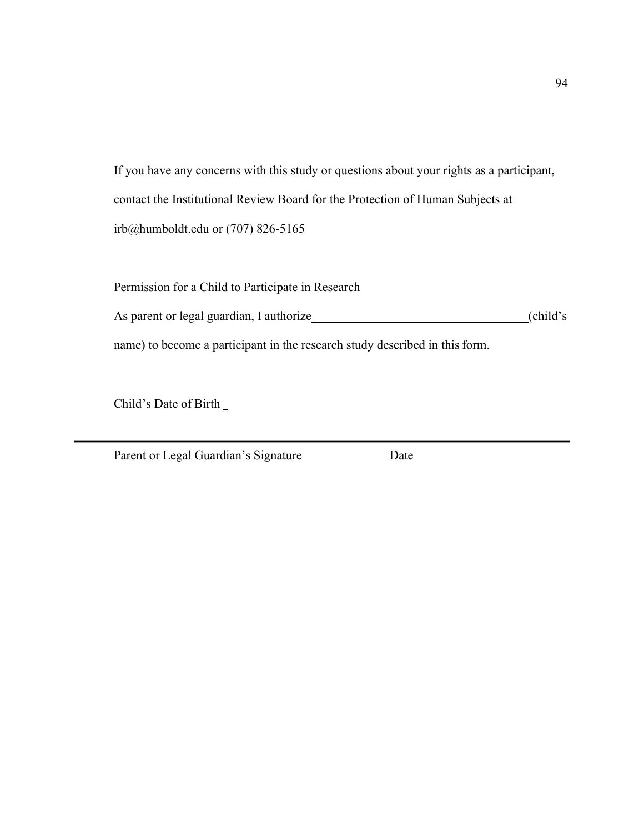If you have any concerns with this study or questions about your rights as a participant, contact the Institutional Review Board for the Protection of Human Subjects at irb@humboldt.edu or (707) 826-5165

Permission for a Child to Participate in Research As parent or legal guardian, I authorize (child's (child's name) to become a participant in the research study described in this form.

Child's Date of Birth

Parent or Legal Guardian's Signature Date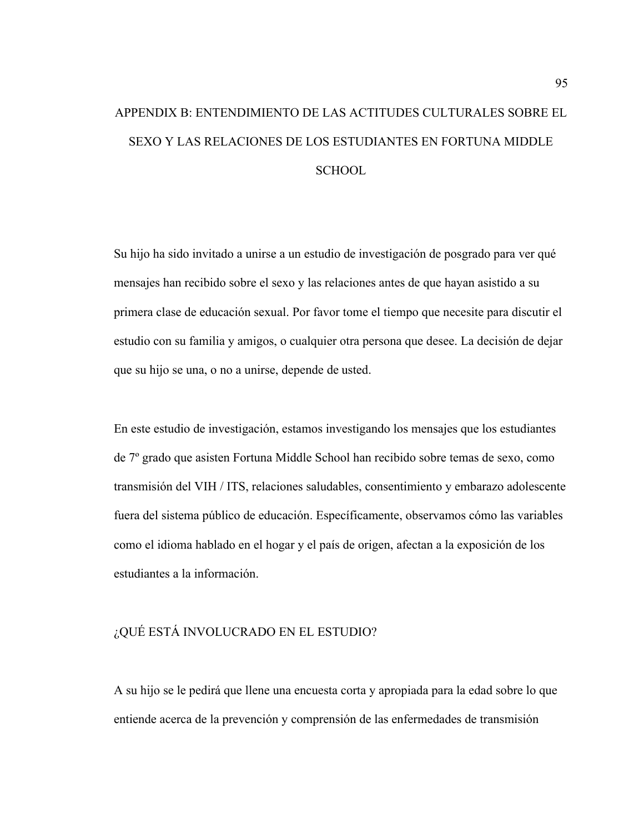# APPENDIX B: ENTENDIMIENTO DE LAS ACTITUDES CULTURALES SOBRE EL SEXO Y LAS RELACIONES DE LOS ESTUDIANTES EN FORTUNA MIDDLE **SCHOOL**

Su hijo ha sido invitado a unirse a un estudio de investigación de posgrado para ver qué mensajes han recibido sobre el sexo y las relaciones antes de que hayan asistido a su primera clase de educación sexual. Por favor tome el tiempo que necesite para discutir el estudio con su familia y amigos, o cualquier otra persona que desee. La decisión de dejar que su hijo se una, o no a unirse, depende de usted.

En este estudio de investigación, estamos investigando los mensajes que los estudiantes de 7º grado que asisten Fortuna Middle School han recibido sobre temas de sexo, como transmisión del VIH / ITS, relaciones saludables, consentimiento y embarazo adolescente fuera del sistema público de educación. Específicamente, observamos cómo las variables como el idioma hablado en el hogar y el país de origen, afectan a la exposición de los estudiantes a la información.

# ¿QUÉ ESTÁ INVOLUCRADO EN EL ESTUDIO?

A su hijo se le pedirá que llene una encuesta corta y apropiada para la edad sobre lo que entiende acerca de la prevención y comprensión de las enfermedades de transmisión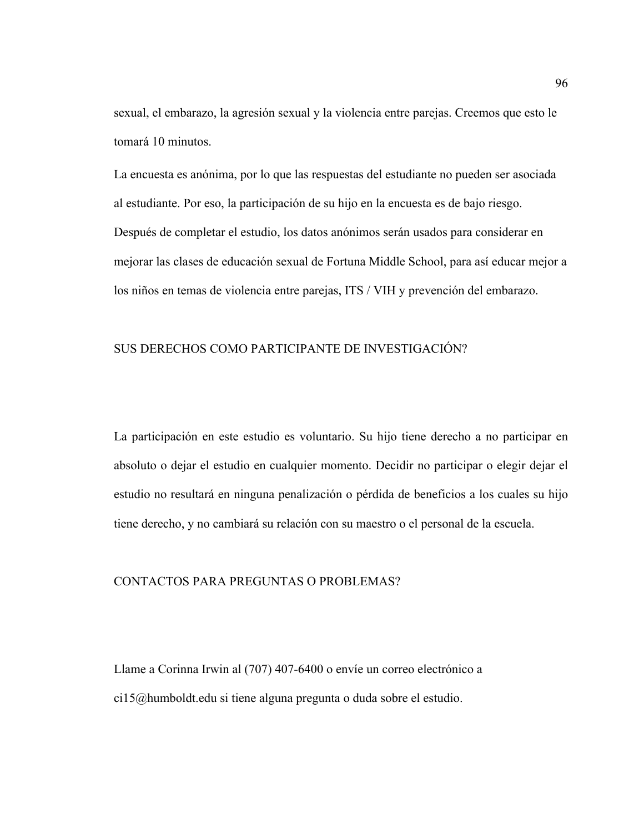sexual, el embarazo, la agresión sexual y la violencia entre parejas. Creemos que esto le tomará 10 minutos.

La encuesta es anónima, por lo que las respuestas del estudiante no pueden ser asociada al estudiante. Por eso, la participación de su hijo en la encuesta es de bajo riesgo. Después de completar el estudio, los datos anónimos serán usados para considerar en mejorar las clases de educación sexual de Fortuna Middle School, para así educar mejor a los niños en temas de violencia entre parejas, ITS / VIH y prevención del embarazo.

# SUS DERECHOS COMO PARTICIPANTE DE INVESTIGACIÓN?

La participación en este estudio es voluntario. Su hijo tiene derecho a no participar en absoluto o dejar el estudio en cualquier momento. Decidir no participar o elegir dejar el estudio no resultará en ninguna penalización o pérdida de beneficios a los cuales su hijo tiene derecho, y no cambiará su relación con su maestro o el personal de la escuela.

#### CONTACTOS PARA PREGUNTAS O PROBLEMAS?

Llame a Corinna Irwin al (707) 407-6400 o envíe un correo electrónico a ci15@humboldt.edu si tiene alguna pregunta o duda sobre el estudio.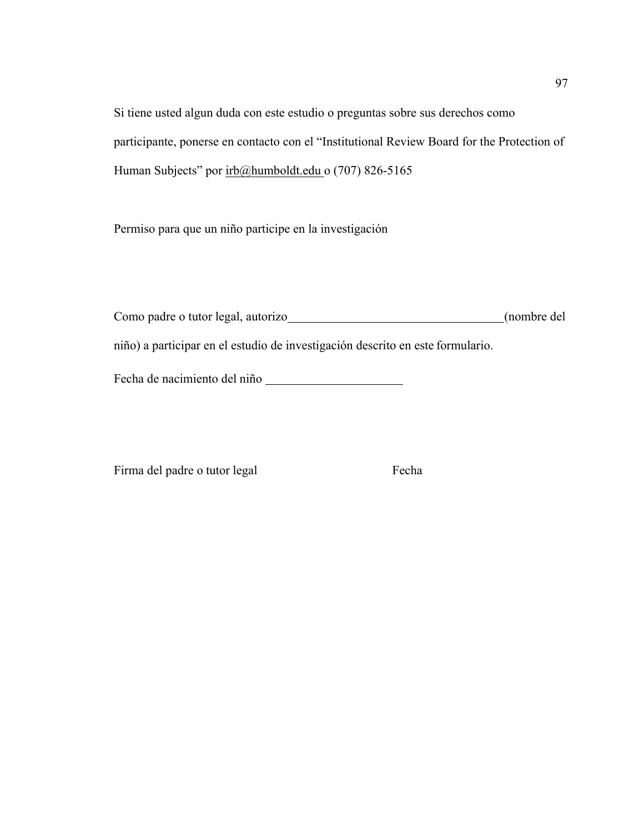Si tiene usted algun duda con este estudio o preguntas sobre sus derechos como participante, ponerse en contacto con el "Institutional Review Board for the Protection of Human Subjects" por irb@humboldt.edu o (707) 826-5165

Permiso para que un niño participe en la investigación

Como padre o tutor legal, autorizo (nombre del niño) a participar en el estudio de investigación descrito en este formulario.

Fecha de nacimiento del niño

Firma del padre o tutor legal Fecha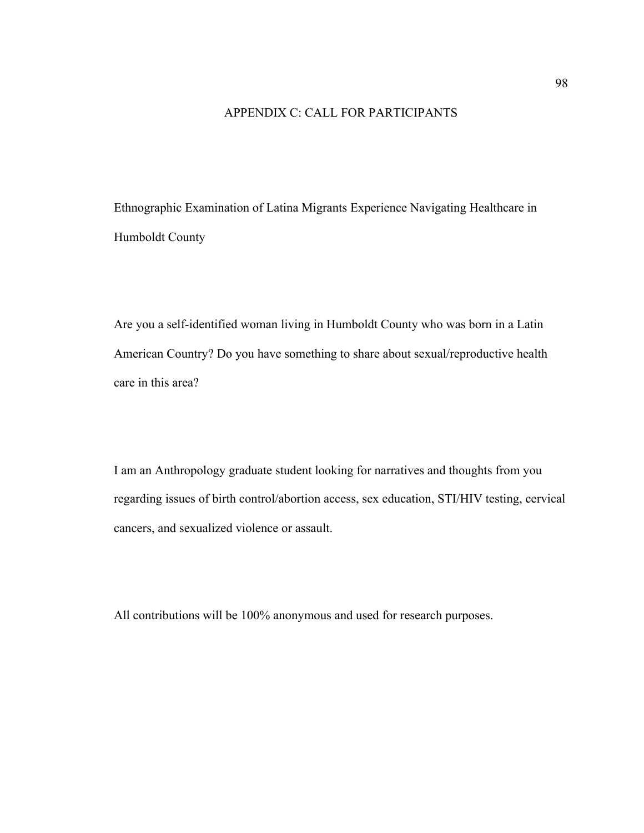# APPENDIX C: CALL FOR PARTICIPANTS

Ethnographic Examination of Latina Migrants Experience Navigating Healthcare in Humboldt County

Are you a self-identified woman living in Humboldt County who was born in a Latin American Country? Do you have something to share about sexual/reproductive health care in this area?

I am an Anthropology graduate student looking for narratives and thoughts from you regarding issues of birth control/abortion access, sex education, STI/HIV testing, cervical cancers, and sexualized violence or assault.

All contributions will be 100% anonymous and used for research purposes.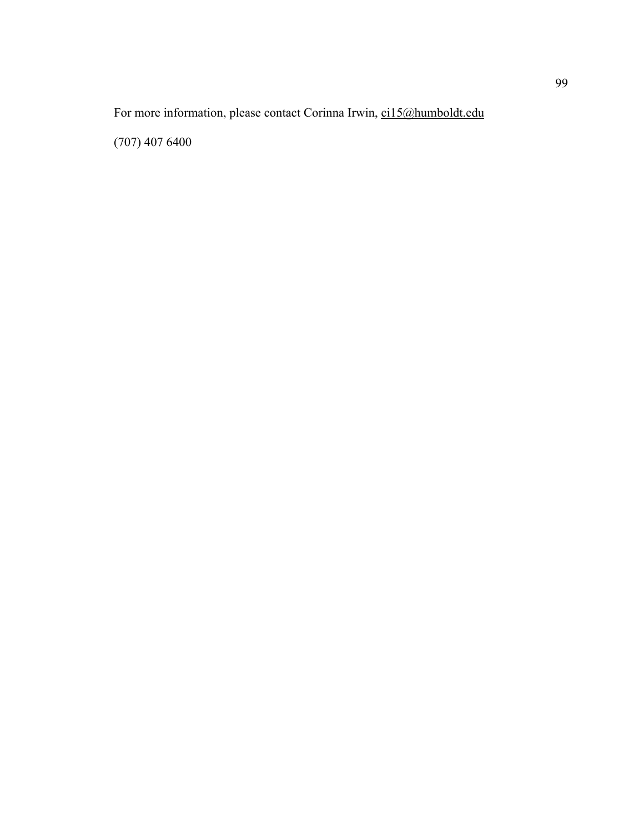For more information, please contact Corinna Irwin, ci15@humboldt.edu

(707) 407 6400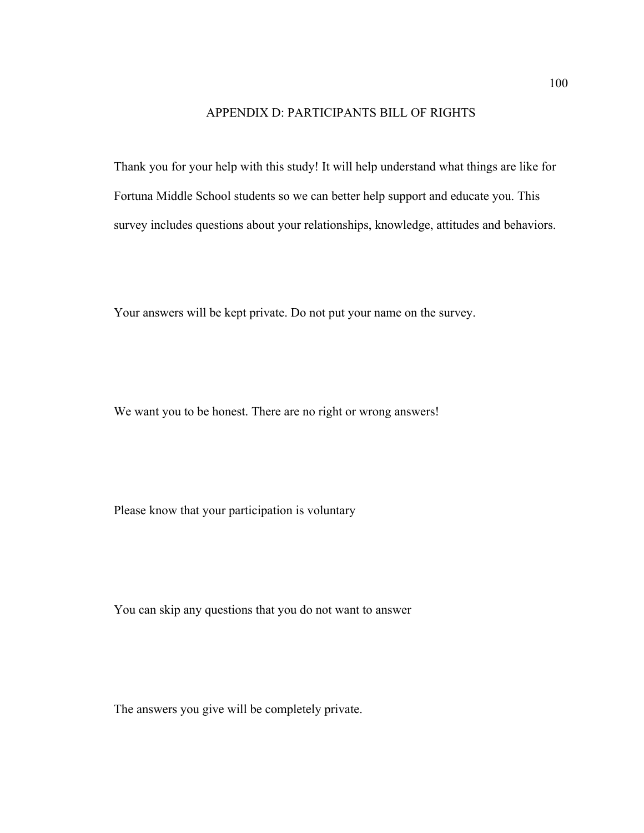# APPENDIX D: PARTICIPANTS BILL OF RIGHTS

Thank you for your help with this study! It will help understand what things are like for Fortuna Middle School students so we can better help support and educate you. This survey includes questions about your relationships, knowledge, attitudes and behaviors.

Your answers will be kept private. Do not put your name on the survey.

We want you to be honest. There are no right or wrong answers!

Please know that your participation is voluntary

You can skip any questions that you do not want to answer

The answers you give will be completely private.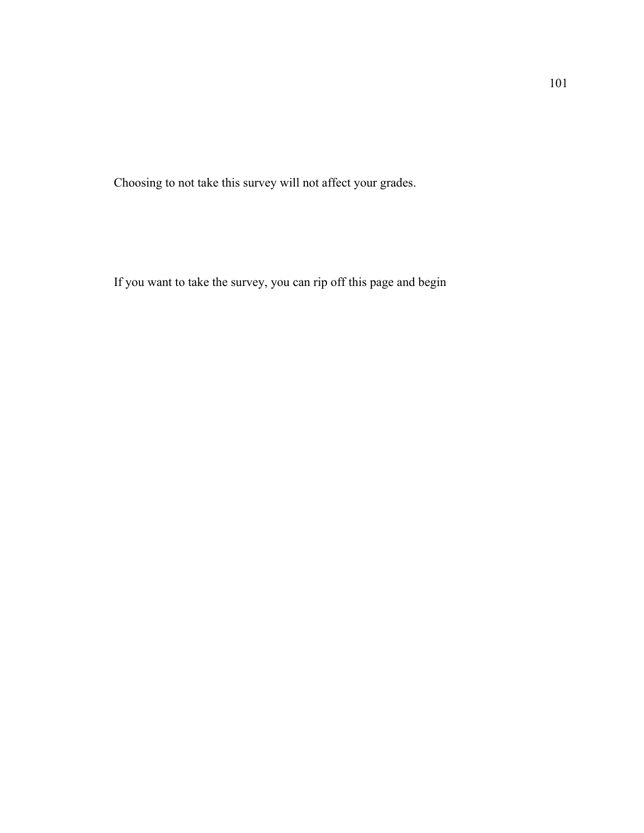Choosing to not take this survey will not affect your grades.

If you want to take the survey, you can rip off this page and begin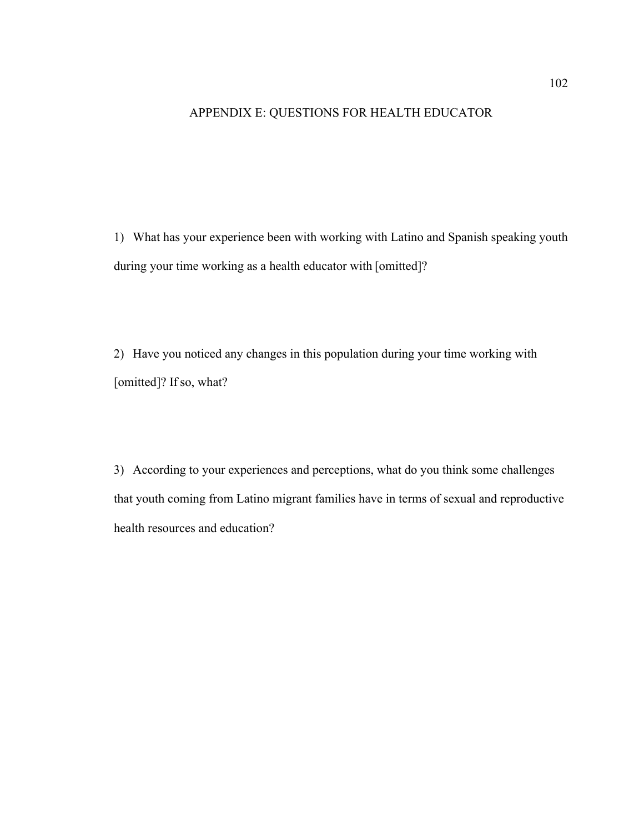## APPENDIX E: QUESTIONS FOR HEALTH EDUCATOR

1) What has your experience been with working with Latino and Spanish speaking youth during your time working as a health educator with [omitted]?

2) Have you noticed any changes in this population during your time working with [omitted]? If so, what?

3) According to your experiences and perceptions, what do you think some challenges that youth coming from Latino migrant families have in terms of sexual and reproductive health resources and education?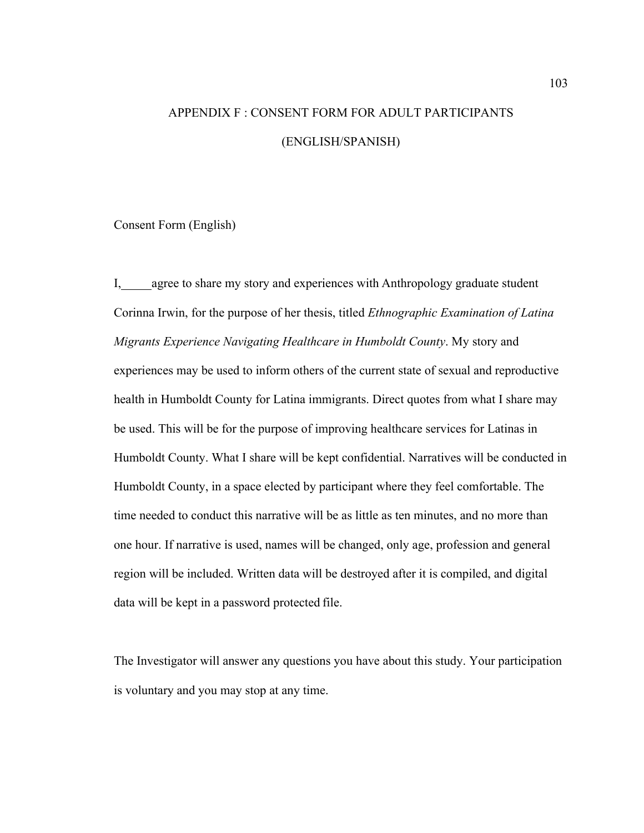# APPENDIX F : CONSENT FORM FOR ADULT PARTICIPANTS (ENGLISH/SPANISH)

Consent Form (English)

I, agree to share my story and experiences with Anthropology graduate student Corinna Irwin, for the purpose of her thesis, titled *Ethnographic Examination of Latina Migrants Experience Navigating Healthcare in Humboldt County*. My story and experiences may be used to inform others of the current state of sexual and reproductive health in Humboldt County for Latina immigrants. Direct quotes from what I share may be used. This will be for the purpose of improving healthcare services for Latinas in Humboldt County. What I share will be kept confidential. Narratives will be conducted in Humboldt County, in a space elected by participant where they feel comfortable. The time needed to conduct this narrative will be as little as ten minutes, and no more than one hour. If narrative is used, names will be changed, only age, profession and general region will be included. Written data will be destroyed after it is compiled, and digital data will be kept in a password protected file.

The Investigator will answer any questions you have about this study. Your participation is voluntary and you may stop at any time.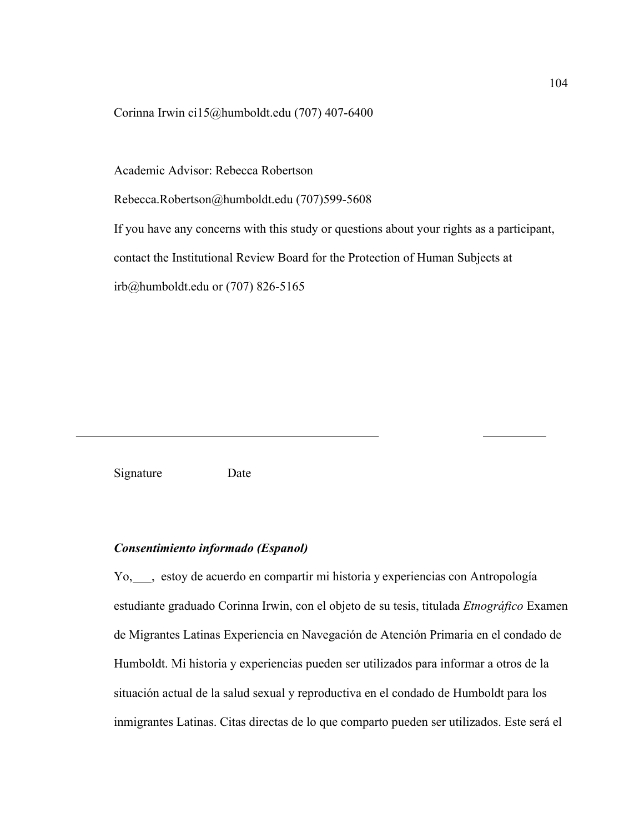Corinna Irwin ci15@humboldt.edu (707) 407-6400

Academic Advisor: Rebecca Robertson

Rebecca.Robertson@humboldt.edu (707)599-5608

If you have any concerns with this study or questions about your rights as a participant,

contact the Institutional Review Board for the Protection of Human Subjects at

irb@humboldt.edu or (707) 826-5165

Signature Date

## *Consentimiento informado (Espanol)*

Yo, stoy de acuerdo en compartir mi historia y experiencias con Antropología estudiante graduado Corinna Irwin, con el objeto de su tesis, titulada *Etnográfico* Examen de Migrantes Latinas Experiencia en Navegación de Atención Primaria en el condado de Humboldt. Mi historia y experiencias pueden ser utilizados para informar a otros de la situación actual de la salud sexual y reproductiva en el condado de Humboldt para los inmigrantes Latinas. Citas directas de lo que comparto pueden ser utilizados. Este será el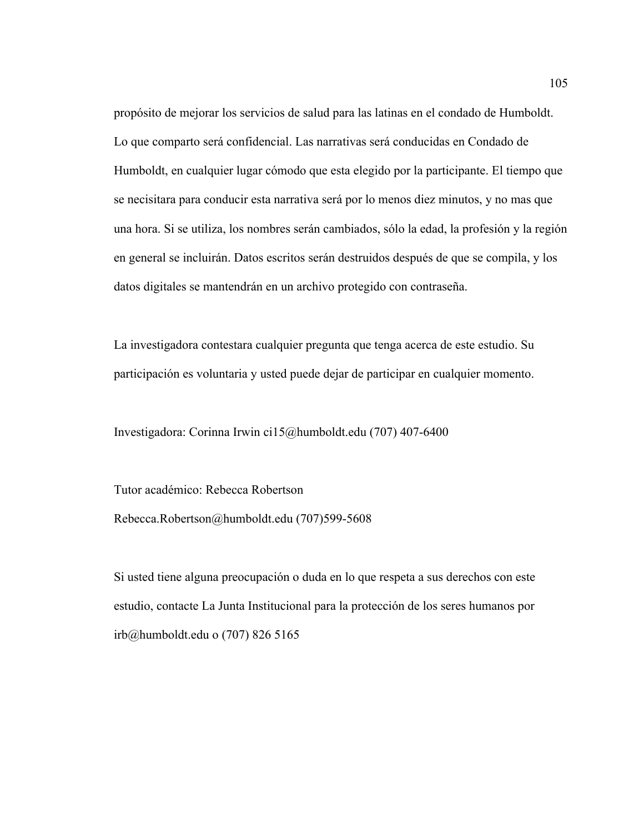propósito de mejorar los servicios de salud para las latinas en el condado de Humboldt. Lo que comparto será confidencial. Las narrativas será conducidas en Condado de Humboldt, en cualquier lugar cómodo que esta elegido por la participante. El tiempo que se necisitara para conducir esta narrativa será por lo menos diez minutos, y no mas que una hora. Si se utiliza, los nombres serán cambiados, sólo la edad, la profesión y la región en general se incluirán. Datos escritos serán destruidos después de que se compila, y los datos digitales se mantendrán en un archivo protegido con contraseña.

La investigadora contestara cualquier pregunta que tenga acerca de este estudio. Su participación es voluntaria y usted puede dejar de participar en cualquier momento.

Investigadora: Corinna Irwin ci15@humboldt.edu (707) 407-6400

Tutor académico: Rebecca Robertson Rebecca.Robertson@humboldt.edu (707)599-5608

Si usted tiene alguna preocupación o duda en lo que respeta a sus derechos con este estudio, contacte La Junta Institucional para la protección de los seres humanos por irb@humboldt.edu o (707) 826 5165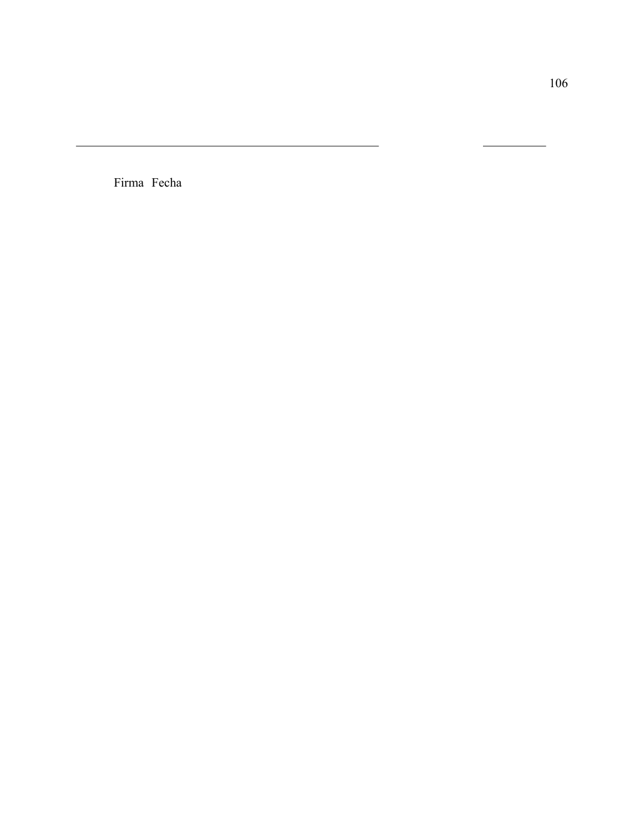Firma Fecha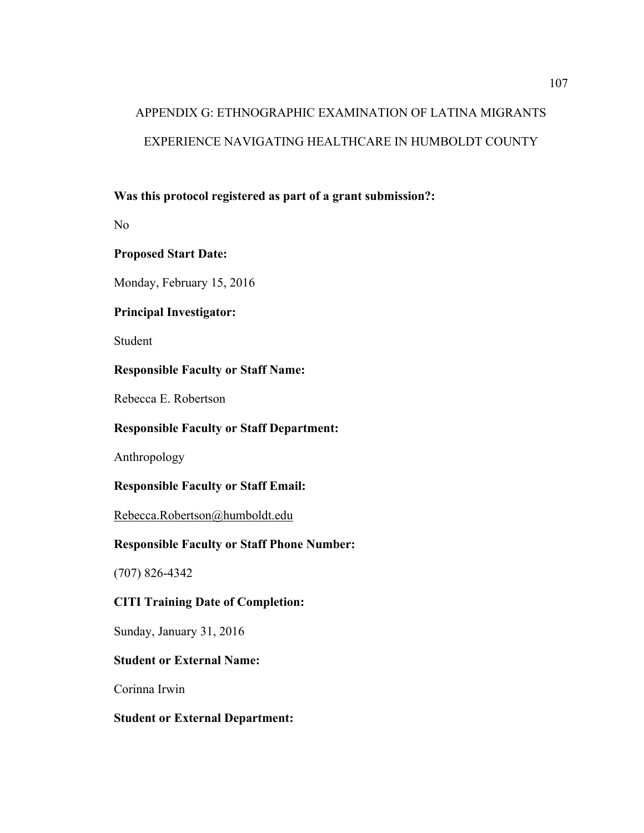# APPENDIX G: ETHNOGRAPHIC EXAMINATION OF LATINA MIGRANTS EXPERIENCE NAVIGATING HEALTHCARE IN HUMBOLDT COUNTY

# **Was this protocol registered as part of a grant submission?:**

No

# **Proposed Start Date:**

Monday, February 15, 2016

# **Principal Investigator:**

Student

# **Responsible Faculty or Staff Name:**

Rebecca E. Robertson

# **Responsible Faculty or Staff Department:**

Anthropology

# **Responsible Faculty or Staff Email:**

Rebecca.Robertson@humboldt.edu

# **Responsible Faculty or Staff Phone Number:**

(707) 826-4342

# **CITI Training Date of Completion:**

Sunday, January 31, 2016

# **Student or External Name:**

Corinna Irwin

# **Student or External Department:**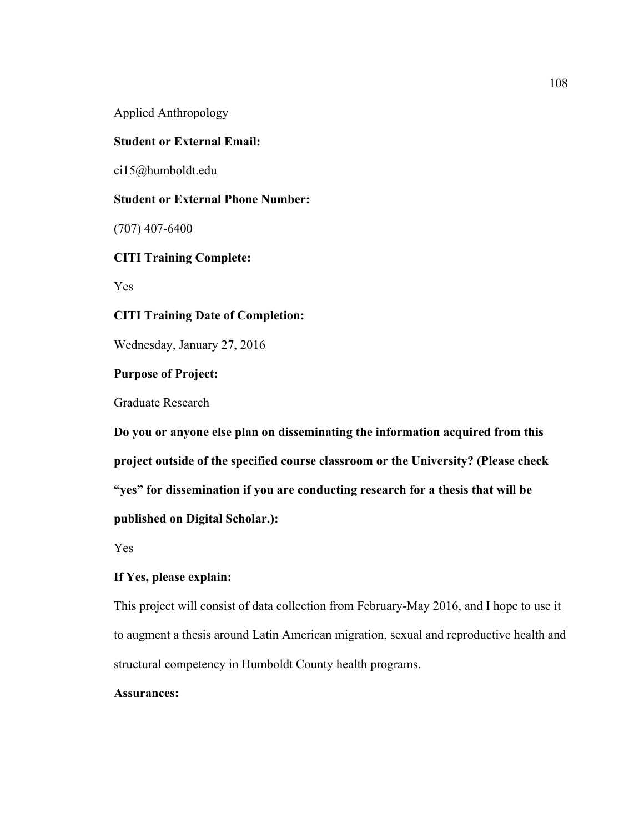Applied Anthropology

#### **Student or External Email:**

ci15@humboldt.edu

## **Student or External Phone Number:**

(707) 407-6400

## **CITI Training Complete:**

Yes

#### **CITI Training Date of Completion:**

Wednesday, January 27, 2016

## **Purpose of Project:**

Graduate Research

**Do you or anyone else plan on disseminating the information acquired from this project outside of the specified course classroom or the University? (Please check "yes" for dissemination if you are conducting research for a thesis that will be published on Digital Scholar.):**

Yes

## **If Yes, please explain:**

This project will consist of data collection from February-May 2016, and I hope to use it to augment a thesis around Latin American migration, sexual and reproductive health and structural competency in Humboldt County health programs.

## **Assurances:**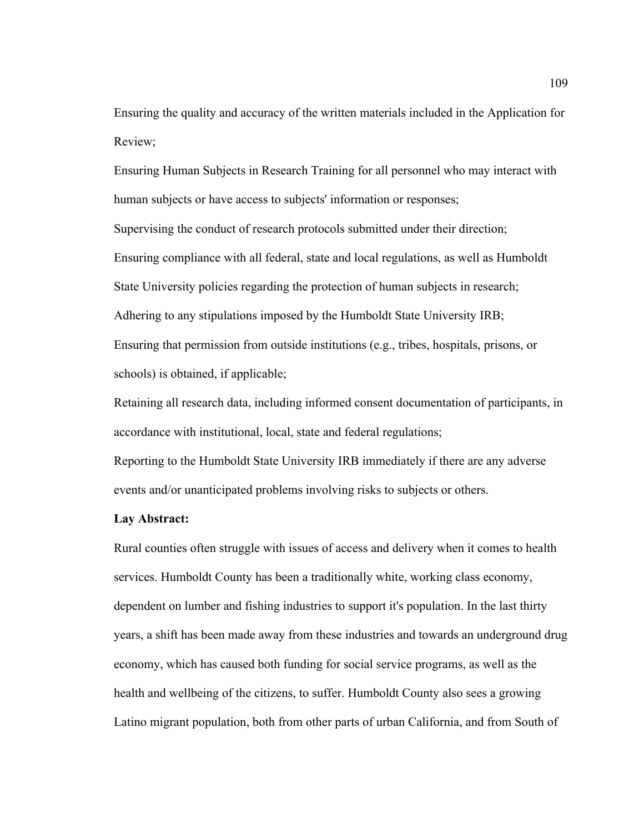Ensuring the quality and accuracy of the written materials included in the Application for Review;

Ensuring Human Subjects in Research Training for all personnel who may interact with human subjects or have access to subjects' information or responses; Supervising the conduct of research protocols submitted under their direction; Ensuring compliance with all federal, state and local regulations, as well as Humboldt State University policies regarding the protection of human subjects in research; Adhering to any stipulations imposed by the Humboldt State University IRB; Ensuring that permission from outside institutions (e.g., tribes, hospitals, prisons, or schools) is obtained, if applicable;

Retaining all research data, including informed consent documentation of participants, in accordance with institutional, local, state and federal regulations;

Reporting to the Humboldt State University IRB immediately if there are any adverse events and/or unanticipated problems involving risks to subjects or others.

#### **Lay Abstract:**

Rural counties often struggle with issues of access and delivery when it comes to health services. Humboldt County has been a traditionally white, working class economy, dependent on lumber and fishing industries to support it's population. In the last thirty years, a shift has been made away from these industries and towards an underground drug economy, which has caused both funding for social service programs, as well as the health and wellbeing of the citizens, to suffer. Humboldt County also sees a growing Latino migrant population, both from other parts of urban California, and from South of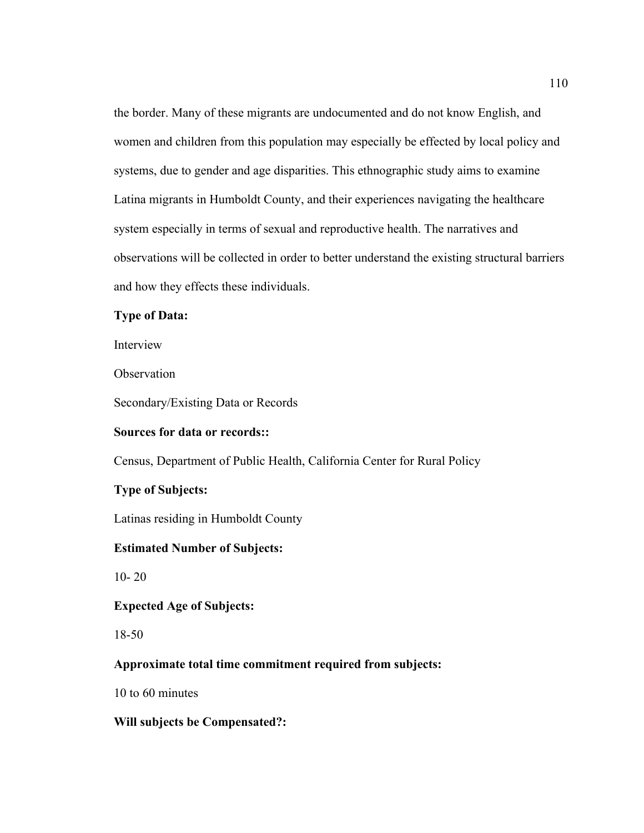the border. Many of these migrants are undocumented and do not know English, and women and children from this population may especially be effected by local policy and systems, due to gender and age disparities. This ethnographic study aims to examine Latina migrants in Humboldt County, and their experiences navigating the healthcare system especially in terms of sexual and reproductive health. The narratives and observations will be collected in order to better understand the existing structural barriers and how they effects these individuals.

## **Type of Data:**

Interview

**Observation** 

Secondary/Existing Data or Records

## **Sources for data or records::**

Census, Department of Public Health, California Center for Rural Policy

## **Type of Subjects:**

Latinas residing in Humboldt County

## **Estimated Number of Subjects:**

10- 20

## **Expected Age of Subjects:**

18-50

## **Approximate total time commitment required from subjects:**

10 to 60 minutes

## **Will subjects be Compensated?:**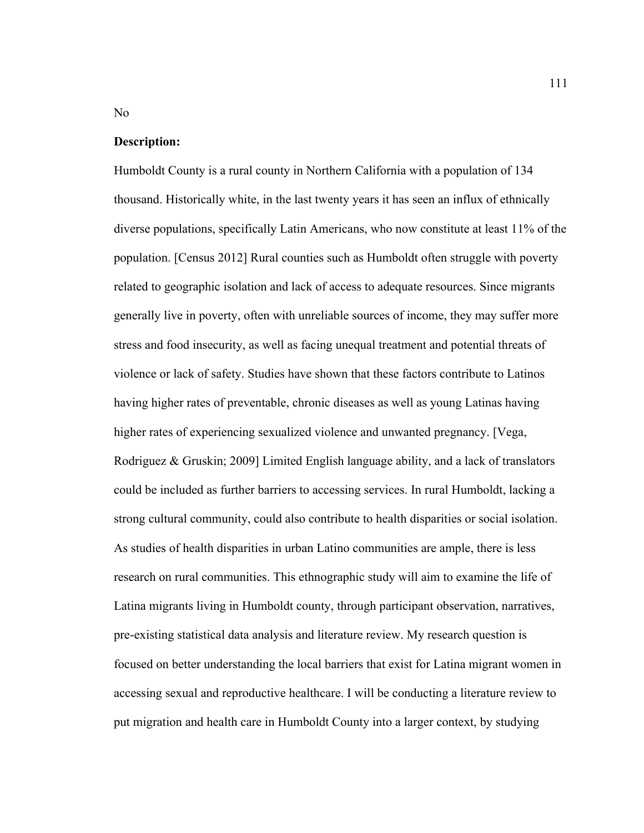#### **Description:**

Humboldt County is a rural county in Northern California with a population of 134 thousand. Historically white, in the last twenty years it has seen an influx of ethnically diverse populations, specifically Latin Americans, who now constitute at least 11% of the population. [Census 2012] Rural counties such as Humboldt often struggle with poverty related to geographic isolation and lack of access to adequate resources. Since migrants generally live in poverty, often with unreliable sources of income, they may suffer more stress and food insecurity, as well as facing unequal treatment and potential threats of violence or lack of safety. Studies have shown that these factors contribute to Latinos having higher rates of preventable, chronic diseases as well as young Latinas having higher rates of experiencing sexualized violence and unwanted pregnancy. [Vega, Rodriguez & Gruskin; 2009] Limited English language ability, and a lack of translators could be included as further barriers to accessing services. In rural Humboldt, lacking a strong cultural community, could also contribute to health disparities or social isolation. As studies of health disparities in urban Latino communities are ample, there is less research on rural communities. This ethnographic study will aim to examine the life of Latina migrants living in Humboldt county, through participant observation, narratives, pre-existing statistical data analysis and literature review. My research question is focused on better understanding the local barriers that exist for Latina migrant women in accessing sexual and reproductive healthcare. I will be conducting a literature review to put migration and health care in Humboldt County into a larger context, by studying

No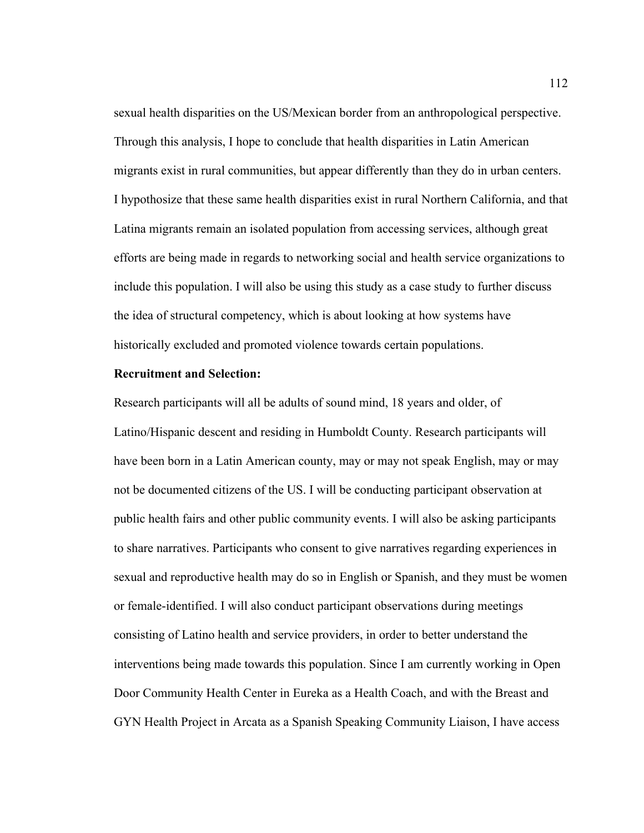sexual health disparities on the US/Mexican border from an anthropological perspective. Through this analysis, I hope to conclude that health disparities in Latin American migrants exist in rural communities, but appear differently than they do in urban centers. I hypothosize that these same health disparities exist in rural Northern California, and that Latina migrants remain an isolated population from accessing services, although great efforts are being made in regards to networking social and health service organizations to include this population. I will also be using this study as a case study to further discuss the idea of structural competency, which is about looking at how systems have historically excluded and promoted violence towards certain populations.

#### **Recruitment and Selection:**

Research participants will all be adults of sound mind, 18 years and older, of Latino/Hispanic descent and residing in Humboldt County. Research participants will have been born in a Latin American county, may or may not speak English, may or may not be documented citizens of the US. I will be conducting participant observation at public health fairs and other public community events. I will also be asking participants to share narratives. Participants who consent to give narratives regarding experiences in sexual and reproductive health may do so in English or Spanish, and they must be women or female-identified. I will also conduct participant observations during meetings consisting of Latino health and service providers, in order to better understand the interventions being made towards this population. Since I am currently working in Open Door Community Health Center in Eureka as a Health Coach, and with the Breast and GYN Health Project in Arcata as a Spanish Speaking Community Liaison, I have access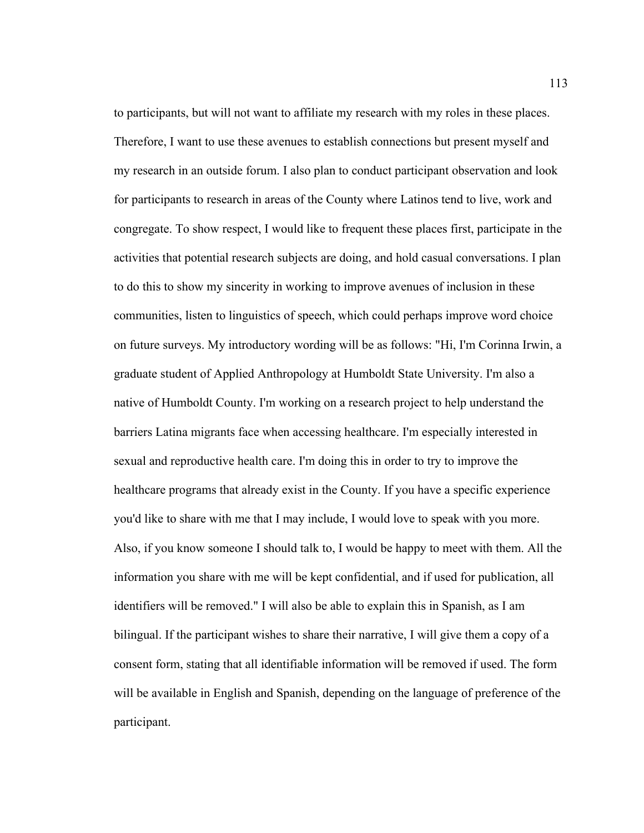to participants, but will not want to affiliate my research with my roles in these places. Therefore, I want to use these avenues to establish connections but present myself and my research in an outside forum. I also plan to conduct participant observation and look for participants to research in areas of the County where Latinos tend to live, work and congregate. To show respect, I would like to frequent these places first, participate in the activities that potential research subjects are doing, and hold casual conversations. I plan to do this to show my sincerity in working to improve avenues of inclusion in these communities, listen to linguistics of speech, which could perhaps improve word choice on future surveys. My introductory wording will be as follows: "Hi, I'm Corinna Irwin, a graduate student of Applied Anthropology at Humboldt State University. I'm also a native of Humboldt County. I'm working on a research project to help understand the barriers Latina migrants face when accessing healthcare. I'm especially interested in sexual and reproductive health care. I'm doing this in order to try to improve the healthcare programs that already exist in the County. If you have a specific experience you'd like to share with me that I may include, I would love to speak with you more. Also, if you know someone I should talk to, I would be happy to meet with them. All the information you share with me will be kept confidential, and if used for publication, all identifiers will be removed." I will also be able to explain this in Spanish, as I am bilingual. If the participant wishes to share their narrative, I will give them a copy of a consent form, stating that all identifiable information will be removed if used. The form will be available in English and Spanish, depending on the language of preference of the participant.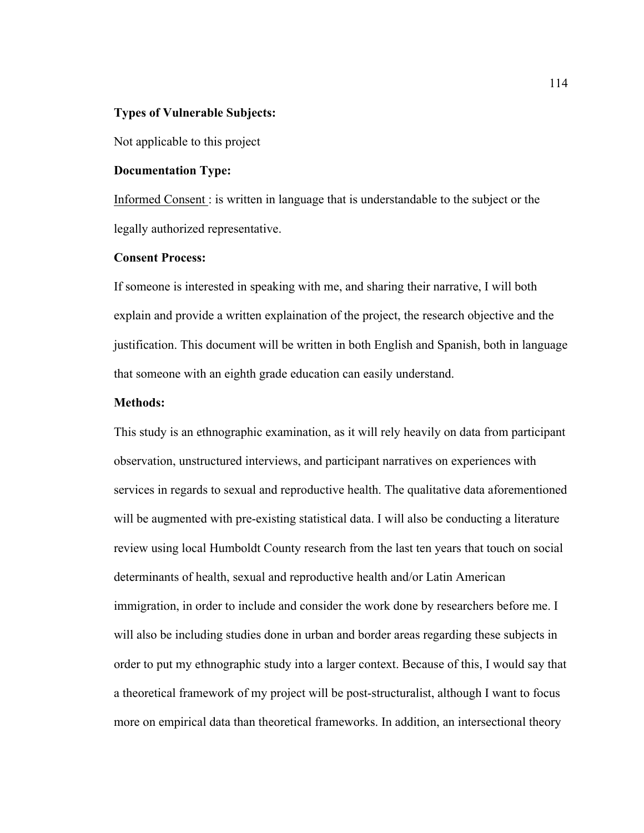## **Types of Vulnerable Subjects:**

Not applicable to this project

#### **Documentation Type:**

Informed Consent : is written in language that is understandable to the subject or the legally authorized representative.

#### **Consent Process:**

If someone is interested in speaking with me, and sharing their narrative, I will both explain and provide a written explaination of the project, the research objective and the justification. This document will be written in both English and Spanish, both in language that someone with an eighth grade education can easily understand.

## **Methods:**

This study is an ethnographic examination, as it will rely heavily on data from participant observation, unstructured interviews, and participant narratives on experiences with services in regards to sexual and reproductive health. The qualitative data aforementioned will be augmented with pre-existing statistical data. I will also be conducting a literature review using local Humboldt County research from the last ten years that touch on social determinants of health, sexual and reproductive health and/or Latin American immigration, in order to include and consider the work done by researchers before me. I will also be including studies done in urban and border areas regarding these subjects in order to put my ethnographic study into a larger context. Because of this, I would say that a theoretical framework of my project will be post-structuralist, although I want to focus more on empirical data than theoretical frameworks. In addition, an intersectional theory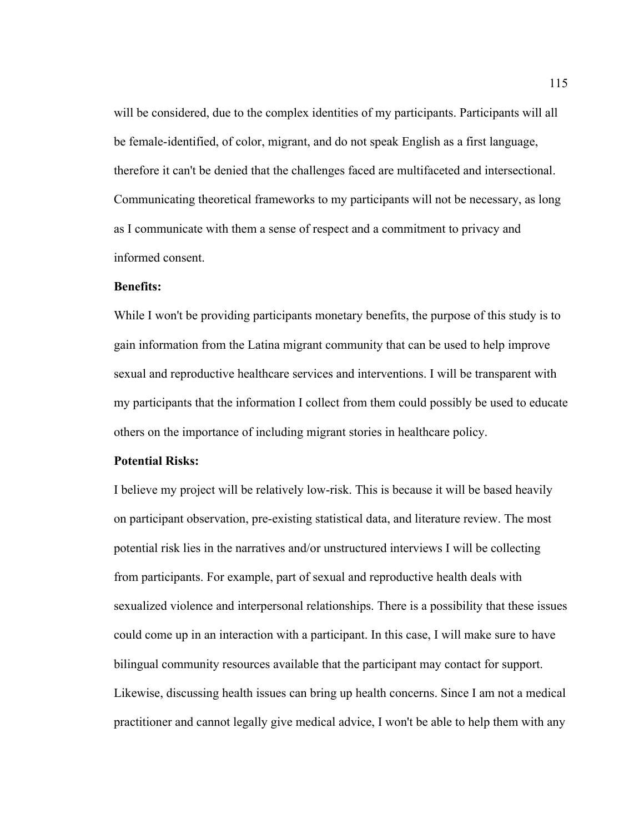will be considered, due to the complex identities of my participants. Participants will all be female-identified, of color, migrant, and do not speak English as a first language, therefore it can't be denied that the challenges faced are multifaceted and intersectional. Communicating theoretical frameworks to my participants will not be necessary, as long as I communicate with them a sense of respect and a commitment to privacy and informed consent.

#### **Benefits:**

While I won't be providing participants monetary benefits, the purpose of this study is to gain information from the Latina migrant community that can be used to help improve sexual and reproductive healthcare services and interventions. I will be transparent with my participants that the information I collect from them could possibly be used to educate others on the importance of including migrant stories in healthcare policy.

## **Potential Risks:**

I believe my project will be relatively low-risk. This is because it will be based heavily on participant observation, pre-existing statistical data, and literature review. The most potential risk lies in the narratives and/or unstructured interviews I will be collecting from participants. For example, part of sexual and reproductive health deals with sexualized violence and interpersonal relationships. There is a possibility that these issues could come up in an interaction with a participant. In this case, I will make sure to have bilingual community resources available that the participant may contact for support. Likewise, discussing health issues can bring up health concerns. Since I am not a medical practitioner and cannot legally give medical advice, I won't be able to help them with any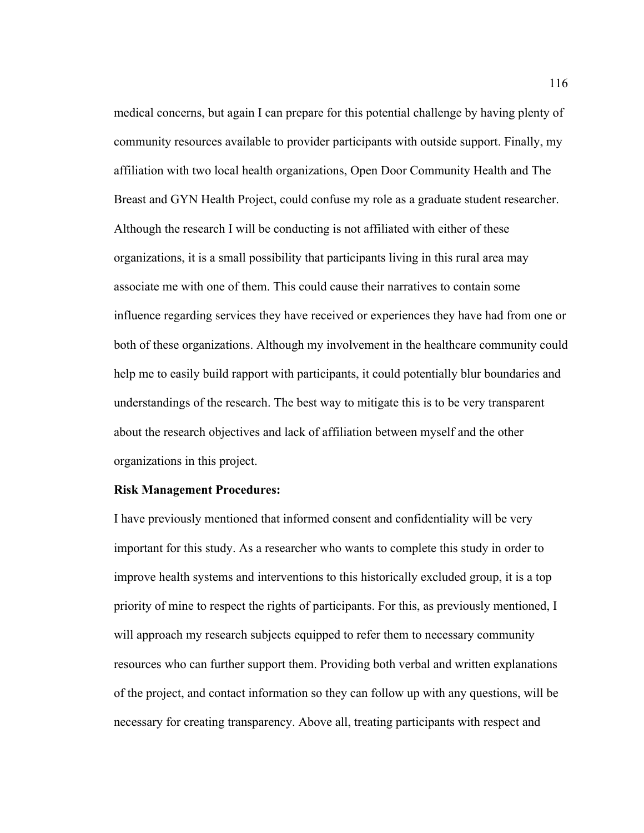medical concerns, but again I can prepare for this potential challenge by having plenty of community resources available to provider participants with outside support. Finally, my affiliation with two local health organizations, Open Door Community Health and The Breast and GYN Health Project, could confuse my role as a graduate student researcher. Although the research I will be conducting is not affiliated with either of these organizations, it is a small possibility that participants living in this rural area may associate me with one of them. This could cause their narratives to contain some influence regarding services they have received or experiences they have had from one or both of these organizations. Although my involvement in the healthcare community could help me to easily build rapport with participants, it could potentially blur boundaries and understandings of the research. The best way to mitigate this is to be very transparent about the research objectives and lack of affiliation between myself and the other organizations in this project.

#### **Risk Management Procedures:**

I have previously mentioned that informed consent and confidentiality will be very important for this study. As a researcher who wants to complete this study in order to improve health systems and interventions to this historically excluded group, it is a top priority of mine to respect the rights of participants. For this, as previously mentioned, I will approach my research subjects equipped to refer them to necessary community resources who can further support them. Providing both verbal and written explanations of the project, and contact information so they can follow up with any questions, will be necessary for creating transparency. Above all, treating participants with respect and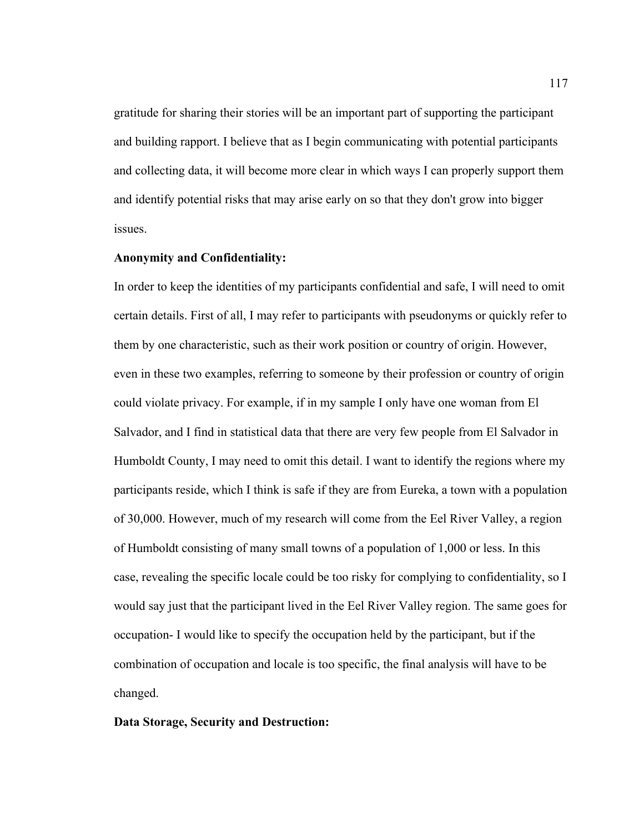gratitude for sharing their stories will be an important part of supporting the participant and building rapport. I believe that as I begin communicating with potential participants and collecting data, it will become more clear in which ways I can properly support them and identify potential risks that may arise early on so that they don't grow into bigger issues.

## **Anonymity and Confidentiality:**

In order to keep the identities of my participants confidential and safe, I will need to omit certain details. First of all, I may refer to participants with pseudonyms or quickly refer to them by one characteristic, such as their work position or country of origin. However, even in these two examples, referring to someone by their profession or country of origin could violate privacy. For example, if in my sample I only have one woman from El Salvador, and I find in statistical data that there are very few people from El Salvador in Humboldt County, I may need to omit this detail. I want to identify the regions where my participants reside, which I think is safe if they are from Eureka, a town with a population of 30,000. However, much of my research will come from the Eel River Valley, a region of Humboldt consisting of many small towns of a population of 1,000 or less. In this case, revealing the specific locale could be too risky for complying to confidentiality, so I would say just that the participant lived in the Eel River Valley region. The same goes for occupation- I would like to specify the occupation held by the participant, but if the combination of occupation and locale is too specific, the final analysis will have to be changed.

#### **Data Storage, Security and Destruction:**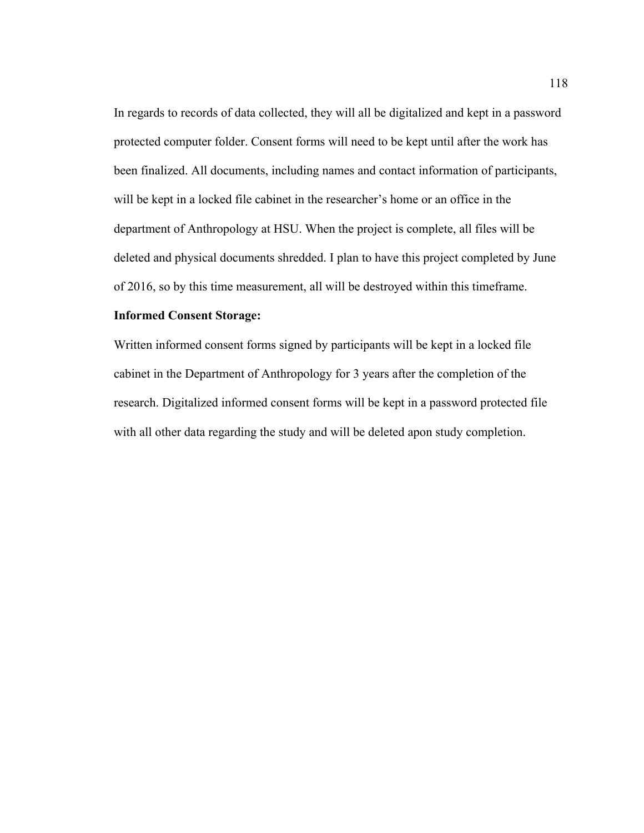In regards to records of data collected, they will all be digitalized and kept in a password protected computer folder. Consent forms will need to be kept until after the work has been finalized. All documents, including names and contact information of participants, will be kept in a locked file cabinet in the researcher's home or an office in the department of Anthropology at HSU. When the project is complete, all files will be deleted and physical documents shredded. I plan to have this project completed by June of 2016, so by this time measurement, all will be destroyed within this timeframe.

## **Informed Consent Storage:**

Written informed consent forms signed by participants will be kept in a locked file cabinet in the Department of Anthropology for 3 years after the completion of the research. Digitalized informed consent forms will be kept in a password protected file with all other data regarding the study and will be deleted apon study completion.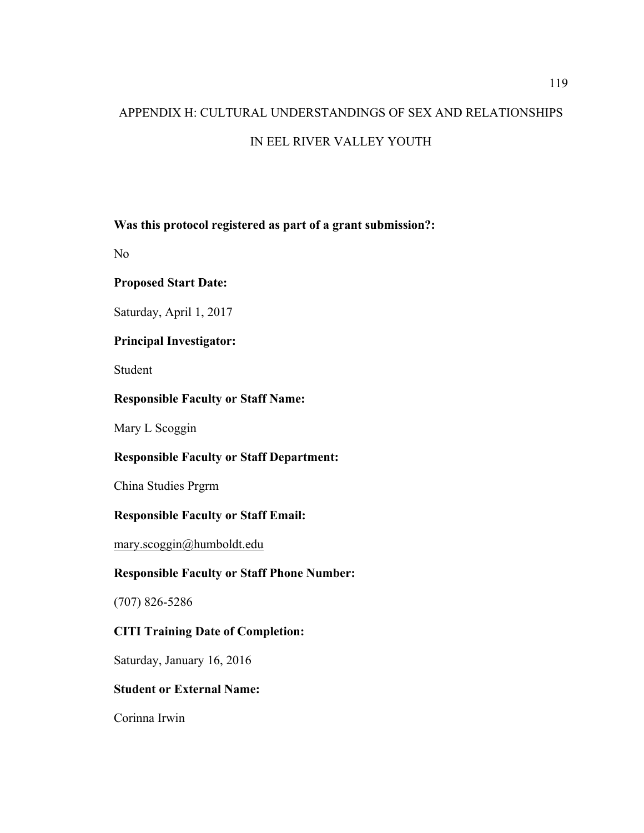# APPENDIX H: CULTURAL UNDERSTANDINGS OF SEX AND RELATIONSHIPS IN EEL RIVER VALLEY YOUTH

## **Was this protocol registered as part of a grant submission?:**

No

## **Proposed Start Date:**

Saturday, April 1, 2017

## **Principal Investigator:**

Student

## **Responsible Faculty or Staff Name:**

Mary L Scoggin

# **Responsible Faculty or Staff Department:**

China Studies Prgrm

# **Responsible Faculty or Staff Email:**

mary.scoggin@humboldt.edu

## **Responsible Faculty or Staff Phone Number:**

(707) 826-5286

# **CITI Training Date of Completion:**

Saturday, January 16, 2016

## **Student or External Name:**

Corinna Irwin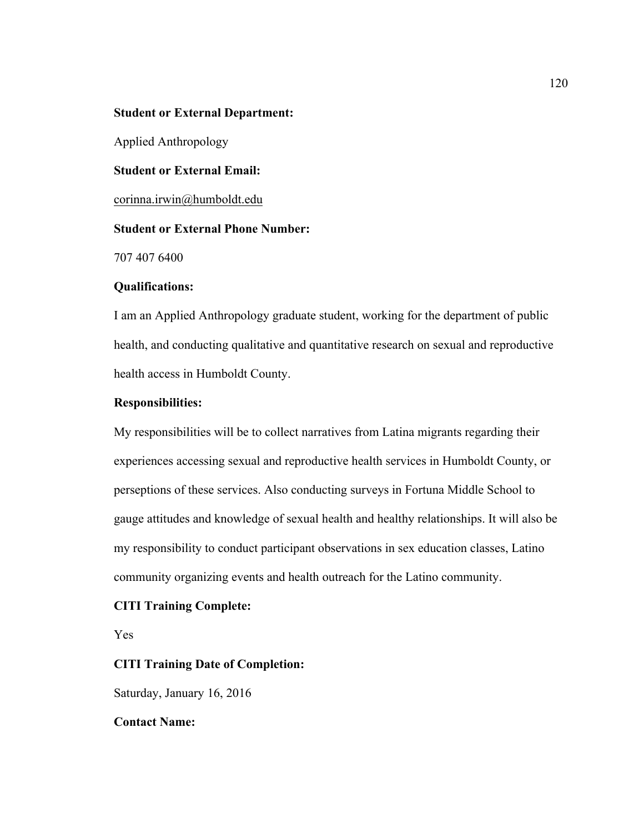## **Student or External Department:**

Applied Anthropology

**Student or External Email:**

corinna.irwin@humboldt.edu

## **Student or External Phone Number:**

707 407 6400

#### **Qualifications:**

I am an Applied Anthropology graduate student, working for the department of public health, and conducting qualitative and quantitative research on sexual and reproductive health access in Humboldt County.

## **Responsibilities:**

My responsibilities will be to collect narratives from Latina migrants regarding their experiences accessing sexual and reproductive health services in Humboldt County, or perseptions of these services. Also conducting surveys in Fortuna Middle School to gauge attitudes and knowledge of sexual health and healthy relationships. It will also be my responsibility to conduct participant observations in sex education classes, Latino community organizing events and health outreach for the Latino community.

#### **CITI Training Complete:**

Yes

#### **CITI Training Date of Completion:**

Saturday, January 16, 2016

#### **Contact Name:**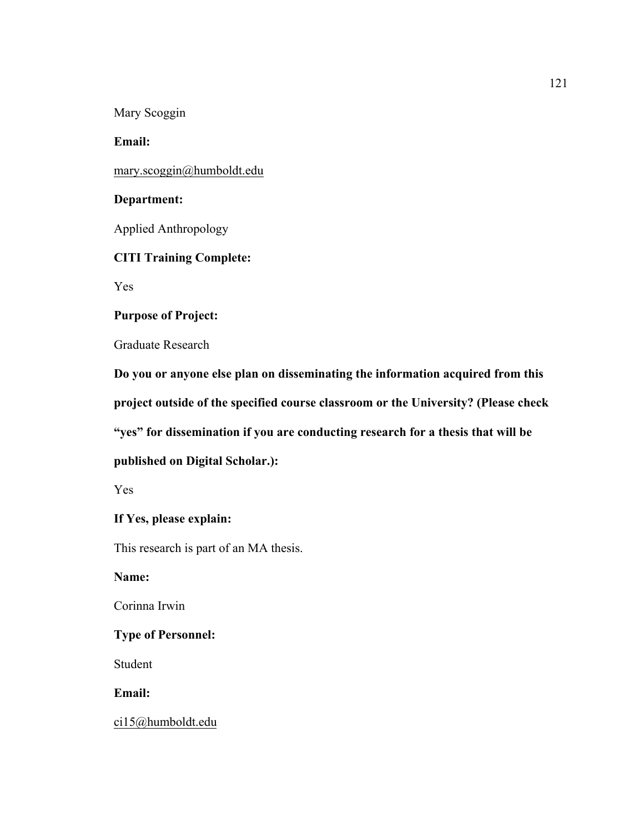Mary Scoggin

**Email:**

mary.scoggin@humboldt.edu

## **Department:**

Applied Anthropology

## **CITI Training Complete:**

Yes

## **Purpose of Project:**

Graduate Research

**Do you or anyone else plan on disseminating the information acquired from this project outside of the specified course classroom or the University? (Please check "yes" for dissemination if you are conducting research for a thesis that will be published on Digital Scholar.):**

Yes

## **If Yes, please explain:**

This research is part of an MA thesis.

**Name:**

Corinna Irwin

## **Type of Personnel:**

Student

**Email:**

ci15@humboldt.edu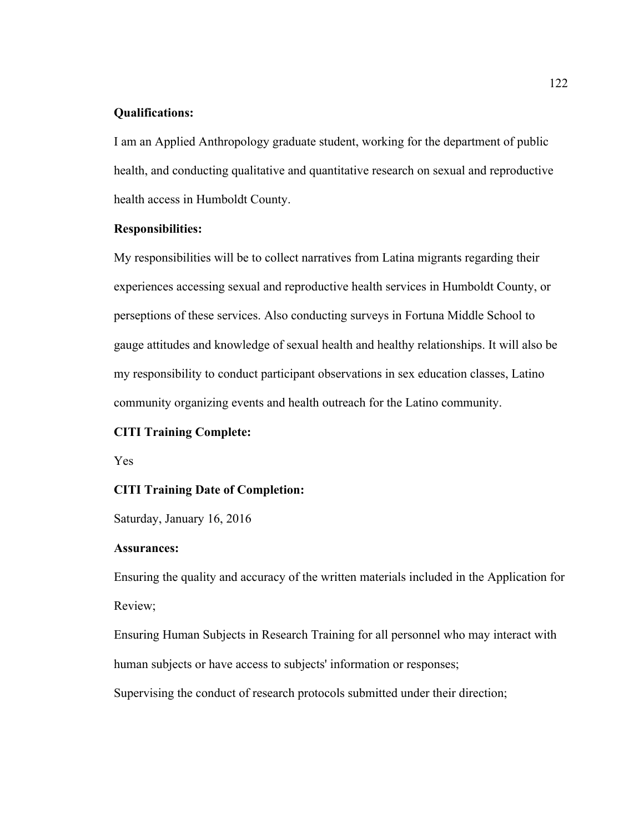## **Qualifications:**

I am an Applied Anthropology graduate student, working for the department of public health, and conducting qualitative and quantitative research on sexual and reproductive health access in Humboldt County.

## **Responsibilities:**

My responsibilities will be to collect narratives from Latina migrants regarding their experiences accessing sexual and reproductive health services in Humboldt County, or perseptions of these services. Also conducting surveys in Fortuna Middle School to gauge attitudes and knowledge of sexual health and healthy relationships. It will also be my responsibility to conduct participant observations in sex education classes, Latino community organizing events and health outreach for the Latino community.

#### **CITI Training Complete:**

Yes

#### **CITI Training Date of Completion:**

Saturday, January 16, 2016

#### **Assurances:**

Ensuring the quality and accuracy of the written materials included in the Application for Review;

Ensuring Human Subjects in Research Training for all personnel who may interact with human subjects or have access to subjects' information or responses;

Supervising the conduct of research protocols submitted under their direction;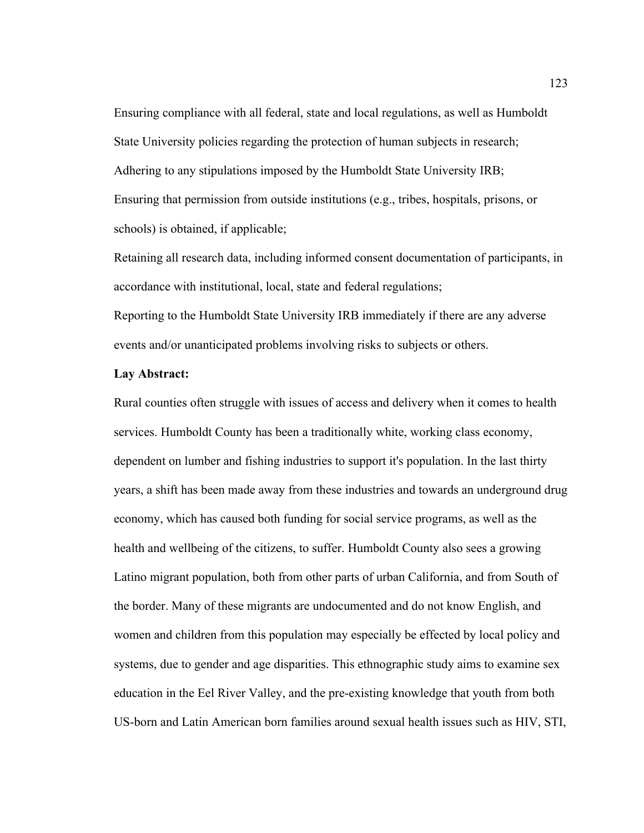Ensuring compliance with all federal, state and local regulations, as well as Humboldt State University policies regarding the protection of human subjects in research; Adhering to any stipulations imposed by the Humboldt State University IRB; Ensuring that permission from outside institutions (e.g., tribes, hospitals, prisons, or schools) is obtained, if applicable;

Retaining all research data, including informed consent documentation of participants, in accordance with institutional, local, state and federal regulations;

Reporting to the Humboldt State University IRB immediately if there are any adverse events and/or unanticipated problems involving risks to subjects or others.

#### **Lay Abstract:**

Rural counties often struggle with issues of access and delivery when it comes to health services. Humboldt County has been a traditionally white, working class economy, dependent on lumber and fishing industries to support it's population. In the last thirty years, a shift has been made away from these industries and towards an underground drug economy, which has caused both funding for social service programs, as well as the health and wellbeing of the citizens, to suffer. Humboldt County also sees a growing Latino migrant population, both from other parts of urban California, and from South of the border. Many of these migrants are undocumented and do not know English, and women and children from this population may especially be effected by local policy and systems, due to gender and age disparities. This ethnographic study aims to examine sex education in the Eel River Valley, and the pre-existing knowledge that youth from both US-born and Latin American born families around sexual health issues such as HIV, STI,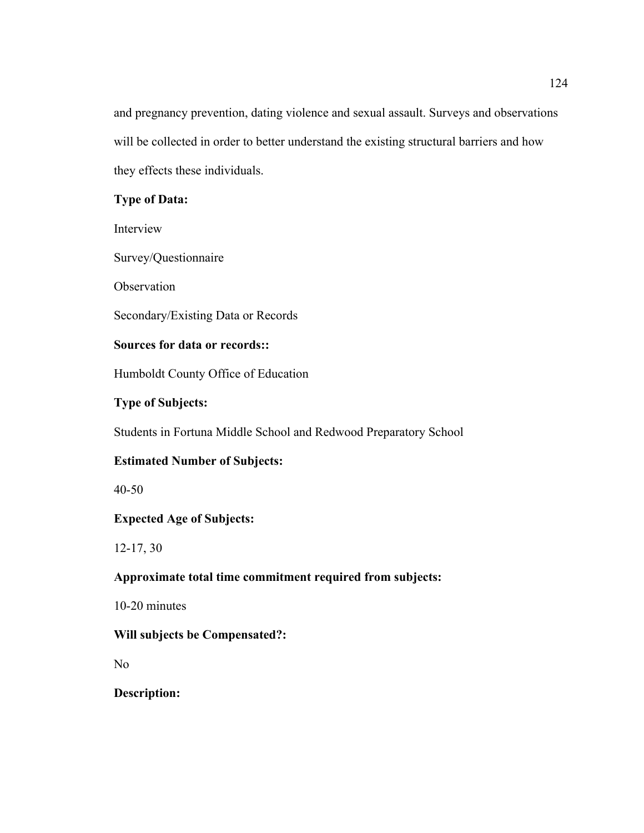and pregnancy prevention, dating violence and sexual assault. Surveys and observations will be collected in order to better understand the existing structural barriers and how they effects these individuals.

# **Type of Data:**

Interview

Survey/Questionnaire

**Observation** 

Secondary/Existing Data or Records

# **Sources for data or records::**

Humboldt County Office of Education

# **Type of Subjects:**

Students in Fortuna Middle School and Redwood Preparatory School

# **Estimated Number of Subjects:**

40-50

# **Expected Age of Subjects:**

12-17, 30

# **Approximate total time commitment required from subjects:**

10-20 minutes

# **Will subjects be Compensated?:**

No

**Description:**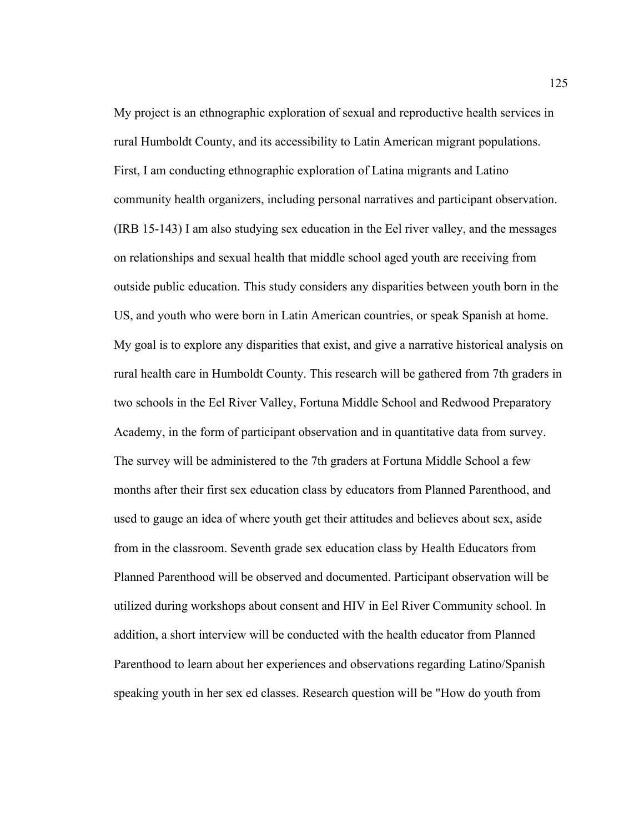My project is an ethnographic exploration of sexual and reproductive health services in rural Humboldt County, and its accessibility to Latin American migrant populations. First, I am conducting ethnographic exploration of Latina migrants and Latino community health organizers, including personal narratives and participant observation. (IRB 15-143) I am also studying sex education in the Eel river valley, and the messages on relationships and sexual health that middle school aged youth are receiving from outside public education. This study considers any disparities between youth born in the US, and youth who were born in Latin American countries, or speak Spanish at home. My goal is to explore any disparities that exist, and give a narrative historical analysis on rural health care in Humboldt County. This research will be gathered from 7th graders in two schools in the Eel River Valley, Fortuna Middle School and Redwood Preparatory Academy, in the form of participant observation and in quantitative data from survey. The survey will be administered to the 7th graders at Fortuna Middle School a few months after their first sex education class by educators from Planned Parenthood, and used to gauge an idea of where youth get their attitudes and believes about sex, aside from in the classroom. Seventh grade sex education class by Health Educators from Planned Parenthood will be observed and documented. Participant observation will be utilized during workshops about consent and HIV in Eel River Community school. In addition, a short interview will be conducted with the health educator from Planned Parenthood to learn about her experiences and observations regarding Latino/Spanish speaking youth in her sex ed classes. Research question will be "How do youth from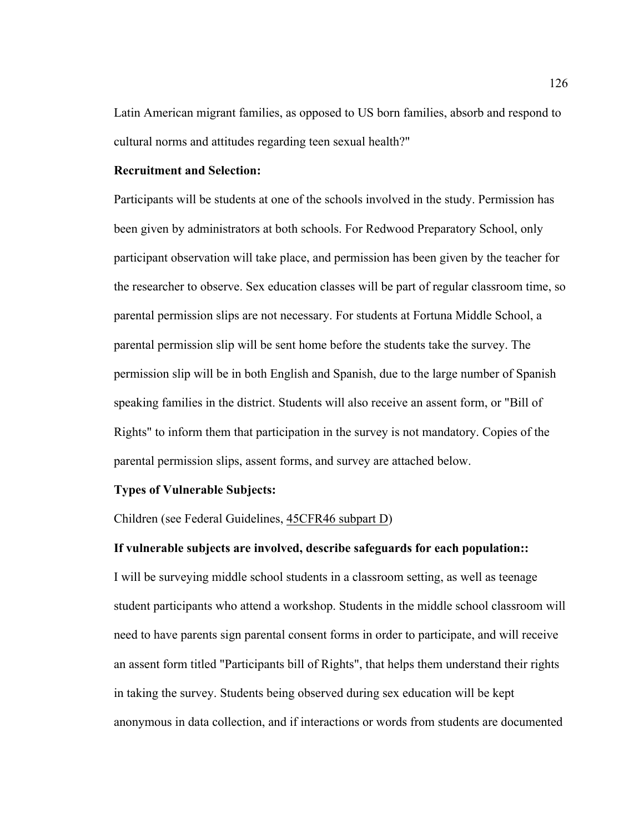Latin American migrant families, as opposed to US born families, absorb and respond to cultural norms and attitudes regarding teen sexual health?"

## **Recruitment and Selection:**

Participants will be students at one of the schools involved in the study. Permission has been given by administrators at both schools. For Redwood Preparatory School, only participant observation will take place, and permission has been given by the teacher for the researcher to observe. Sex education classes will be part of regular classroom time, so parental permission slips are not necessary. For students at Fortuna Middle School, a parental permission slip will be sent home before the students take the survey. The permission slip will be in both English and Spanish, due to the large number of Spanish speaking families in the district. Students will also receive an assent form, or "Bill of Rights" to inform them that participation in the survey is not mandatory. Copies of the parental permission slips, assent forms, and survey are attached below.

#### **Types of Vulnerable Subjects:**

Children (see Federal Guidelines, 45CFR46 subpart D)

## **If vulnerable subjects are involved, describe safeguards for each population::**

I will be surveying middle school students in a classroom setting, as well as teenage student participants who attend a workshop. Students in the middle school classroom will need to have parents sign parental consent forms in order to participate, and will receive an assent form titled "Participants bill of Rights", that helps them understand their rights in taking the survey. Students being observed during sex education will be kept anonymous in data collection, and if interactions or words from students are documented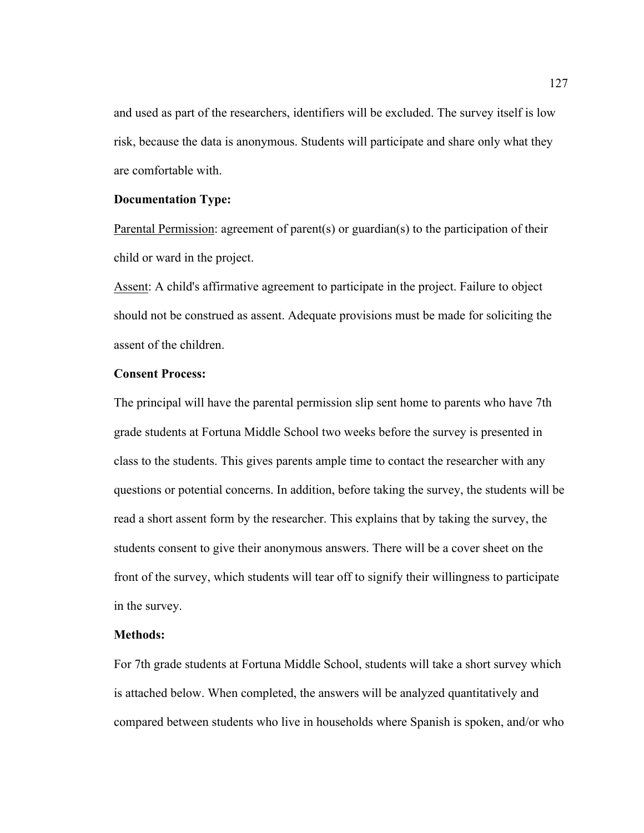and used as part of the researchers, identifiers will be excluded. The survey itself is low risk, because the data is anonymous. Students will participate and share only what they are comfortable with.

#### **Documentation Type:**

Parental Permission: agreement of parent(s) or guardian(s) to the participation of their child or ward in the project.

Assent: A child's affirmative agreement to participate in the project. Failure to object should not be construed as assent. Adequate provisions must be made for soliciting the assent of the children.

## **Consent Process:**

The principal will have the parental permission slip sent home to parents who have 7th grade students at Fortuna Middle School two weeks before the survey is presented in class to the students. This gives parents ample time to contact the researcher with any questions or potential concerns. In addition, before taking the survey, the students will be read a short assent form by the researcher. This explains that by taking the survey, the students consent to give their anonymous answers. There will be a cover sheet on the front of the survey, which students will tear off to signify their willingness to participate in the survey.

## **Methods:**

For 7th grade students at Fortuna Middle School, students will take a short survey which is attached below. When completed, the answers will be analyzed quantitatively and compared between students who live in households where Spanish is spoken, and/or who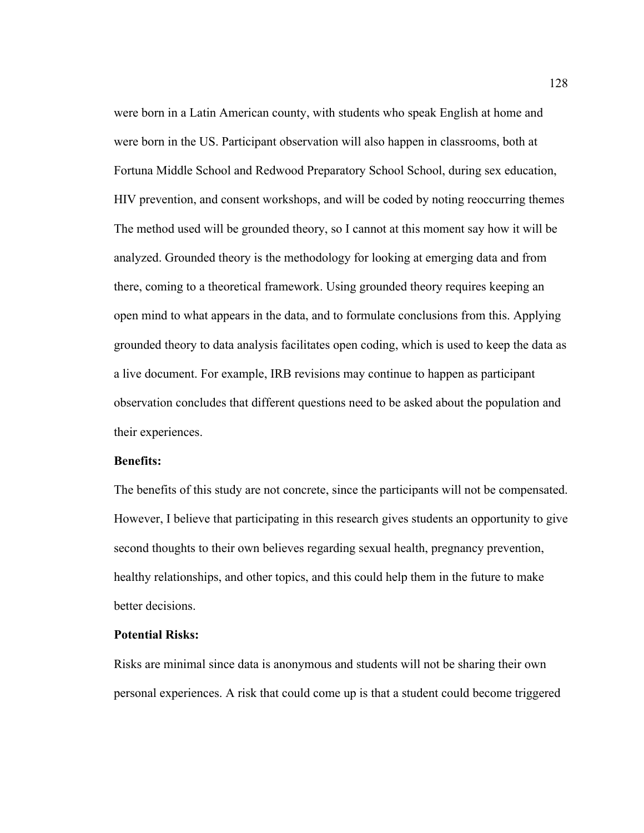were born in a Latin American county, with students who speak English at home and were born in the US. Participant observation will also happen in classrooms, both at Fortuna Middle School and Redwood Preparatory School School, during sex education, HIV prevention, and consent workshops, and will be coded by noting reoccurring themes The method used will be grounded theory, so I cannot at this moment say how it will be analyzed. Grounded theory is the methodology for looking at emerging data and from there, coming to a theoretical framework. Using grounded theory requires keeping an open mind to what appears in the data, and to formulate conclusions from this. Applying grounded theory to data analysis facilitates open coding, which is used to keep the data as a live document. For example, IRB revisions may continue to happen as participant observation concludes that different questions need to be asked about the population and their experiences.

## **Benefits:**

The benefits of this study are not concrete, since the participants will not be compensated. However, I believe that participating in this research gives students an opportunity to give second thoughts to their own believes regarding sexual health, pregnancy prevention, healthy relationships, and other topics, and this could help them in the future to make better decisions.

## **Potential Risks:**

Risks are minimal since data is anonymous and students will not be sharing their own personal experiences. A risk that could come up is that a student could become triggered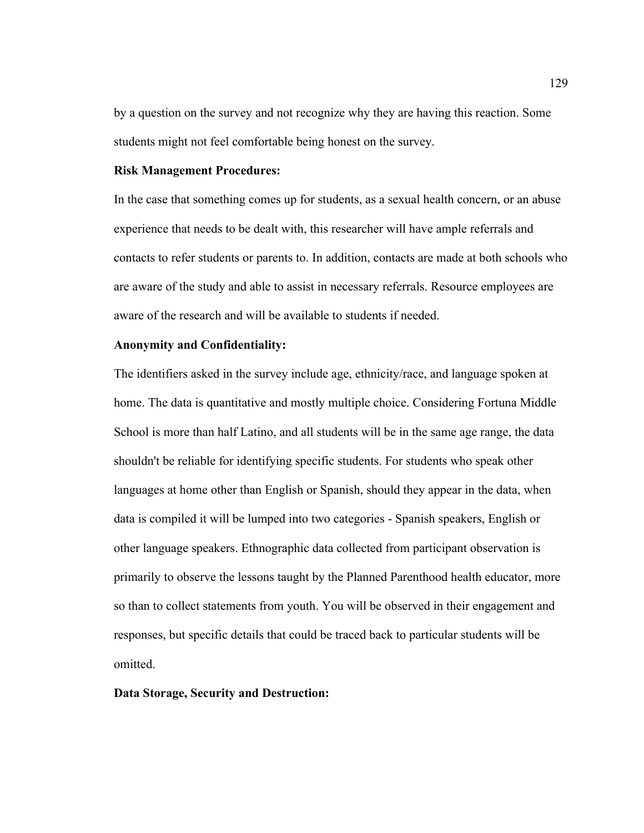by a question on the survey and not recognize why they are having this reaction. Some students might not feel comfortable being honest on the survey.

## **Risk Management Procedures:**

In the case that something comes up for students, as a sexual health concern, or an abuse experience that needs to be dealt with, this researcher will have ample referrals and contacts to refer students or parents to. In addition, contacts are made at both schools who are aware of the study and able to assist in necessary referrals. Resource employees are aware of the research and will be available to students if needed.

#### **Anonymity and Confidentiality:**

The identifiers asked in the survey include age, ethnicity/race, and language spoken at home. The data is quantitative and mostly multiple choice. Considering Fortuna Middle School is more than half Latino, and all students will be in the same age range, the data shouldn't be reliable for identifying specific students. For students who speak other languages at home other than English or Spanish, should they appear in the data, when data is compiled it will be lumped into two categories - Spanish speakers, English or other language speakers. Ethnographic data collected from participant observation is primarily to observe the lessons taught by the Planned Parenthood health educator, more so than to collect statements from youth. You will be observed in their engagement and responses, but specific details that could be traced back to particular students will be omitted.

## **Data Storage, Security and Destruction:**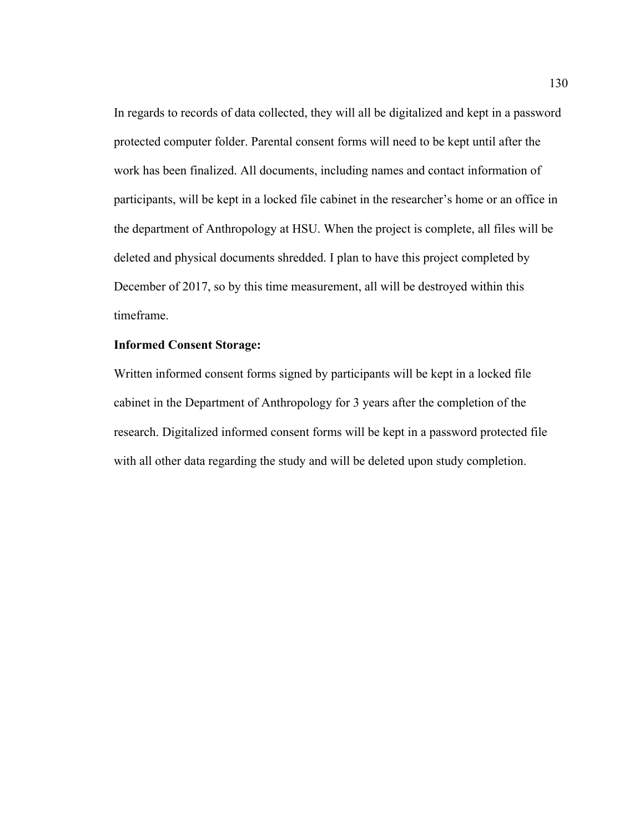In regards to records of data collected, they will all be digitalized and kept in a password protected computer folder. Parental consent forms will need to be kept until after the work has been finalized. All documents, including names and contact information of participants, will be kept in a locked file cabinet in the researcher's home or an office in the department of Anthropology at HSU. When the project is complete, all files will be deleted and physical documents shredded. I plan to have this project completed by December of 2017, so by this time measurement, all will be destroyed within this timeframe.

## **Informed Consent Storage:**

Written informed consent forms signed by participants will be kept in a locked file cabinet in the Department of Anthropology for 3 years after the completion of the research. Digitalized informed consent forms will be kept in a password protected file with all other data regarding the study and will be deleted upon study completion.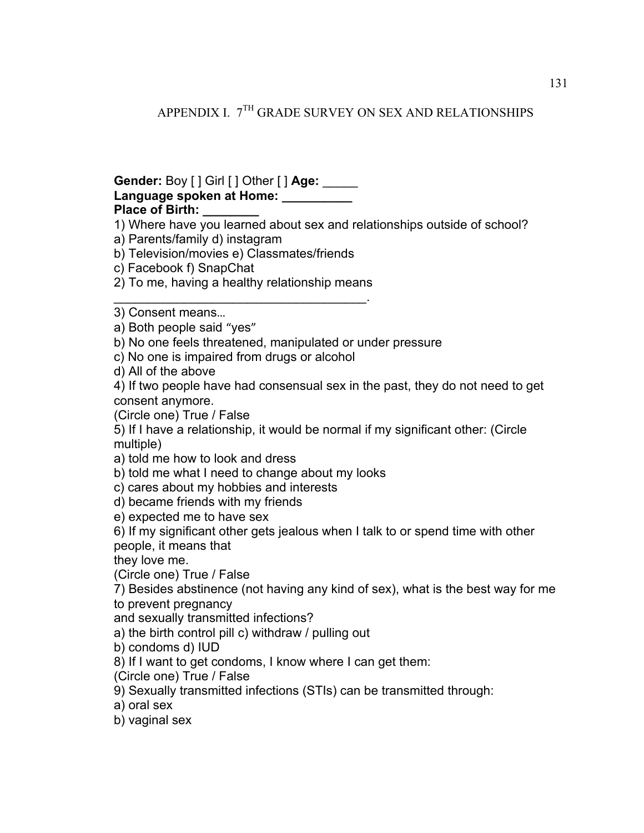APPENDIX I. 7<sup>TH</sup> GRADE SURVEY ON SEX AND RELATIONSHIPS

## **Gender:** Boy [ ] Girl [ ] Other [ ] **Age:** \_\_\_\_\_ **Language spoken at Home: \_\_\_\_\_\_\_\_\_\_ Place of Birth: \_\_\_\_\_\_\_\_**

1) Where have you learned about sex and relationships outside of school?

a) Parents/family d) instagram

b) Television/movies e) Classmates/friends

c) Facebook f) SnapChat

2) To me, having a healthy relationship means \_\_\_\_\_\_\_\_\_\_\_\_\_\_\_\_\_\_\_\_\_\_\_\_\_\_\_\_\_\_\_\_\_\_\_\_.

3) Consent means…

a) Both people said "yes"

b) No one feels threatened, manipulated or under pressure

c) No one is impaired from drugs or alcohol

d) All of the above

4) If two people have had consensual sex in the past, they do not need to get consent anymore.

(Circle one) True / False

5) If I have a relationship, it would be normal if my significant other: (Circle multiple)

a) told me how to look and dress

b) told me what I need to change about my looks

c) cares about my hobbies and interests

d) became friends with my friends

e) expected me to have sex

6) If my significant other gets jealous when I talk to or spend time with other people, it means that

they love me.

(Circle one) True / False

7) Besides abstinence (not having any kind of sex), what is the best way for me to prevent pregnancy

and sexually transmitted infections?

a) the birth control pill c) withdraw / pulling out

b) condoms d) IUD

8) If I want to get condoms, I know where I can get them:

(Circle one) True / False

9) Sexually transmitted infections (STIs) can be transmitted through:

a) oral sex

b) vaginal sex